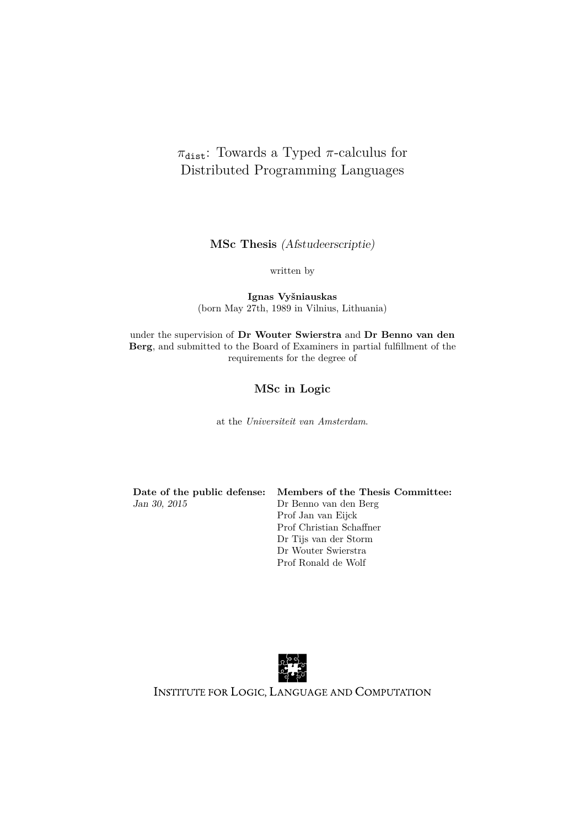# $\pi_{\text{dist}}$ : Towards a Typed  $\pi$ -calculus for Distributed Programming Languages

**MSc Thesis** (Afstudeerscriptie)

written by

**Ignas Vyšniauskas** (born May 27th, 1989 in Vilnius, Lithuania)

under the supervision of **Dr Wouter Swierstra** and **Dr Benno van den Berg**, and submitted to the Board of Examiners in partial fulfillment of the requirements for the degree of

# **MSc in Logic**

at the *Universiteit van Amsterdam*.

**Date of the public defense: Members of the Thesis Committee:** Jan 30, 2015 Dr Benno van den Berg

Prof Jan van Eijck Prof Christian Schaffner Dr Tijs van der Storm Dr Wouter Swierstra Prof Ronald de Wolf



INSTITUTE FOR LOGIC, LANGUAGE AND COMPUTATION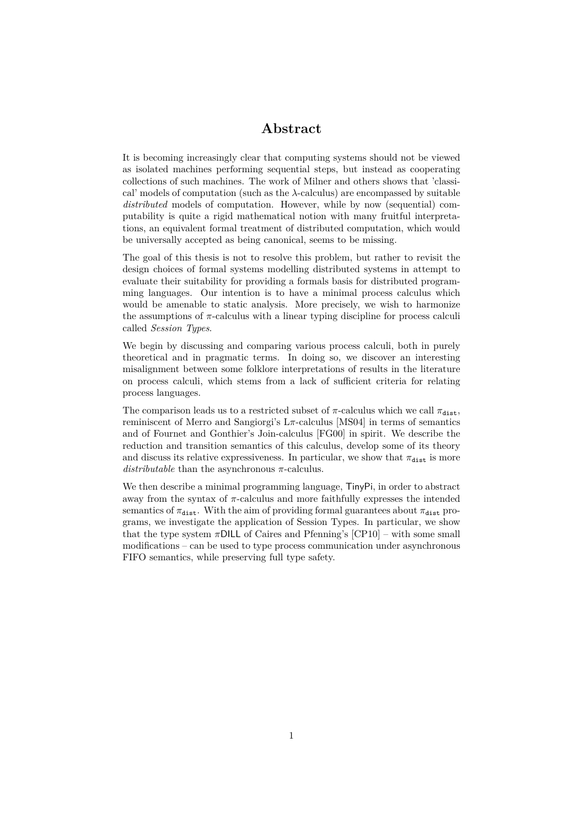# **Abstract**

It is becoming increasingly clear that computing systems should not be viewed as isolated machines performing sequential steps, but instead as cooperating collections of such machines. The work of Milner and others shows that 'classical' models of computation (such as the *λ*-calculus) are encompassed by suitable *distributed* models of computation. However, while by now (sequential) computability is quite a rigid mathematical notion with many fruitful interpretations, an equivalent formal treatment of distributed computation, which would be universally accepted as being canonical, seems to be missing.

The goal of this thesis is not to resolve this problem, but rather to revisit the design choices of formal systems modelling distributed systems in attempt to evaluate their suitability for providing a formals basis for distributed programming languages. Our intention is to have a minimal process calculus which would be amenable to static analysis. More precisely, we wish to harmonize the assumptions of  $\pi$ -calculus with a linear typing discipline for process calculi called *Session Types*.

We begin by discussing and comparing various process calculi, both in purely theoretical and in pragmatic terms. In doing so, we discover an interesting misalignment between some folklore interpretations of results in the literature on process calculi, which stems from a lack of sufficient criteria for relating process languages.

The comparison leads us to a restricted subset of  $\pi$ -calculus which we call  $\pi_{\text{dist}}$ , reminiscent of Merro and Sangiorgi's L*π*-calculus [\[MS04\]](#page-70-0) in terms of semantics and of Fournet and Gonthier's Join-calculus [\[FG00\]](#page-68-0) in spirit. We describe the reduction and transition semantics of this calculus, develop some of its theory and discuss its relative expressiveness. In particular, we show that  $\pi_{\text{dist}}$  is more *distributable* than the asynchronous *π*-calculus.

We then describe a minimal programming language, TinyPi, in order to abstract away from the syntax of  $\pi$ -calculus and more faithfully expresses the intended semantics of  $\pi_{\text{dist}}$ . With the aim of providing formal guarantees about  $\pi_{\text{dist}}$  programs, we investigate the application of Session Types. In particular, we show that the type system  $\pi$ DILL of Caires and Pfenning's [\[CP10\]](#page-68-1) – with some small modifications – can be used to type process communication under asynchronous FIFO semantics, while preserving full type safety.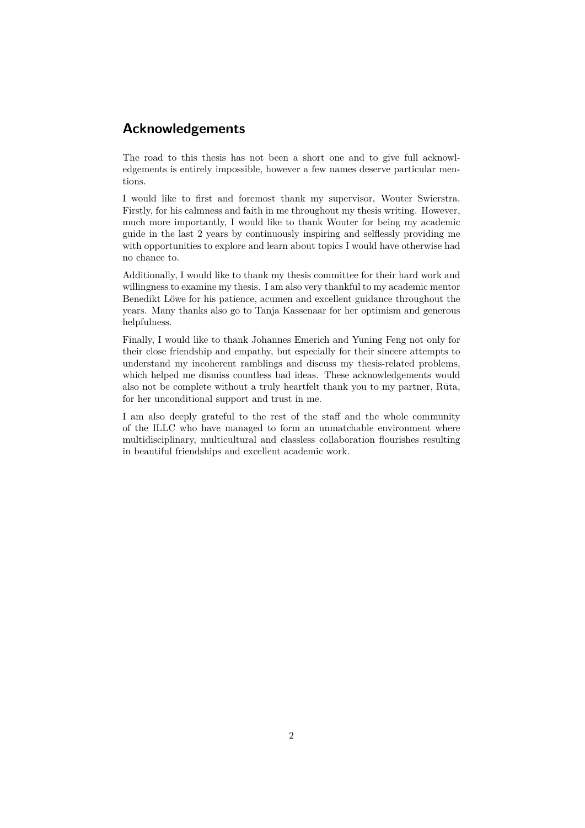# **Acknowledgements**

The road to this thesis has not been a short one and to give full acknowledgements is entirely impossible, however a few names deserve particular mentions.

I would like to first and foremost thank my supervisor, Wouter Swierstra. Firstly, for his calmness and faith in me throughout my thesis writing. However, much more importantly, I would like to thank Wouter for being my academic guide in the last 2 years by continuously inspiring and selflessly providing me with opportunities to explore and learn about topics I would have otherwise had no chance to.

Additionally, I would like to thank my thesis committee for their hard work and willingness to examine my thesis. I am also very thankful to my academic mentor Benedikt Löwe for his patience, acumen and excellent guidance throughout the years. Many thanks also go to Tanja Kassenaar for her optimism and generous helpfulness.

Finally, I would like to thank Johannes Emerich and Yuning Feng not only for their close friendship and empathy, but especially for their sincere attempts to understand my incoherent ramblings and discuss my thesis-related problems, which helped me dismiss countless bad ideas. These acknowledgements would also not be complete without a truly heartfelt thank you to my partner, Rūta, for her unconditional support and trust in me.

I am also deeply grateful to the rest of the staff and the whole community of the ILLC who have managed to form an unmatchable environment where multidisciplinary, multicultural and classless collaboration flourishes resulting in beautiful friendships and excellent academic work.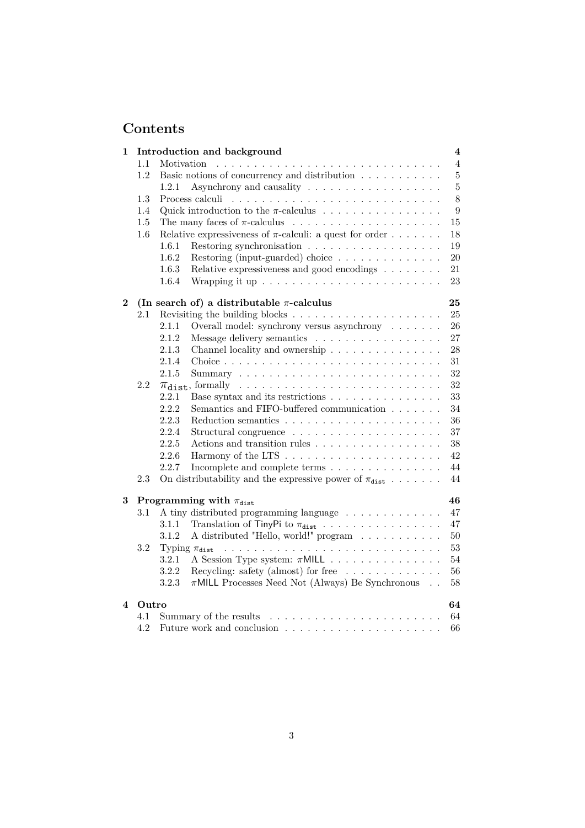# **Contents**

| 1        | Introduction and background<br>$\overline{\mathbf{4}}$ |                                                                                                                        |                |  |  |  |  |  |
|----------|--------------------------------------------------------|------------------------------------------------------------------------------------------------------------------------|----------------|--|--|--|--|--|
|          | 1.1                                                    | Motivation                                                                                                             | $\overline{4}$ |  |  |  |  |  |
|          | 1.2                                                    | Basic notions of concurrency and distribution                                                                          | 5              |  |  |  |  |  |
|          |                                                        | 1.2.1                                                                                                                  | $\overline{5}$ |  |  |  |  |  |
|          | 1.3                                                    | Process calculi                                                                                                        | 8              |  |  |  |  |  |
|          | 1.4                                                    | Quick introduction to the $\pi\text{-}calculus$ $\hfill\ldots$ $\ldots$ $\ldots$ $\ldots$ $\ldots$ $\ldots$ $\ldots$ . |                |  |  |  |  |  |
|          | 1.5                                                    |                                                                                                                        | 15             |  |  |  |  |  |
|          | 1.6                                                    | Relative expressiveness of $\pi$ -calculi: a quest for order                                                           | 18             |  |  |  |  |  |
|          |                                                        | Restoring synchronisation $\ldots \ldots \ldots \ldots \ldots \ldots$<br>1.6.1                                         | 19             |  |  |  |  |  |
|          |                                                        | 1.6.2<br>Restoring (input-guarded) choice                                                                              | 20             |  |  |  |  |  |
|          |                                                        | 1.6.3<br>Relative expressiveness and good encodings $\hfill\ldots\ldots\ldots$                                         | 21             |  |  |  |  |  |
|          |                                                        | 1.6.4                                                                                                                  | 23             |  |  |  |  |  |
| $\bf{2}$ |                                                        | (In search of) a distributable $\pi$ -calculus<br>25                                                                   |                |  |  |  |  |  |
|          | 2.1                                                    |                                                                                                                        | 25             |  |  |  |  |  |
|          |                                                        | 2.1.1<br>Overall model: synchrony versus asynchrony $\ldots \ldots$                                                    | 26             |  |  |  |  |  |
|          |                                                        | 2.1.2<br>Message delivery semantics                                                                                    | 27             |  |  |  |  |  |
|          |                                                        | 2.1.3                                                                                                                  | 28             |  |  |  |  |  |
|          |                                                        | 2.1.4                                                                                                                  | 31             |  |  |  |  |  |
|          |                                                        | 2.1.5                                                                                                                  | 32             |  |  |  |  |  |
|          | 2.2                                                    |                                                                                                                        | 32             |  |  |  |  |  |
|          |                                                        | 2.2.1<br>Base syntax and its restrictions                                                                              | 33             |  |  |  |  |  |
|          |                                                        | 2.2.2<br>Semantics and FIFO-buffered communication                                                                     | 34             |  |  |  |  |  |
|          |                                                        | 2.2.3                                                                                                                  | 36             |  |  |  |  |  |
|          |                                                        | 2.2.4                                                                                                                  | 37             |  |  |  |  |  |
|          |                                                        | 2.2.5<br>Actions and transition rules                                                                                  | 38             |  |  |  |  |  |
|          |                                                        | 2.2.6                                                                                                                  | 42             |  |  |  |  |  |
|          |                                                        | 2.2.7<br>Incomplete and complete terms $\dots \dots \dots \dots \dots$                                                 | 44             |  |  |  |  |  |
|          | 2.3                                                    | On distributability and the expressive power of $\pi_{\text{dist}} \dots \dots$                                        | 44             |  |  |  |  |  |
| 3        |                                                        | 46<br>Programming with $\pi_{\text{dist}}$                                                                             |                |  |  |  |  |  |
|          | $3.1\,$                                                | A tiny distributed programming language                                                                                | 47             |  |  |  |  |  |
|          |                                                        | 3.1.1<br>Translation of TinyPi to $\pi_{\texttt{dist}}$                                                                | 47             |  |  |  |  |  |
|          |                                                        | A distributed "Hello, world!" program<br>3.1.2                                                                         | 50             |  |  |  |  |  |
|          | 3.2                                                    | Typing $\pi_{\text{dist}}$                                                                                             | 53             |  |  |  |  |  |
|          |                                                        | 3.2.1<br>A Session Type system: $\pi \mathsf{MILL}$                                                                    | 54             |  |  |  |  |  |
|          |                                                        | 3.2.2<br>Recycling: safety (almost) for free $\dots \dots \dots \dots$                                                 | 56             |  |  |  |  |  |
|          |                                                        | 3.2.3<br>$\pi$ MILL Processes Need Not (Always) Be Synchronous                                                         | 58             |  |  |  |  |  |
| 4        |                                                        | 64<br>Outro                                                                                                            |                |  |  |  |  |  |
|          | 4.1                                                    |                                                                                                                        | 64             |  |  |  |  |  |
|          | 4.2                                                    |                                                                                                                        | 66             |  |  |  |  |  |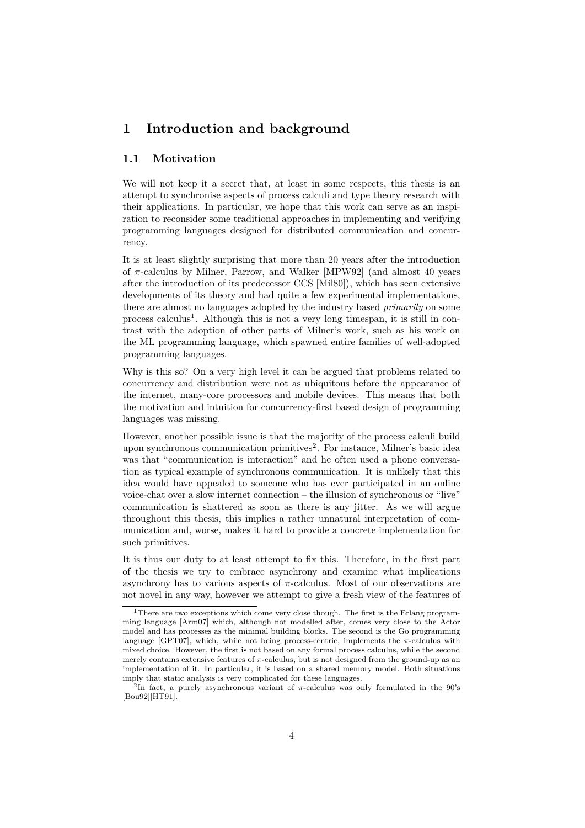# <span id="page-4-0"></span>**1 Introduction and background**

## <span id="page-4-1"></span>**1.1 Motivation**

We will not keep it a secret that, at least in some respects, this thesis is an attempt to synchronise aspects of process calculi and type theory research with their applications. In particular, we hope that this work can serve as an inspiration to reconsider some traditional approaches in implementing and verifying programming languages designed for distributed communication and concurrency.

It is at least slightly surprising that more than 20 years after the introduction of *π*-calculus by Milner, Parrow, and Walker [\[MPW92\]](#page-70-1) (and almost 40 years after the introduction of its predecessor CCS [\[Mil80\]](#page-70-2)), which has seen extensive developments of its theory and had quite a few experimental implementations, there are almost no languages adopted by the industry based *primarily* on some process calculus<sup>[1](#page-4-2)</sup>. Although this is not a very long timespan, it is still in contrast with the adoption of other parts of Milner's work, such as his work on the ML programming language, which spawned entire families of well-adopted programming languages.

Why is this so? On a very high level it can be argued that problems related to concurrency and distribution were not as ubiquitous before the appearance of the internet, many-core processors and mobile devices. This means that both the motivation and intuition for concurrency-first based design of programming languages was missing.

However, another possible issue is that the majority of the process calculi build upon synchronous communication primitives<sup>[2](#page-4-3)</sup>. For instance, Milner's basic idea was that "communication is interaction" and he often used a phone conversation as typical example of synchronous communication. It is unlikely that this idea would have appealed to someone who has ever participated in an online voice-chat over a slow internet connection – the illusion of synchronous or "live" communication is shattered as soon as there is any jitter. As we will argue throughout this thesis, this implies a rather unnatural interpretation of communication and, worse, makes it hard to provide a concrete implementation for such primitives.

It is thus our duty to at least attempt to fix this. Therefore, in the first part of the thesis we try to embrace asynchrony and examine what implications asynchrony has to various aspects of  $\pi$ -calculus. Most of our observations are not novel in any way, however we attempt to give a fresh view of the features of

<span id="page-4-2"></span><sup>&</sup>lt;sup>1</sup>There are two exceptions which come very close though. The first is the Erlang programming language [\[Arm07\]](#page-67-0) which, although not modelled after, comes very close to the Actor model and has processes as the minimal building blocks. The second is the Go programming language [\[GPT07\]](#page-69-0), which, while not being process-centric, implements the *π*-calculus with mixed choice. However, the first is not based on any formal process calculus, while the second merely contains extensive features of  $\pi$ -calculus, but is not designed from the ground-up as an implementation of it. In particular, it is based on a shared memory model. Both situations imply that static analysis is very complicated for these languages.

<span id="page-4-3"></span><sup>2</sup> In fact, a purely asynchronous variant of *π*-calculus was only formulated in the 90's [\[Bou92\]](#page-67-1)[\[HT91\]](#page-69-1).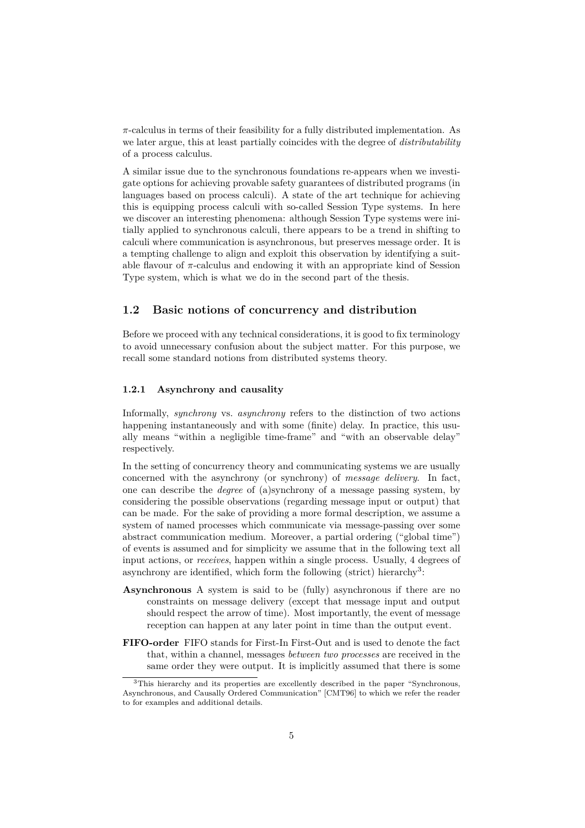*π*-calculus in terms of their feasibility for a fully distributed implementation. As we later argue, this at least partially coincides with the degree of *distributability* of a process calculus.

A similar issue due to the synchronous foundations re-appears when we investigate options for achieving provable safety guarantees of distributed programs (in languages based on process calculi). A state of the art technique for achieving this is equipping process calculi with so-called Session Type systems. In here we discover an interesting phenomena: although Session Type systems were initially applied to synchronous calculi, there appears to be a trend in shifting to calculi where communication is asynchronous, but preserves message order. It is a tempting challenge to align and exploit this observation by identifying a suitable flavour of  $\pi$ -calculus and endowing it with an appropriate kind of Session Type system, which is what we do in the second part of the thesis.

## <span id="page-5-0"></span>**1.2 Basic notions of concurrency and distribution**

Before we proceed with any technical considerations, it is good to fix terminology to avoid unnecessary confusion about the subject matter. For this purpose, we recall some standard notions from distributed systems theory.

#### <span id="page-5-1"></span>**1.2.1 Asynchrony and causality**

Informally, *synchrony* vs. *asynchrony* refers to the distinction of two actions happening instantaneously and with some (finite) delay. In practice, this usually means "within a negligible time-frame" and "with an observable delay" respectively.

In the setting of concurrency theory and communicating systems we are usually concerned with the asynchrony (or synchrony) of *message delivery*. In fact, one can describe the *degree* of (a)synchrony of a message passing system, by considering the possible observations (regarding message input or output) that can be made. For the sake of providing a more formal description, we assume a system of named processes which communicate via message-passing over some abstract communication medium. Moreover, a partial ordering ("global time") of events is assumed and for simplicity we assume that in the following text all input actions, or *receives*, happen within a single process. Usually, 4 degrees of asynchrony are identified, which form the following (strict) hierarchy<sup>[3](#page-5-2)</sup>:

- **Asynchronous** A system is said to be (fully) asynchronous if there are no constraints on message delivery (except that message input and output should respect the arrow of time). Most importantly, the event of message reception can happen at any later point in time than the output event.
- **FIFO-order** FIFO stands for First-In First-Out and is used to denote the fact that, within a channel, messages *between two processes* are received in the same order they were output. It is implicitly assumed that there is some

<span id="page-5-2"></span><sup>&</sup>lt;sup>3</sup>This hierarchy and its properties are excellently described in the paper "Synchronous, Asynchronous, and Causally Ordered Communication" [\[CMT96\]](#page-68-2) to which we refer the reader to for examples and additional details.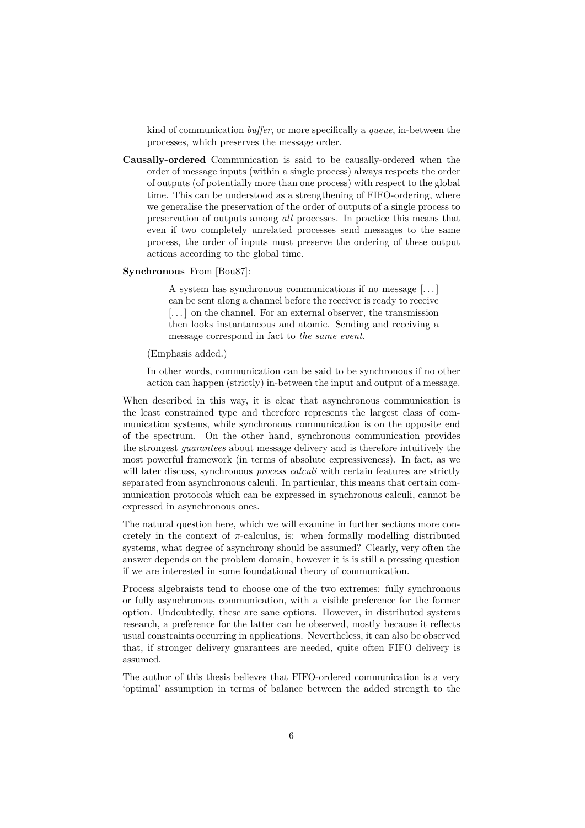kind of communication *buffer*, or more specifically a *queue*, in-between the processes, which preserves the message order.

**Causally-ordered** Communication is said to be causally-ordered when the order of message inputs (within a single process) always respects the order of outputs (of potentially more than one process) with respect to the global time. This can be understood as a strengthening of FIFO-ordering, where we generalise the preservation of the order of outputs of a single process to preservation of outputs among *all* processes. In practice this means that even if two completely unrelated processes send messages to the same process, the order of inputs must preserve the ordering of these output actions according to the global time.

#### **Synchronous** From [\[Bou87\]](#page-67-2):

A system has synchronous communications if no message [. . . ] can be sent along a channel before the receiver is ready to receive [...] on the channel. For an external observer, the transmission then looks instantaneous and atomic. Sending and receiving a message correspond in fact to *the same event*.

#### (Emphasis added.)

In other words, communication can be said to be synchronous if no other action can happen (strictly) in-between the input and output of a message.

When described in this way, it is clear that asynchronous communication is the least constrained type and therefore represents the largest class of communication systems, while synchronous communication is on the opposite end of the spectrum. On the other hand, synchronous communication provides the strongest *guarantees* about message delivery and is therefore intuitively the most powerful framework (in terms of absolute expressiveness). In fact, as we will later discuss, synchronous *process calculi* with certain features are strictly separated from asynchronous calculi. In particular, this means that certain communication protocols which can be expressed in synchronous calculi, cannot be expressed in asynchronous ones.

The natural question here, which we will examine in further sections more concretely in the context of  $\pi$ -calculus, is: when formally modelling distributed systems, what degree of asynchrony should be assumed? Clearly, very often the answer depends on the problem domain, however it is is still a pressing question if we are interested in some foundational theory of communication.

Process algebraists tend to choose one of the two extremes: fully synchronous or fully asynchronous communication, with a visible preference for the former option. Undoubtedly, these are sane options. However, in distributed systems research, a preference for the latter can be observed, mostly because it reflects usual constraints occurring in applications. Nevertheless, it can also be observed that, if stronger delivery guarantees are needed, quite often FIFO delivery is assumed.

The author of this thesis believes that FIFO-ordered communication is a very 'optimal' assumption in terms of balance between the added strength to the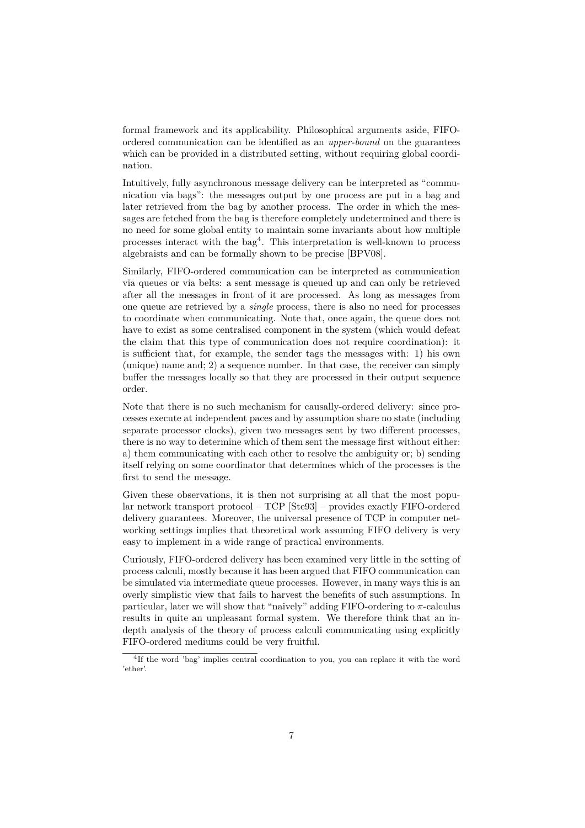formal framework and its applicability. Philosophical arguments aside, FIFOordered communication can be identified as an *upper-bound* on the guarantees which can be provided in a distributed setting, without requiring global coordination.

Intuitively, fully asynchronous message delivery can be interpreted as "communication via bags": the messages output by one process are put in a bag and later retrieved from the bag by another process. The order in which the messages are fetched from the bag is therefore completely undetermined and there is no need for some global entity to maintain some invariants about how multiple processes interact with the bag[4](#page-7-0) . This interpretation is well-known to process algebraists and can be formally shown to be precise [\[BPV08\]](#page-67-3).

Similarly, FIFO-ordered communication can be interpreted as communication via queues or via belts: a sent message is queued up and can only be retrieved after all the messages in front of it are processed. As long as messages from one queue are retrieved by a *single* process, there is also no need for processes to coordinate when communicating. Note that, once again, the queue does not have to exist as some centralised component in the system (which would defeat the claim that this type of communication does not require coordination): it is sufficient that, for example, the sender tags the messages with: 1) his own (unique) name and; 2) a sequence number. In that case, the receiver can simply buffer the messages locally so that they are processed in their output sequence order.

Note that there is no such mechanism for causally-ordered delivery: since processes execute at independent paces and by assumption share no state (including separate processor clocks), given two messages sent by two different processes, there is no way to determine which of them sent the message first without either: a) them communicating with each other to resolve the ambiguity or; b) sending itself relying on some coordinator that determines which of the processes is the first to send the message.

Given these observations, it is then not surprising at all that the most popular network transport protocol – TCP [\[Ste93\]](#page-71-0) – provides exactly FIFO-ordered delivery guarantees. Moreover, the universal presence of TCP in computer networking settings implies that theoretical work assuming FIFO delivery is very easy to implement in a wide range of practical environments.

Curiously, FIFO-ordered delivery has been examined very little in the setting of process calculi, mostly because it has been argued that FIFO communication can be simulated via intermediate queue processes. However, in many ways this is an overly simplistic view that fails to harvest the benefits of such assumptions. In particular, later we will show that "naively" adding FIFO-ordering to  $\pi$ -calculus results in quite an unpleasant formal system. We therefore think that an indepth analysis of the theory of process calculi communicating using explicitly FIFO-ordered mediums could be very fruitful.

<span id="page-7-0"></span><sup>4</sup> If the word 'bag' implies central coordination to you, you can replace it with the word 'ether'.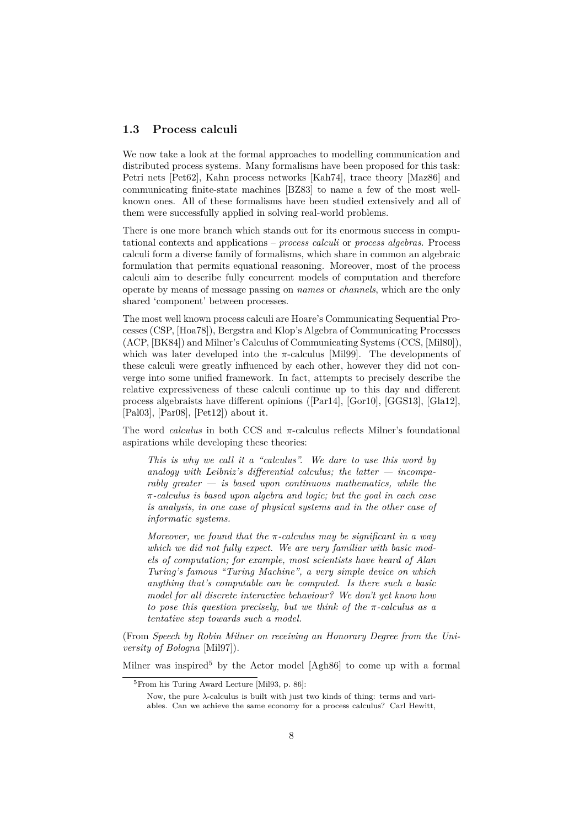### <span id="page-8-0"></span>**1.3 Process calculi**

We now take a look at the formal approaches to modelling communication and distributed process systems. Many formalisms have been proposed for this task: Petri nets [\[Pet62\]](#page-71-1), Kahn process networks [\[Kah74\]](#page-69-2), trace theory [\[Maz86\]](#page-70-3) and communicating finite-state machines [\[BZ83\]](#page-67-4) to name a few of the most wellknown ones. All of these formalisms have been studied extensively and all of them were successfully applied in solving real-world problems.

There is one more branch which stands out for its enormous success in computational contexts and applications – *process calculi* or *process algebras*. Process calculi form a diverse family of formalisms, which share in common an algebraic formulation that permits equational reasoning. Moreover, most of the process calculi aim to describe fully concurrent models of computation and therefore operate by means of message passing on *names* or *channels*, which are the only shared 'component' between processes.

The most well known process calculi are Hoare's Communicating Sequential Processes (CSP, [\[Hoa78\]](#page-69-3)), Bergstra and Klop's Algebra of Communicating Processes (ACP, [\[BK84\]](#page-67-5)) and Milner's Calculus of Communicating Systems (CCS, [\[Mil80\]](#page-70-2)), which was later developed into the  $\pi$ -calculus [\[Mil99\]](#page-70-4). The developments of these calculi were greatly influenced by each other, however they did not converge into some unified framework. In fact, attempts to precisely describe the relative expressiveness of these calculi continue up to this day and different process algebraists have different opinions ([\[Par14\]](#page-71-2), [\[Gor10\]](#page-69-4), [\[GGS13\]](#page-68-3), [\[Gla12\]](#page-68-4), [\[Pal03\]](#page-70-5), [\[Par08\]](#page-71-3), [\[Pet12\]](#page-71-4)) about it.

The word *calculus* in both CCS and *π*-calculus reflects Milner's foundational aspirations while developing these theories:

*This is why we call it a "calculus". We dare to use this word by analogy with Leibniz's differential calculus; the latter — incomparably greater — is based upon continuous mathematics, while the π-calculus is based upon algebra and logic; but the goal in each case is analysis, in one case of physical systems and in the other case of informatic systems.*

*Moreover, we found that the π-calculus may be significant in a way which we did not fully expect. We are very familiar with basic models of computation; for example, most scientists have heard of Alan Turing's famous "Turing Machine", a very simple device on which anything that's computable can be computed. Is there such a basic model for all discrete interactive behaviour? We don't yet know how to pose this question precisely, but we think of the π-calculus as a tentative step towards such a model.*

(From *Speech by Robin Milner on receiving an Honorary Degree from the University of Bologna* [\[Mil97\]](#page-70-6)).

Milner was inspired<sup>[5](#page-8-1)</sup> by the Actor model  $[Agh86]$  to come up with a formal

<span id="page-8-1"></span><sup>5</sup>From his Turing Award Lecture [\[Mil93,](#page-70-7) p. 86]:

Now, the pure *λ*-calculus is built with just two kinds of thing: terms and variables. Can we achieve the same economy for a process calculus? Carl Hewitt,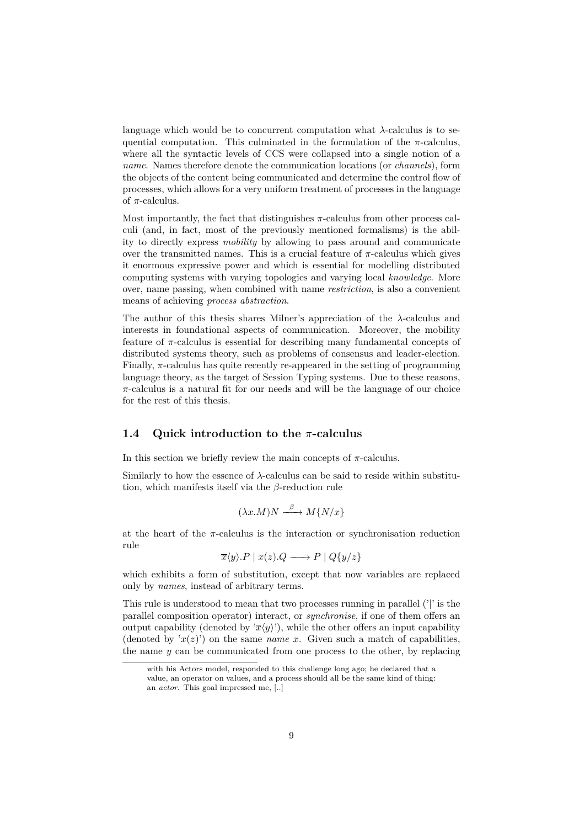language which would be to concurrent computation what  $\lambda$ -calculus is to sequential computation. This culminated in the formulation of the  $\pi$ -calculus, where all the syntactic levels of CCS were collapsed into a single notion of a *name*. Names therefore denote the communication locations (or *channels*), form the objects of the content being communicated and determine the control flow of processes, which allows for a very uniform treatment of processes in the language of *π*-calculus.

Most importantly, the fact that distinguishes  $\pi$ -calculus from other process calculi (and, in fact, most of the previously mentioned formalisms) is the ability to directly express *mobility* by allowing to pass around and communicate over the transmitted names. This is a crucial feature of *π*-calculus which gives it enormous expressive power and which is essential for modelling distributed computing systems with varying topologies and varying local *knowledge*. More over, name passing, when combined with name *restriction*, is also a convenient means of achieving *process abstraction*.

The author of this thesis shares Milner's appreciation of the *λ*-calculus and interests in foundational aspects of communication. Moreover, the mobility feature of  $\pi$ -calculus is essential for describing many fundamental concepts of distributed systems theory, such as problems of consensus and leader-election. Finally, *π*-calculus has quite recently re-appeared in the setting of programming language theory, as the target of Session Typing systems. Due to these reasons, *π*-calculus is a natural fit for our needs and will be the language of our choice for the rest of this thesis.

### <span id="page-9-0"></span>**1.4 Quick introduction to the** *π***-calculus**

In this section we briefly review the main concepts of  $π$ -calculus.

Similarly to how the essence of *λ*-calculus can be said to reside within substitution, which manifests itself via the *β*-reduction rule

$$
(\lambda x.M)N \xrightarrow{\beta} M\{N/x\}
$$

at the heart of the *π*-calculus is the interaction or synchronisation reduction rule

$$
\overline{x}\langle y \rangle.P \mid x(z).Q \longrightarrow P \mid Q\{y/z\}
$$

which exhibits a form of substitution, except that now variables are replaced only by *names*, instead of arbitrary terms.

This rule is understood to mean that two processes running in parallel ('|' is the parallel composition operator) interact, or *synchronise*, if one of them offers an output capability (denoted by  $\langle \overline{x}\langle y \rangle$ <sup>\*</sup>), while the other offers an input capability (denoted by  $x(z)$ ) on the same *name x*. Given such a match of capabilities, the name  $y$  can be communicated from one process to the other, by replacing

with his Actors model, responded to this challenge long ago; he declared that a value, an operator on values, and a process should all be the same kind of thing: an *actor*. This goal impressed me, [..]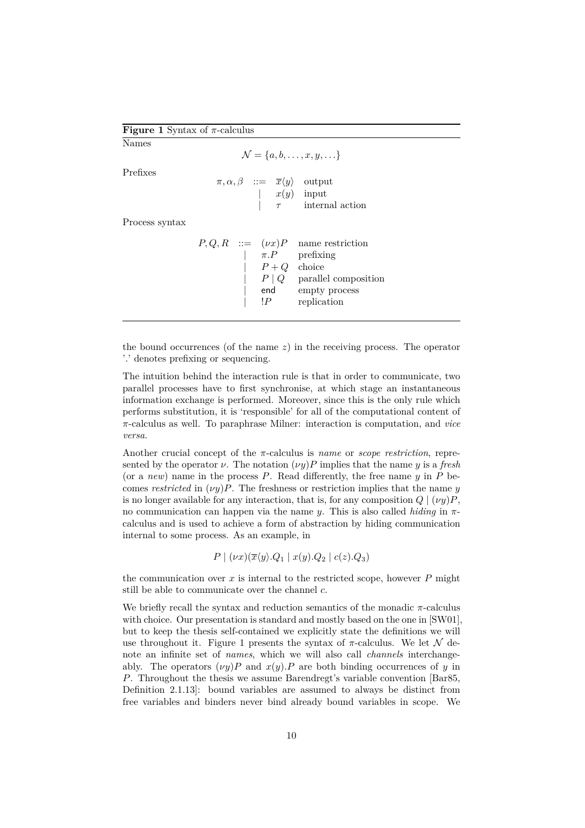#### **Figure 1** Syntax of *π*-calculus

<span id="page-10-0"></span>Names

 $\mathcal{N} = \{a, b, \dots, x, y, \dots\}$ 

Prefixes

 $\pi, \alpha, \beta$  ::=  $\overline{x}\langle y \rangle$  output | *x*(*y*) input

Process syntax

 $P, Q, R$  ::=  $(\nu x)P$  name restriction | *π.P* prefixing |  $P + Q$  choice | *P* | *Q* parallel composition | end empty process | !*P* replication

| *τ* internal action

the bound occurrences (of the name *z*) in the receiving process. The operator '*.*' denotes prefixing or sequencing.

The intuition behind the interaction rule is that in order to communicate, two parallel processes have to first synchronise, at which stage an instantaneous information exchange is performed. Moreover, since this is the only rule which performs substitution, it is 'responsible' for all of the computational content of *π*-calculus as well. To paraphrase Milner: interaction is computation, and *vice versa*.

Another crucial concept of the *π*-calculus is *name* or *scope restriction*, represented by the operator  $\nu$ . The notation  $(\nu y)P$  implies that the name *y* is a *fresh* (or a *new*) name in the process *P*. Read differently, the free name *y* in *P* becomes *restricted* in  $(\nu y)P$ . The freshness or restriction implies that the name *y* is no longer available for any interaction, that is, for any composition  $Q | (\nu y)P$ , no communication can happen via the name *y*. This is also called *hiding* in *π*calculus and is used to achieve a form of abstraction by hiding communication internal to some process. As an example, in

$$
P \mid (\nu x)(\overline{x}\langle y \rangle . Q_1 \mid x(y). Q_2 \mid c(z). Q_3)
$$

the communication over  $x$  is internal to the restricted scope, however  $P$  might still be able to communicate over the channel *c*.

We briefly recall the syntax and reduction semantics of the monadic  $\pi$ -calculus with choice. Our presentation is standard and mostly based on the one in [\[SW01\]](#page-72-0), but to keep the thesis self-contained we explicitly state the definitions we will use throughout it. [Figure 1](#page-10-0) presents the syntax of  $\pi$ -calculus. We let  $\mathcal N$  denote an infinite set of *names*, which we will also call *channels* interchangeably. The operators  $(\nu y)P$  and  $x(y)P$  are both binding occurrences of *y* in *P*. Throughout the thesis we assume Barendregt's variable convention [\[Bar85,](#page-67-7) Definition 2.1.13]: bound variables are assumed to always be distinct from free variables and binders never bind already bound variables in scope. We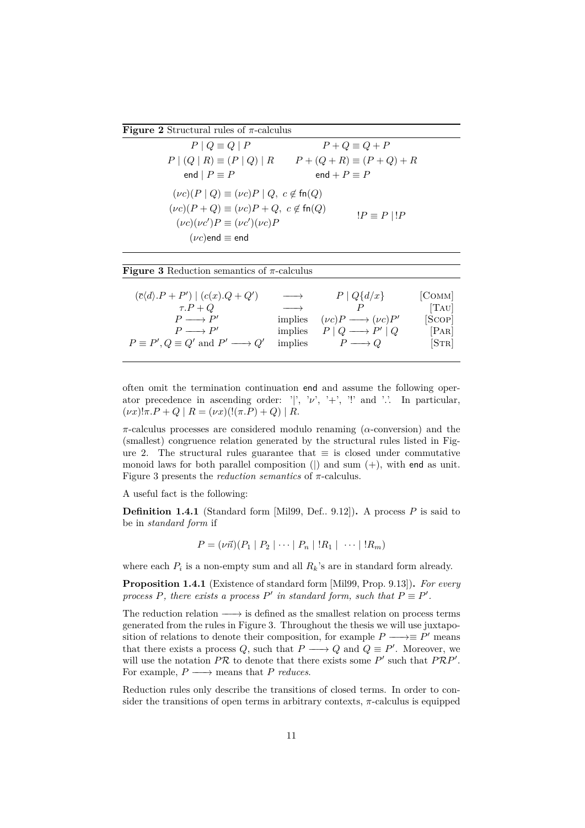<span id="page-11-0"></span>**Figure 2** Structural rules of *π*-calculus

| $P \mid Q \equiv Q \mid P$                                                       | $P + Q \equiv Q + P$             |  |  |  |  |
|----------------------------------------------------------------------------------|----------------------------------|--|--|--|--|
| $P (Q R) \equiv (P Q) R$                                                         | $P + (Q + R) \equiv (P + Q) + R$ |  |  |  |  |
| end $P \equiv P$                                                                 | end + $P \equiv P$               |  |  |  |  |
| $(\nu c)(P \mid Q) \equiv (\nu c)P \mid Q, c \notin \text{fn}(Q)$                |                                  |  |  |  |  |
| $(\nu c)(P+Q) \equiv (\nu c)P+Q, c \notin \text{fn}(Q)$<br>$!P \equiv P \mid !P$ |                                  |  |  |  |  |
| $(\nu c)(\nu c')P \equiv (\nu c')(\nu c)P$                                       |                                  |  |  |  |  |
| $(\nu c)$ end $\equiv$ end                                                       |                                  |  |  |  |  |

<span id="page-11-1"></span>

often omit the termination continuation end and assume the following operator precedence in ascending order: '|', ' $\nu'$ , '+', '!' and '.'. In particular,  $(\nu x)! \pi P + Q \mid R = (\nu x)! (\pi P) + Q \mid R$ .

*π*-calculus processes are considered modulo renaming (*α*-conversion) and the (smallest) congruence relation generated by the structural rules listed in [Fig](#page-11-0)[ure 2.](#page-11-0) The structural rules guarantee that  $\equiv$  is closed under commutative monoid laws for both parallel composition ( $\vert$ ) and sum  $(+)$ , with end as unit. [Figure 3](#page-11-1) presents the *reduction semantics* of *π*-calculus.

A useful fact is the following:

**Definition 1.4.1** (Standard form [\[Mil99,](#page-70-4) Def.. 9.12])**.** A process *P* is said to be in *standard form* if

$$
P = (\nu \vec{n})(P_1 | P_2 | \cdots | P_n | !R_1 | \cdots | !R_m)
$$

where each  $P_i$  is a non-empty sum and all  $R_k$ 's are in standard form already.

**Proposition 1.4.1** (Existence of standard form [\[Mil99,](#page-70-4) Prop. 9.13])**.** *For every process*  $P$ *, there exists a process*  $P'$  *in standard form, such that*  $P \equiv P'$ *.* 

The reduction relation  $\longrightarrow$  is defined as the smallest relation on process terms generated from the rules in [Figure 3.](#page-11-1) Throughout the thesis we will use juxtaposition of relations to denote their composition, for example  $P \longrightarrow \equiv P'$  means that there exists a process  $Q$ , such that  $P \longrightarrow Q$  and  $Q \equiv P'$ . Moreover, we will use the notation  $PR$  to denote that there exists some  $P'$  such that  $PRP'$ . For example,  $P \longrightarrow$  means that  $P$  *reduces*.

Reduction rules only describe the transitions of closed terms. In order to consider the transitions of open terms in arbitrary contexts,  $\pi$ -calculus is equipped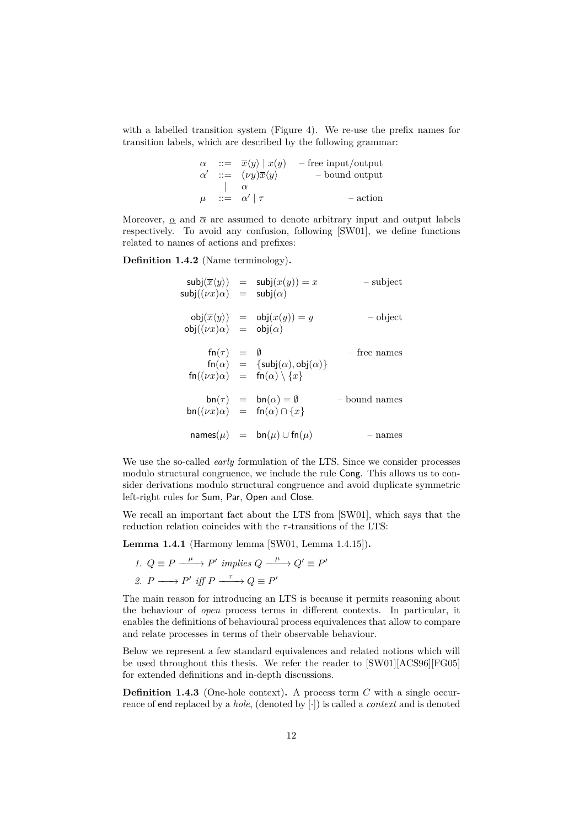with a labelled transition system [\(Figure 4\)](#page-13-0). We re-use the prefix names for transition labels, which are described by the following grammar:

$$
\begin{array}{rcl}\n\alpha & ::= & \overline{x}\langle y\rangle \mid x(y) & -\text{free input/output} \\
\alpha' & ::= & (\nu y)\overline{x}\langle y\rangle & -\text{ bound output} \\
& & | & \alpha \\
\mu & ::= & \alpha' \mid \tau & -\text{action}\n\end{array}
$$

Moreover,  $\alpha$  and  $\overline{\alpha}$  are assumed to denote arbitrary input and output labels respectively. To avoid any confusion, following [\[SW01\]](#page-72-0), we define functions related to names of actions and prefixes:

<span id="page-12-0"></span>**Definition 1.4.2** (Name terminology)**.**

$$
subj(\overline{x}\langle y\rangle) = subj(x(y)) = x \qquad \text{subject}
$$
\n
$$
subj((\nu x)\alpha) = subj(\alpha)
$$
\n
$$
obj(\overline{x}\langle y\rangle) = obj(x(y)) = y \qquad \text{object}
$$
\n
$$
obj((\nu x)\alpha) = obj(\alpha)
$$
\n
$$
fn(\tau) = \emptyset \qquad \text{free names}
$$
\n
$$
fn(\alpha) = {\text{subj}(\alpha), \text{obj}(\alpha)}
$$
\n
$$
fn((\nu x)\alpha) = fn(\alpha) \setminus \{x\}
$$
\n
$$
bn(\tau) = bn(\alpha) = \emptyset \qquad \text{bound names}
$$
\n
$$
bn((\nu x)\alpha) = fn(\alpha) \cap \{x\}
$$
\n
$$
names(\mu) = bn(\mu) \cup fn(\mu) \qquad \text{names}
$$

We use the so-called *early* formulation of the LTS. Since we consider processes modulo structural congruence, we include the rule Cong. This allows us to consider derivations modulo structural congruence and avoid duplicate symmetric left-right rules for Sum, Par, Open and Close.

We recall an important fact about the LTS from [\[SW01\]](#page-72-0), which says that the reduction relation coincides with the *τ* -transitions of the LTS:

**Lemma 1.4.1** (Harmony lemma [\[SW01,](#page-72-0) Lemma 1.4.15])**.**

*1.*  $Q \equiv P \xrightarrow{\mu} P'$  implies  $Q \xrightarrow{\mu} Q' \equiv P'$ 2.  $P \longrightarrow P'$  *iff*  $P \xrightarrow{\tau} Q \equiv P'$ 

The main reason for introducing an LTS is because it permits reasoning about the behaviour of *open* process terms in different contexts. In particular, it enables the definitions of behavioural process equivalences that allow to compare and relate processes in terms of their observable behaviour.

Below we represent a few standard equivalences and related notions which will be used throughout this thesis. We refer the reader to [\[SW01\]](#page-72-0)[\[ACS96\]](#page-66-1)[\[FG05\]](#page-68-5) for extended definitions and in-depth discussions.

**Definition 1.4.3** (One-hole context)**.** A process term *C* with a single occurrence of end replaced by a *hole*, (denoted by [·]) is called a *context* and is denoted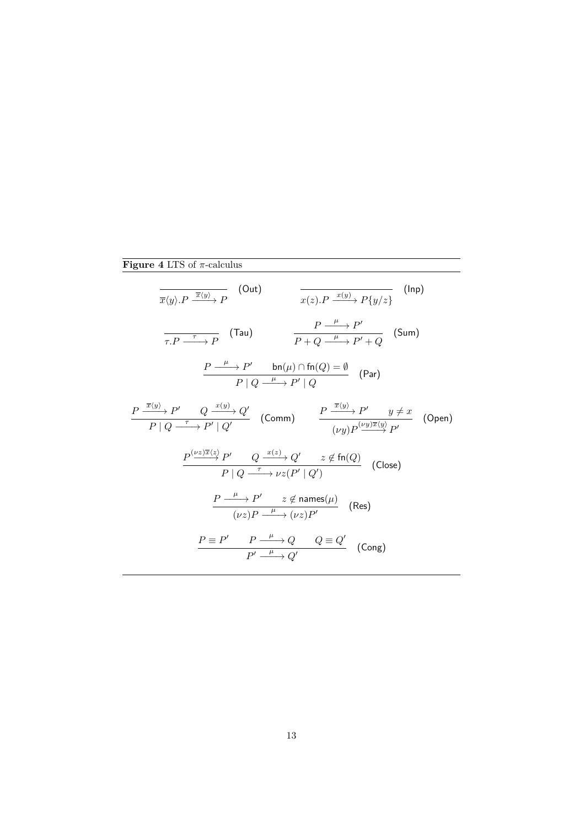# **Figure 4** LTS of *π*-calculus

<span id="page-13-0"></span>
$$
\frac{}{\overline{x}\langle y\rangle.P \xrightarrow{\overline{x}\langle y\rangle} P} \quad \text{(Out)} \quad \frac{}{\overline{x}\langle z\rangle.P \xrightarrow{x\langle y\rangle} P\{y/z\}} \quad \text{(Inp)}
$$
\n
$$
\frac{}{\overline{\tau.P \xrightarrow{\tau} P}} \quad \text{(Tau)} \quad \frac{}{\overline{P \xrightarrow{\mu} P'}} \quad P' \rightarrow P' \quad \text{(Sum)}
$$
\n
$$
\frac{}{\overline{P \xrightarrow{\mu} P'}} \quad \text{bn}(\mu) \cap \text{fn}(Q) = \emptyset \quad \text{(Par)}
$$
\n
$$
\frac{}{\overline{P \xrightarrow{\overline{x}\langle y\rangle} P'}} \quad Q \xrightarrow{x\langle y\rangle} Q' \quad \text{(Comm)} \quad \frac{}{\overline{P \xrightarrow{\overline{x}\langle y\rangle} P'}} \quad \frac{}{\overline{y} \neq x} \quad \text{(Open)}
$$
\n
$$
\frac{}{\overline{P \xrightarrow{\overline{x}\langle y\rangle} P'}} \quad Q \xrightarrow{x\langle y\rangle} Q' \quad z \notin \text{fn}(Q)} \quad \text{(Close)}
$$
\n
$$
\frac{}{\overline{P \xrightarrow{\mu} P'}} \quad Q \xrightarrow{x\langle z\rangle} Q' \quad z \notin \text{fn}(Q)} \quad \text{(Close)}
$$
\n
$$
\frac{}{\overline{P \xrightarrow{\mu} P'}} \quad z \notin \text{names}(\mu) \quad \text{(Case)}
$$
\n
$$
\frac{}{\overline{P \xrightarrow{\mu} P'}} \quad z \notin \text{names}(\mu) \quad \text{(Res)}
$$
\n
$$
\frac{}{\overline{P \xrightarrow{\mu} P'}} \quad P \rightarrow Q \quad Q \equiv Q' \quad \text{(Cong)}
$$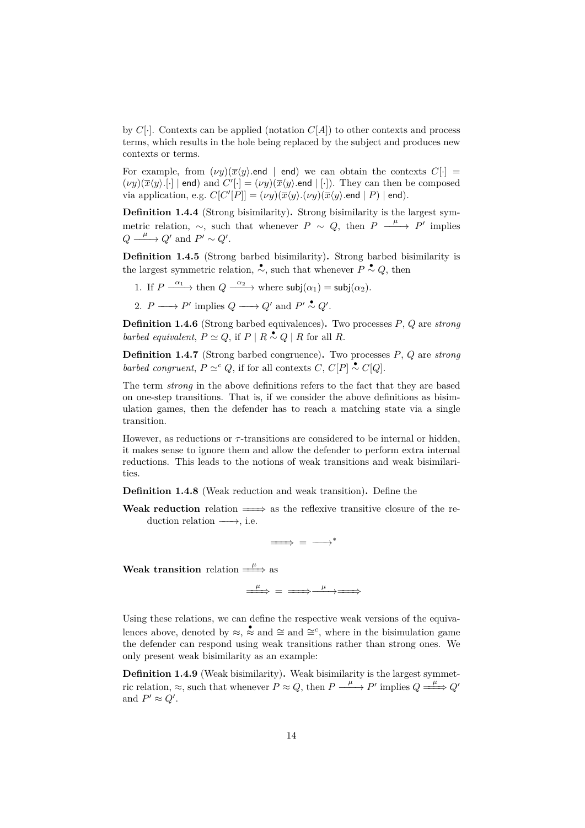by  $C[\cdot]$ . Contexts can be applied (notation  $C[A]$ ) to other contexts and process terms, which results in the hole being replaced by the subject and produces new contexts or terms.

For example, from  $(\nu y)(\overline{x}\langle y \rangle)$  end | end) we can obtain the contexts  $C[\cdot]$  =  $(\nu y)(\overline{x}\langle y\rangle)[\cdot]$  | end) and  $C'[\cdot] = (\nu y)(\overline{x}\langle y\rangle)$  end | [·]). They can then be composed via application, e.g.  $C[C'|P]] = (\nu y)(\overline{x}\langle y \rangle \ldotp (\nu y)(\overline{x}\langle y \rangle \ldotp \text{end} \mid P) | \text{end}).$ 

**Definition 1.4.4** (Strong bisimilarity)**.** Strong bisimilarity is the largest symmetric relation,  $\sim$ , such that whenever *P*  $\sim$  *Q*, then *P*  $\stackrel{\mu}{\longrightarrow}$  *P'* implies  $Q \xrightarrow{\mu} Q'$  and  $P' \sim Q'$ .

**Definition 1.4.5** (Strong barbed bisimilarity)**.** Strong barbed bisimilarity is the largest symmetric relation,  $\stackrel{\bullet}{\sim}$ , such that whenever  $P \stackrel{\bullet}{\sim} Q$ , then

- 1. If  $P \xrightarrow{\alpha_1}$  then  $Q \xrightarrow{\alpha_2}$  where  $\mathsf{subj}(\alpha_1) = \mathsf{subj}(\alpha_2)$ .
- 2.  $P \longrightarrow P'$  implies  $Q \longrightarrow Q'$  and  $P' \stackrel{\bullet}{\sim} Q'$ .

**Definition 1.4.6** (Strong barbed equivalences)**.** Two processes *P*, *Q* are *strong barbed equivalent*,  $P \simeq Q$ , if  $P | R \sim Q | R$  for all  $R$ .

**Definition 1.4.7** (Strong barbed congruence)**.** Two processes *P*, *Q* are *strong barbed congruent*,  $P \simeq^c Q$ , if for all contexts *C*,  $C[P] \sim C[Q]$ .

The term *strong* in the above definitions refers to the fact that they are based on one-step transitions. That is, if we consider the above definitions as bisimulation games, then the defender has to reach a matching state via a single transition.

However, as reductions or *τ* -transitions are considered to be internal or hidden, it makes sense to ignore them and allow the defender to perform extra internal reductions. This leads to the notions of weak transitions and weak bisimilarities.

**Definition 1.4.8** (Weak reduction and weak transition)**.** Define the

**Weak reduction** relation  $\implies$  as the reflexive transitive closure of the reduction relation  $\longrightarrow$ , i.e.

 $\implies$  =  $\longrightarrow^*$ 

**Weak transition** relation  $\Longrightarrow^{\mu}$  as

 $\stackrel{\mu}{\Longrightarrow}$  =  $\stackrel{\mu}{\Longrightarrow}$   $\stackrel{\mu}{\Longrightarrow}$ 

Using these relations, we can define the respective weak versions of the equivalences above, denoted by  $\approx$ ,  $\stackrel{\bullet}{\approx}$  and  $\cong$  and  $\cong^c$ , where in the bisimulation game the defender can respond using weak transitions rather than strong ones. We only present weak bisimilarity as an example:

**Definition 1.4.9** (Weak bisimilarity)**.** Weak bisimilarity is the largest symmetric relation,  $\approx$ , such that whenever  $P \approx Q$ , then  $P \xrightarrow{\mu} P'$  implies  $Q \xrightarrow{\mu} Q'$ and  $P' \approx Q'$ .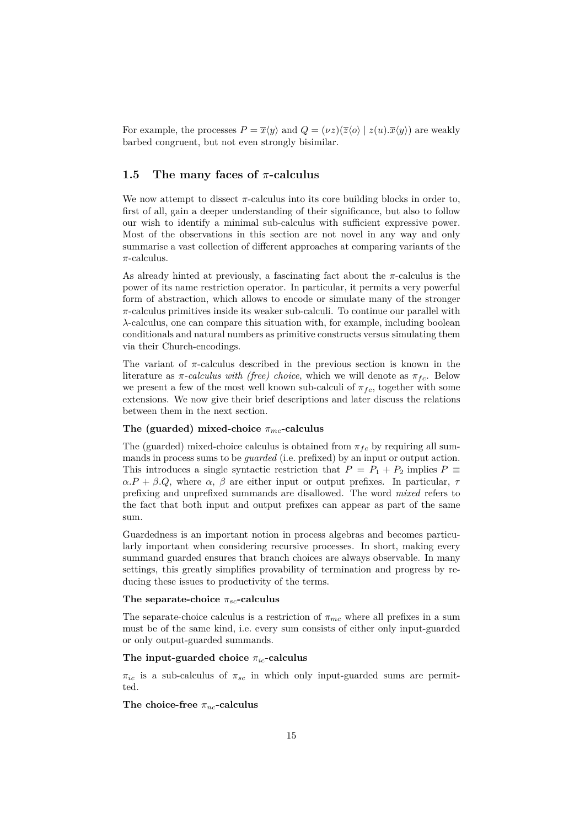For example, the processes  $P = \overline{x}\langle y \rangle$  and  $Q = (\nu z)(\overline{z}\langle o \rangle | z(u).\overline{x}\langle y \rangle)$  are weakly barbed congruent, but not even strongly bisimilar.

### <span id="page-15-0"></span>**1.5 The many faces of** *π***-calculus**

We now attempt to dissect  $\pi$ -calculus into its core building blocks in order to, first of all, gain a deeper understanding of their significance, but also to follow our wish to identify a minimal sub-calculus with sufficient expressive power. Most of the observations in this section are not novel in any way and only summarise a vast collection of different approaches at comparing variants of the *π*-calculus.

As already hinted at previously, a fascinating fact about the  $\pi$ -calculus is the power of its name restriction operator. In particular, it permits a very powerful form of abstraction, which allows to encode or simulate many of the stronger *π*-calculus primitives inside its weaker sub-calculi. To continue our parallel with *λ*-calculus, one can compare this situation with, for example, including boolean conditionals and natural numbers as primitive constructs versus simulating them via their Church-encodings.

The variant of  $\pi$ -calculus described in the previous section is known in the literature as  $\pi$ -calculus with (free) choice, which we will denote as  $\pi_{fc}$ . Below we present a few of the most well known sub-calculi of  $\pi_{fc}$ , together with some extensions. We now give their brief descriptions and later discuss the relations between them in the next section.

#### **The (guarded) mixed-choice** *πmc***-calculus**

The (guarded) mixed-choice calculus is obtained from  $\pi_{fc}$  by requiring all summands in process sums to be *guarded* (i.e. prefixed) by an input or output action. This introduces a single syntactic restriction that  $P = P_1 + P_2$  implies  $P \equiv$  $\alpha.P + \beta.Q$ , where  $\alpha$ ,  $\beta$  are either input or output prefixes. In particular,  $\tau$ prefixing and unprefixed summands are disallowed. The word *mixed* refers to the fact that both input and output prefixes can appear as part of the same sum.

Guardedness is an important notion in process algebras and becomes particularly important when considering recursive processes. In short, making every summand guarded ensures that branch choices are always observable. In many settings, this greatly simplifies provability of termination and progress by reducing these issues to productivity of the terms.

#### **The separate-choice** *πsc***-calculus**

The separate-choice calculus is a restriction of  $\pi_{mc}$  where all prefixes in a sum must be of the same kind, i.e. every sum consists of either only input-guarded or only output-guarded summands.

#### **The input-guarded choice** *πic***-calculus**

 $\pi_{ic}$  is a sub-calculus of  $\pi_{sc}$  in which only input-guarded sums are permitted.

#### The choice-free  $\pi_{nc}$ -calculus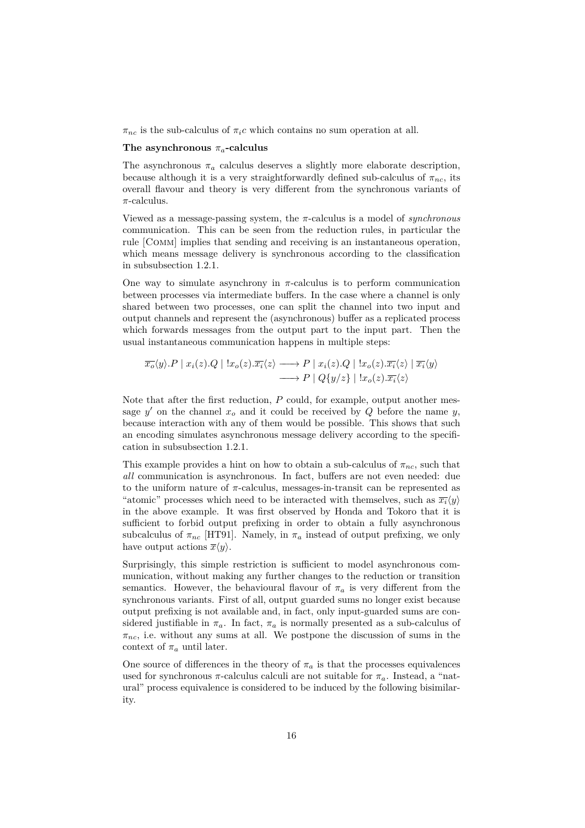$\pi_{nc}$  is the sub-calculus of  $\pi_i c$  which contains no sum operation at all.

#### **The asynchronous** *πa***-calculus**

The asynchronous  $\pi_a$  calculus deserves a slightly more elaborate description, because although it is a very straightforwardly defined sub-calculus of  $\pi_{nc}$ , its overall flavour and theory is very different from the synchronous variants of *π*-calculus.

Viewed as a message-passing system, the *π*-calculus is a model of *synchronous* communication. This can be seen from the reduction rules, in particular the rule [Comm] implies that sending and receiving is an instantaneous operation, which means message delivery is synchronous according to the classification in [subsubsection 1.2.1.](#page-5-1)

One way to simulate asynchrony in  $\pi$ -calculus is to perform communication between processes via intermediate buffers. In the case where a channel is only shared between two processes, one can split the channel into two input and output channels and represent the (asynchronous) buffer as a replicated process which forwards messages from the output part to the input part. Then the usual instantaneous communication happens in multiple steps:

$$
\overline{x_o}\langle y \rangle \cdot P \mid x_i(z) \cdot Q \mid !x_o(z) \cdot \overline{x_i}\langle z \rangle \longrightarrow P \mid x_i(z) \cdot Q \mid !x_o(z) \cdot \overline{x_i}\langle z \rangle \mid \overline{x_i}\langle y \rangle
$$
  

$$
\longrightarrow P \mid Q\{y/z\} \mid !x_o(z) \cdot \overline{x_i}\langle z \rangle
$$

Note that after the first reduction, *P* could, for example, output another message  $y'$  on the channel  $x_o$  and it could be received by  $Q$  before the name  $y$ , because interaction with any of them would be possible. This shows that such an encoding simulates asynchronous message delivery according to the specification in [subsubsection 1.2.1.](#page-5-1)

This example provides a hint on how to obtain a sub-calculus of  $\pi_{nc}$ , such that *all* communication is asynchronous. In fact, buffers are not even needed: due to the uniform nature of  $\pi$ -calculus, messages-in-transit can be represented as "atomic" processes which need to be interacted with themselves, such as  $\overline{x_i}\langle y \rangle$ in the above example. It was first observed by Honda and Tokoro that it is sufficient to forbid output prefixing in order to obtain a fully asynchronous subcalculus of  $\pi_{nc}$  [\[HT91\]](#page-69-1). Namely, in  $\pi_a$  instead of output prefixing, we only have output actions  $\overline{x}\langle y \rangle$ .

Surprisingly, this simple restriction is sufficient to model asynchronous communication, without making any further changes to the reduction or transition semantics. However, the behavioural flavour of  $\pi_a$  is very different from the synchronous variants. First of all, output guarded sums no longer exist because output prefixing is not available and, in fact, only input-guarded sums are considered justifiable in  $\pi_a$ . In fact,  $\pi_a$  is normally presented as a sub-calculus of *πnc*, i.e. without any sums at all. We postpone the discussion of sums in the context of  $\pi_a$  until later.

One source of differences in the theory of  $\pi_a$  is that the processes equivalences used for synchronous  $\pi$ -calculus calculi are not suitable for  $\pi_a$ . Instead, a "natural" process equivalence is considered to be induced by the following bisimilarity.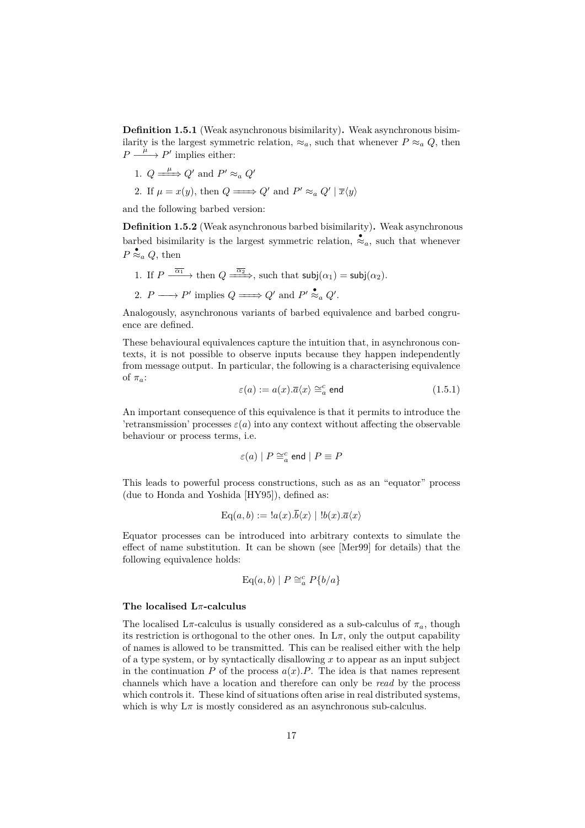**Definition 1.5.1** (Weak asynchronous bisimilarity)**.** Weak asynchronous bisimilarity is the largest symmetric relation,  $\approx_a$ , such that whenever  $P \approx_a Q$ , then  $P \xrightarrow{\mu} P'$  implies either:

- 1.  $Q \longrightarrow Q'$  and  $P' \approx_a Q'$
- 2. If  $\mu = x(y)$ , then  $Q \longrightarrow Q'$  and  $P' \approx_a Q' | \overline{x} \langle y \rangle$

and the following barbed version:

**Definition 1.5.2** (Weak asynchronous barbed bisimilarity)**.** Weak asynchronous barbed bisimilarity is the largest symmetric relation,  $\stackrel{\bullet}{\approx}_a$ , such that whenever  $P \stackrel{\bullet}{\approx}_a Q$ , then

- 1. If  $P \xrightarrow{\overline{\alpha_1}}$  then  $Q \xrightarrow{\overline{\alpha_2}}$ , such that  $\mathsf{subj}(\alpha_1) = \mathsf{subj}(\alpha_2)$ .
- 2.  $P \longrightarrow P'$  implies  $Q \longrightarrow Q'$  and  $P' \stackrel{\bullet}{\approx}_a Q'$ .

Analogously, asynchronous variants of barbed equivalence and barbed congruence are defined.

<span id="page-17-0"></span>These behavioural equivalences capture the intuition that, in asynchronous contexts, it is not possible to observe inputs because they happen independently from message output. In particular, the following is a characterising equivalence of  $\pi_a$ :

$$
\varepsilon(a) := a(x).\overline{a}\langle x \rangle \cong_a^c \text{end} \tag{1.5.1}
$$

An important consequence of this equivalence is that it permits to introduce the 'retransmission' processes  $\varepsilon$ (*a*) into any context without affecting the observable behaviour or process terms, i.e.

$$
\varepsilon(a) | P \cong_a^c \text{end} | P \equiv P
$$

This leads to powerful process constructions, such as as an "equator" process (due to Honda and Yoshida [\[HY95\]](#page-69-5)), defined as:

$$
Eq(a, b) := \langle a(x), \overline{b}\langle x \rangle \mid \langle b(x), \overline{a}\langle x \rangle \rangle
$$

Equator processes can be introduced into arbitrary contexts to simulate the effect of name substitution. It can be shown (see [\[Mer99\]](#page-70-8) for details) that the following equivalence holds:

$$
\operatorname{Eq}(a,b) \mid P \cong_a^c P\{b/a\}
$$

#### **The localised L***π***-calculus**

The localised  $L\pi$ -calculus is usually considered as a sub-calculus of  $\pi_a$ , though its restriction is orthogonal to the other ones. In  $L\pi$ , only the output capability of names is allowed to be transmitted. This can be realised either with the help of a type system, or by syntactically disallowing *x* to appear as an input subject in the continuation  $P$  of the process  $a(x)$ *.P*. The idea is that names represent channels which have a location and therefore can only be *read* by the process which controls it. These kind of situations often arise in real distributed systems, which is why  $L\pi$  is mostly considered as an asynchronous sub-calculus.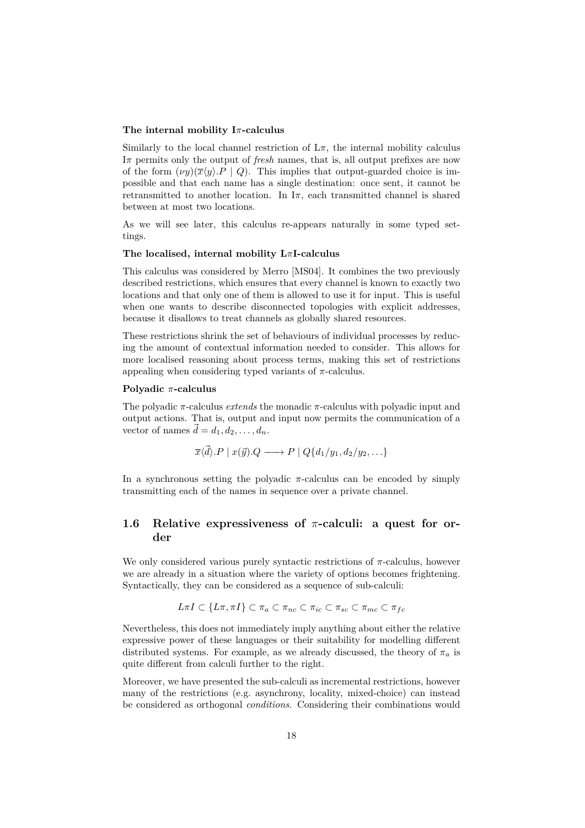#### **The internal mobility I***π***-calculus**

Similarly to the local channel restriction of  $L\pi$ , the internal mobility calculus I*π* permits only the output of *fresh* names, that is, all output prefixes are now of the form  $(\nu y)(\overline{x}\langle y\rangle.P \mid Q)$ . This implies that output-guarded choice is impossible and that each name has a single destination: once sent, it cannot be retransmitted to another location. In  $I_{\pi}$ , each transmitted channel is shared between at most two locations.

As we will see later, this calculus re-appears naturally in some typed settings.

### **The localised, internal mobility L***π***I-calculus**

This calculus was considered by Merro [\[MS04\]](#page-70-0). It combines the two previously described restrictions, which ensures that every channel is known to exactly two locations and that only one of them is allowed to use it for input. This is useful when one wants to describe disconnected topologies with explicit addresses, because it disallows to treat channels as globally shared resources.

These restrictions shrink the set of behaviours of individual processes by reducing the amount of contextual information needed to consider. This allows for more localised reasoning about process terms, making this set of restrictions appealing when considering typed variants of  $\pi$ -calculus.

#### **Polyadic** *π***-calculus**

The polyadic *π*-calculus *extends* the monadic *π*-calculus with polyadic input and output actions. That is, output and input now permits the communication of a vector of names  $\vec{d} = d_1, d_2, \ldots, d_n$ .

$$
\overline{x}\langle \overrightarrow{d} \rangle.P \mid x(\overrightarrow{y}).Q \longrightarrow P \mid Q\{d_1/y_1, d_2/y_2, \ldots\}
$$

In a synchronous setting the polyadic  $\pi$ -calculus can be encoded by simply transmitting each of the names in sequence over a private channel.

# <span id="page-18-0"></span>**1.6 Relative expressiveness of** *π***-calculi: a quest for order**

We only considered various purely syntactic restrictions of *π*-calculus, however we are already in a situation where the variety of options becomes frightening. Syntactically, they can be considered as a sequence of sub-calculi:

$$
L\pi I \subset \{L\pi, \pi I\} \subset \pi_a \subset \pi_{nc} \subset \pi_{ic} \subset \pi_{sc} \subset \pi_{mc} \subset \pi_{fc}
$$

Nevertheless, this does not immediately imply anything about either the relative expressive power of these languages or their suitability for modelling different distributed systems. For example, as we already discussed, the theory of  $\pi_a$  is quite different from calculi further to the right.

Moreover, we have presented the sub-calculi as incremental restrictions, however many of the restrictions (e.g. asynchrony, locality, mixed-choice) can instead be considered as orthogonal *conditions*. Considering their combinations would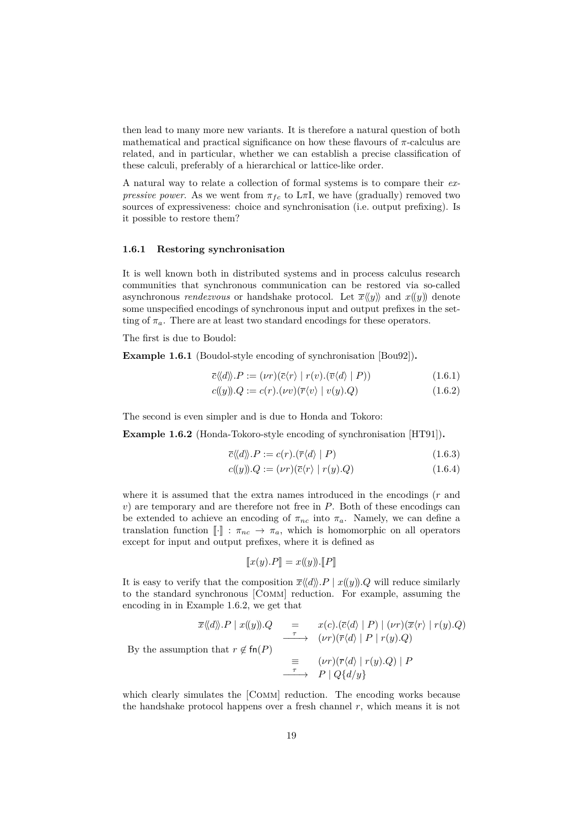then lead to many more new variants. It is therefore a natural question of both mathematical and practical significance on how these flavours of  $\pi$ -calculus are related, and in particular, whether we can establish a precise classification of these calculi, preferably of a hierarchical or lattice-like order.

A natural way to relate a collection of formal systems is to compare their *expressive power*. As we went from  $\pi_{fc}$  to L $\pi$ I, we have (gradually) removed two sources of expressiveness: choice and synchronisation (i.e. output prefixing). Is it possible to restore them?

#### <span id="page-19-0"></span>**1.6.1 Restoring synchronisation**

It is well known both in distributed systems and in process calculus research communities that synchronous communication can be restored via so-called asynchronous *rendezvous* or handshake protocol. Let  $\overline{x}\langle\langle y \rangle\rangle$  and  $x(\langle y \rangle)$  denote some unspecified encodings of synchronous input and output prefixes in the setting of  $\pi_a$ . There are at least two standard encodings for these operators.

<span id="page-19-2"></span>The first is due to Boudol:

**Example 1.6.1** (Boudol-style encoding of synchronisation [\[Bou92\]](#page-67-1))**.**

$$
\overline{c}\langle\!\langle d \rangle\!\rangle.P := (\nu r)(\overline{c}\langle r \rangle \mid r(v).(\overline{v}\langle d \rangle \mid P)) \tag{1.6.1}
$$

$$
c((y)).Q := c(r).(\nu v)(\overline{r}\langle v \rangle \mid v(y).Q) \tag{1.6.2}
$$

The second is even simpler and is due to Honda and Tokoro:

<span id="page-19-1"></span>**Example 1.6.2** (Honda-Tokoro-style encoding of synchronisation [\[HT91\]](#page-69-1))**.**

$$
\overline{c}\langle\langle d\rangle\rangle.P := c(r).(\overline{r}\langle d\rangle \mid P) \tag{1.6.3}
$$

$$
c(\!(y)\!).Q := (\nu r)(\overline{c}\langle r \rangle \mid r(y).Q) \tag{1.6.4}
$$

where it is assumed that the extra names introduced in the encodings (*r* and *v*) are temporary and are therefore not free in *P*. Both of these encodings can be extended to achieve an encoding of  $\pi_{nc}$  into  $\pi_a$ . Namely, we can define a translation function  $\llbracket \cdot \rrbracket : \pi_{nc} \to \pi_a$ , which is homomorphic on all operators except for input and output prefixes, where it is defined as

$$
[\![x(y).P]\!] = x(\!(y)\!). [\![P]\!]
$$

It is easy to verify that the composition  $\overline{x}\langle\langle d\rangle\rangle$ *.P* | *x*((*y*))*.Q* will reduce similarly to the standard synchronous [Comm] reduction. For example, assuming the encoding in in [Example 1.6.2,](#page-19-1) we get that

$$
\overline{x}\langle d\rangle P \mid x(\langle y) \rangle Q = x(c) \cdot (\overline{c}\langle d\rangle \mid P) \mid (\nu r)(\overline{x}\langle r\rangle \mid r(y) \cdot Q)
$$
  
By the assumption that  $r \notin \text{fn}(P)$   

$$
\equiv (\nu r)(\overline{r}\langle d\rangle \mid r(y) \cdot Q) \mid P
$$
  

$$
\xrightarrow{\tau} P \mid Q\{d/y\}
$$

which clearly simulates the [COMM] reduction. The encoding works because the handshake protocol happens over a fresh channel *r*, which means it is not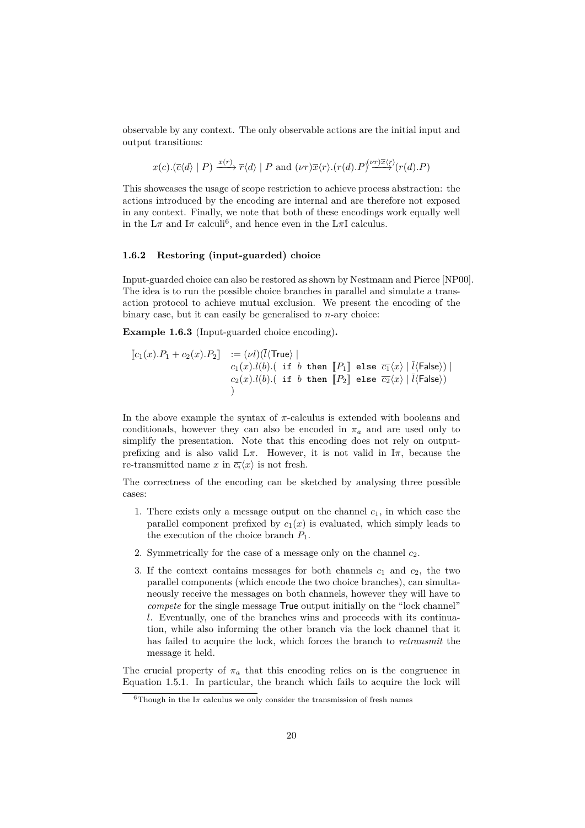observable by any context. The only observable actions are the initial input and output transitions:

$$
x(c).(\overline{c}\langle d\rangle | P) \xrightarrow{x(r)} \overline{r}\langle d\rangle | P \text{ and } (\nu r)\overline{x}\langle r\rangle.(r(d).P)^{(\nu r)\overline{x}\langle r\rangle}(r(d).P)
$$

This showcases the usage of scope restriction to achieve process abstraction: the actions introduced by the encoding are internal and are therefore not exposed in any context. Finally, we note that both of these encodings work equally well in the  $L\pi$  and  $I\pi$  calculi<sup>[6](#page-20-1)</sup>, and hence even in the  $L\pi$ I calculus.

#### <span id="page-20-0"></span>**1.6.2 Restoring (input-guarded) choice**

Input-guarded choice can also be restored as shown by Nestmann and Pierce [\[NP00\]](#page-70-9). The idea is to run the possible choice branches in parallel and simulate a transaction protocol to achieve mutual exclusion. We present the encoding of the binary case, but it can easily be generalised to *n*-ary choice:

<span id="page-20-2"></span>**Example 1.6.3** (Input-guarded choice encoding)**.**

$$
\begin{array}{lll}\n\left[ c_1(x).P_1 + c_2(x).P_2 \right] & := (\nu l)(\overline{l}\langle \text{True} \rangle \mid \\
& c_1(x).l(b).(\text{ if } b \text{ then } [\![P_1]\!]\!] \text{ else } \overline{c_1}\langle x \rangle \mid \overline{l}\langle \text{False} \rangle) \mid \\
& c_2(x).l(b).(\text{ if } b \text{ then } [\![P_2]\!]\!] \text{ else } \overline{c_2}\langle x \rangle \mid \overline{l}\langle \text{False} \rangle)\n\end{array}
$$

In the above example the syntax of *π*-calculus is extended with booleans and conditionals, however they can also be encoded in  $\pi_a$  and are used only to simplify the presentation. Note that this encoding does not rely on outputprefixing and is also valid L*π*. However, it is not valid in I*π*, because the re-transmitted name x in  $\overline{c_i}\langle x \rangle$  is not fresh.

The correctness of the encoding can be sketched by analysing three possible cases:

- 1. There exists only a message output on the channel  $c_1$ , in which case the parallel component prefixed by  $c_1(x)$  is evaluated, which simply leads to the execution of the choice branch  $P_1$ .
- 2. Symmetrically for the case of a message only on the channel *c*2.
- 3. If the context contains messages for both channels  $c_1$  and  $c_2$ , the two parallel components (which encode the two choice branches), can simultaneously receive the messages on both channels, however they will have to *compete* for the single message True output initially on the "lock channel" *l*. Eventually, one of the branches wins and proceeds with its continuation, while also informing the other branch via the lock channel that it has failed to acquire the lock, which forces the branch to *retransmit* the message it held.

The crucial property of  $\pi_a$  that this encoding relies on is the congruence in [Equation 1.5.1.](#page-17-0) In particular, the branch which fails to acquire the lock will

<span id="page-20-1"></span><sup>&</sup>lt;sup>6</sup>Though in the I $\pi$  calculus we only consider the transmission of fresh names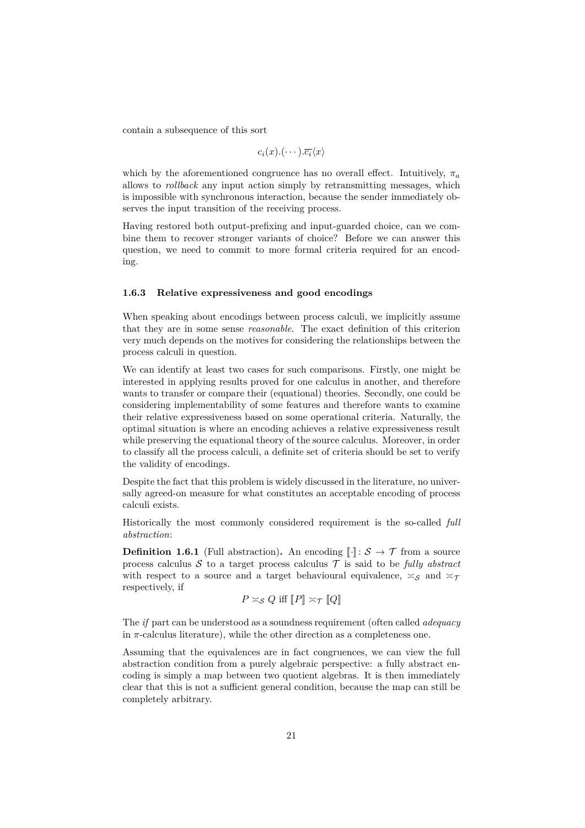contain a subsequence of this sort

$$
c_i(x).(\cdots).\overline{c_i}\langle x\rangle
$$

which by the aforementioned congruence has no overall effect. Intuitively,  $\pi_a$ allows to *rollback* any input action simply by retransmitting messages, which is impossible with synchronous interaction, because the sender immediately observes the input transition of the receiving process.

Having restored both output-prefixing and input-guarded choice, can we combine them to recover stronger variants of choice? Before we can answer this question, we need to commit to more formal criteria required for an encoding.

#### <span id="page-21-0"></span>**1.6.3 Relative expressiveness and good encodings**

When speaking about encodings between process calculi, we implicitly assume that they are in some sense *reasonable*. The exact definition of this criterion very much depends on the motives for considering the relationships between the process calculi in question.

We can identify at least two cases for such comparisons. Firstly, one might be interested in applying results proved for one calculus in another, and therefore wants to transfer or compare their (equational) theories. Secondly, one could be considering implementability of some features and therefore wants to examine their relative expressiveness based on some operational criteria. Naturally, the optimal situation is where an encoding achieves a relative expressiveness result while preserving the equational theory of the source calculus. Moreover, in order to classify all the process calculi, a definite set of criteria should be set to verify the validity of encodings.

Despite the fact that this problem is widely discussed in the literature, no universally agreed-on measure for what constitutes an acceptable encoding of process calculi exists.

Historically the most commonly considered requirement is the so-called *full abstraction*:

**Definition 1.6.1** (Full abstraction). An encoding  $\llbracket \cdot \rrbracket : \mathcal{S} \to \mathcal{T}$  from a source process calculus  $S$  to a target process calculus  $T$  is said to be *fully abstract* with respect to a source and a target behavioural equivalence,  $\approx_{\mathcal{S}}$  and  $\approx_{\mathcal{T}}$ respectively, if

$$
P \asymp_{\mathcal{S}} Q \text{ iff } [P] \asymp_{\mathcal{T}} [Q]
$$

The *if* part can be understood as a soundness requirement (often called *adequacy* in  $\pi$ -calculus literature), while the other direction as a completeness one.

Assuming that the equivalences are in fact congruences, we can view the full abstraction condition from a purely algebraic perspective: a fully abstract encoding is simply a map between two quotient algebras. It is then immediately clear that this is not a sufficient general condition, because the map can still be completely arbitrary.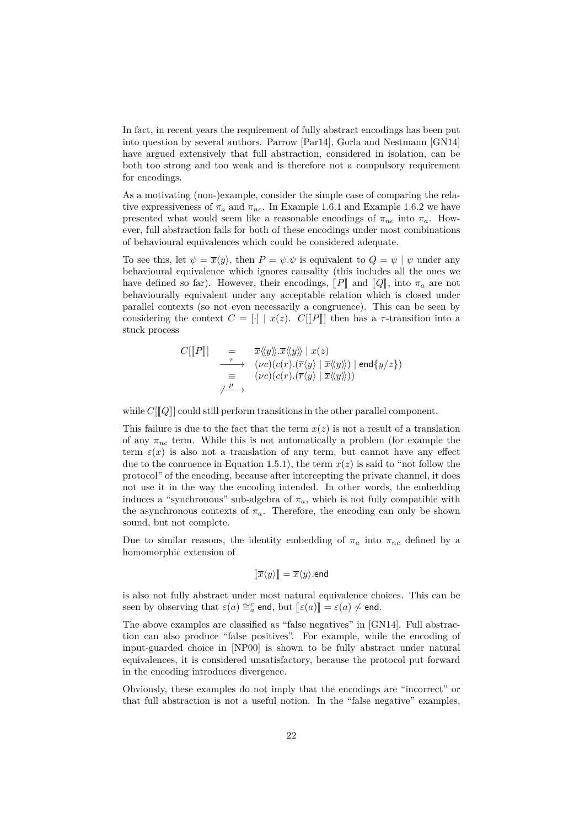In fact, in recent years the requirement of fully abstract encodings has been put into question by several authors. Parrow [\[Par14\]](#page-71-2), Gorla and Nestmann [\[GN14\]](#page-69-6) have argued extensively that full abstraction, considered in isolation, can be both too strong and too weak and is therefore not a compulsory requirement for encodings.

As a motivating (non-)example, consider the simple case of comparing the relative expressiveness of  $\pi_a$  and  $\pi_{nc}$ . In [Example 1.6.1](#page-19-2) and [Example 1.6.2](#page-19-1) we have presented what would seem like a reasonable encodings of  $\pi_{nc}$  into  $\pi_a$ . However, full abstraction fails for both of these encodings under most combinations of behavioural equivalences which could be considered adequate.

To see this, let  $\psi = \overline{x}\langle y \rangle$ , then  $P = \psi \psi$  is equivalent to  $Q = \psi \psi$  under any behavioural equivalence which ignores causality (this includes all the ones we have defined so far). However, their encodings,  $\llbracket P \rrbracket$  and  $\llbracket Q \rrbracket$ , into  $\pi_a$  are not behaviourally equivalent under any acceptable relation which is closed under parallel contexts (so not even necessarily a congruence). This can be seen by considering the context  $C = [\cdot] | x(z)$ .  $C[[P]]$  then has a *τ*-transition into a stuck process

$$
C[[P]] = \overline{x} \langle \langle y \rangle \rangle . \overline{x} \langle \langle y \rangle \mid x(z)
$$
  
\n
$$
\xrightarrow[\tau \to \infty]{} (vc)(c(r).(\overline{r} \langle y \rangle \mid \overline{x} \langle \langle y \rangle)) \mid \text{end}\{y/z\})
$$
  
\n
$$
\equiv (vc)(c(r).(\overline{r} \langle y \rangle \mid \overline{x} \langle \langle y \rangle)) )
$$
  
\n
$$
\xrightarrow{\mu}
$$

while  $C[[Q]]$  could still perform transitions in the other parallel component.

This failure is due to the fact that the term *x*(*z*) is not a result of a translation of any  $\pi_{nc}$  term. While this is not automatically a problem (for example the term  $\varepsilon(x)$  is also not a translation of any term, but cannot have any effect due to the conruence in [Equation 1.5.1\)](#page-17-0), the term  $x(z)$  is said to "not follow the protocol" of the encoding, because after intercepting the private channel, it does not use it in the way the encoding intended. In other words, the embedding induces a "synchronous" sub-algebra of  $\pi_a$ , which is not fully compatible with the asynchronous contexts of  $\pi_a$ . Therefore, the encoding can only be shown sound, but not complete.

Due to similar reasons, the identity embedding of  $\pi_a$  into  $\pi_{nc}$  defined by a homomorphic extension of

$$
[\![\overline{x}\langle y\rangle]\!]=\overline{x}\langle y\rangle.\mathsf{end}
$$

is also not fully abstract under most natural equivalence choices. This can be seen by observing that  $\varepsilon(a) \cong_a^c$  end, but  $[\![\varepsilon(a)]\!] = \varepsilon(a) \nsim \infty$  end.

The above examples are classified as "false negatives" in [\[GN14\]](#page-69-6). Full abstraction can also produce "false positives". For example, while the encoding of input-guarded choice in [\[NP00\]](#page-70-9) is shown to be fully abstract under natural equivalences, it is considered unsatisfactory, because the protocol put forward in the encoding introduces divergence.

Obviously, these examples do not imply that the encodings are "incorrect" or that full abstraction is not a useful notion. In the "false negative" examples,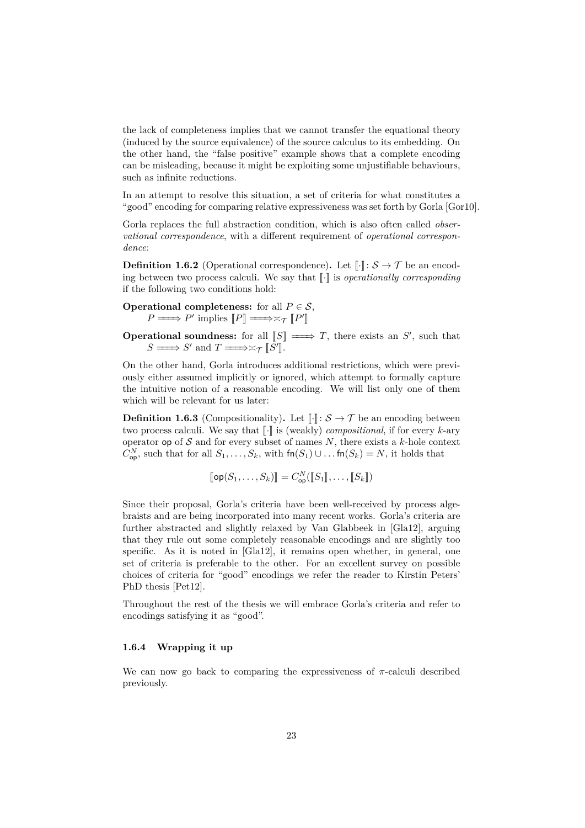the lack of completeness implies that we cannot transfer the equational theory (induced by the source equivalence) of the source calculus to its embedding. On the other hand, the "false positive" example shows that a complete encoding can be misleading, because it might be exploiting some unjustifiable behaviours, such as infinite reductions.

In an attempt to resolve this situation, a set of criteria for what constitutes a "good" encoding for comparing relative expressiveness was set forth by Gorla [\[Gor10\]](#page-69-4).

Gorla replaces the full abstraction condition, which is also often called *observational correspondence*, with a different requirement of *operational correspondence*:

**Definition 1.6.2** (Operational correspondence). Let  $\llbracket \cdot \rrbracket : \mathcal{S} \to \mathcal{T}$  be an encoding between two process calculi. We say that  $\llbracket \cdot \rrbracket$  is *operationally corresponding* if the following two conditions hold:

**Operational completeness:** for all  $P \in \mathcal{S}$ ,  $P \longrightarrow P'$  implies  $[P] \longrightarrow \times_{\mathcal{T}} [P'$ l<br>I

**Operational soundness:** for all  $[S] \implies T$ , there exists an *S'*, such that  $S \longrightarrow S'$  and  $T \longrightarrow \asymp_{\mathcal{T}} [S']$ .

On the other hand, Gorla introduces additional restrictions, which were previously either assumed implicitly or ignored, which attempt to formally capture the intuitive notion of a reasonable encoding. We will list only one of them which will be relevant for us later:

**Definition 1.6.3** (Compositionality). Let  $\llbracket \cdot \rrbracket : \mathcal{S} \to \mathcal{T}$  be an encoding between two process calculi. We say that  $\llbracket \cdot \rrbracket$  is (weakly) *compositional*, if for every *k*-ary operator op of  $S$  and for every subset of names  $N$ , there exists a  $k$ -hole context  $C_{\mathsf{op}}^N$ , such that for all  $S_1, \ldots, S_k$ , with  $\mathsf{fn}(S_1) \cup \ldots \mathsf{fn}(S_k) = N$ , it holds that

$$
[\![\mathsf{op}(S_1,\ldots,S_k)]\!]=C_{\mathsf{op}}^N([\![S_1]\!],\ldots,[\![S_k]\!])
$$

Since their proposal, Gorla's criteria have been well-received by process algebraists and are being incorporated into many recent works. Gorla's criteria are further abstracted and slightly relaxed by Van Glabbeek in [\[Gla12\]](#page-68-4), arguing that they rule out some completely reasonable encodings and are slightly too specific. As it is noted in [\[Gla12\]](#page-68-4), it remains open whether, in general, one set of criteria is preferable to the other. For an excellent survey on possible choices of criteria for "good" encodings we refer the reader to Kirstin Peters' PhD thesis [\[Pet12\]](#page-71-4).

Throughout the rest of the thesis we will embrace Gorla's criteria and refer to encodings satisfying it as "good".

#### <span id="page-23-0"></span>**1.6.4 Wrapping it up**

We can now go back to comparing the expressiveness of  $\pi$ -calculi described previously.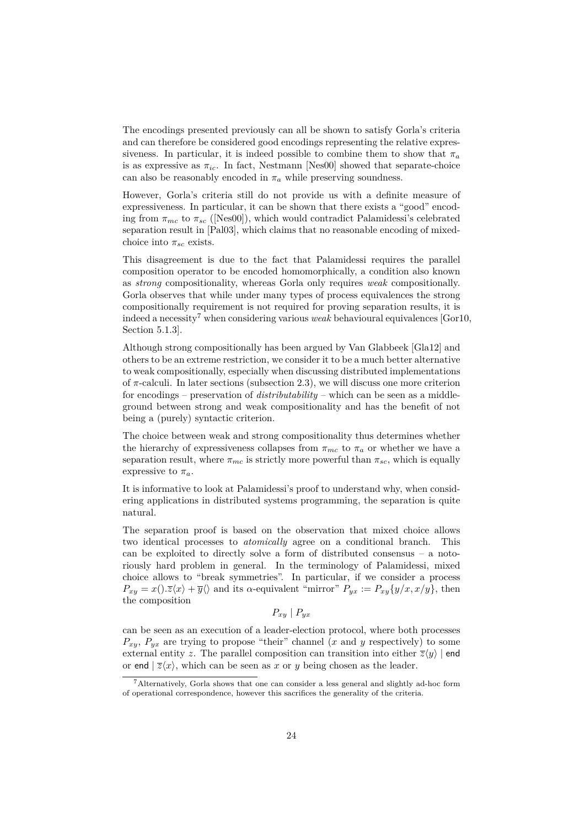The encodings presented previously can all be shown to satisfy Gorla's criteria and can therefore be considered good encodings representing the relative expressiveness. In particular, it is indeed possible to combine them to show that  $\pi_a$ is as expressive as  $\pi_{ic}$ . In fact, Nestmann [\[Nes00\]](#page-70-10) showed that separate-choice can also be reasonably encoded in  $\pi_a$  while preserving soundness.

However, Gorla's criteria still do not provide us with a definite measure of expressiveness. In particular, it can be shown that there exists a "good" encoding from  $\pi_{mc}$  to  $\pi_{sc}$  ([\[Nes00\]](#page-70-10)), which would contradict Palamidessi's celebrated separation result in [\[Pal03\]](#page-70-5), which claims that no reasonable encoding of mixedchoice into  $\pi_{sc}$  exists.

This disagreement is due to the fact that Palamidessi requires the parallel composition operator to be encoded homomorphically, a condition also known as *strong* compositionality, whereas Gorla only requires *weak* compositionally. Gorla observes that while under many types of process equivalences the strong compositionally requirement is not required for proving separation results, it is indeed a necessity<sup>[7](#page-24-0)</sup> when considering various *weak* behavioural equivalences [\[Gor10,](#page-69-4) Section 5.1.3].

Although strong compositionally has been argued by Van Glabbeek [\[Gla12\]](#page-68-4) and others to be an extreme restriction, we consider it to be a much better alternative to weak compositionally, especially when discussing distributed implementations of *π*-calculi. In later sections [\(subsection 2.3\)](#page-44-1), we will discuss one more criterion for encodings – preservation of *distributability* – which can be seen as a middleground between strong and weak compositionality and has the benefit of not being a (purely) syntactic criterion.

The choice between weak and strong compositionality thus determines whether the hierarchy of expressiveness collapses from  $\pi_{mc}$  to  $\pi_a$  or whether we have a separation result, where  $\pi_{mc}$  is strictly more powerful than  $\pi_{sc}$ , which is equally expressive to  $\pi_a$ .

It is informative to look at Palamidessi's proof to understand why, when considering applications in distributed systems programming, the separation is quite natural.

The separation proof is based on the observation that mixed choice allows two identical processes to *atomically* agree on a conditional branch. This can be exploited to directly solve a form of distributed consensus – a notoriously hard problem in general. In the terminology of Palamidessi, mixed choice allows to "break symmetries". In particular, if we consider a process  $P_{xy} = x() \cdot \overline{z}\langle x \rangle + \overline{y}\langle \rangle$  and its *α*-equivalent "mirror"  $P_{yx} := P_{xy}\{y/x, x/y\}$ , then the composition

$$
P_{xy} \mid P_{yx}
$$

can be seen as an execution of a leader-election protocol, where both processes  $P_{xy}$ ,  $P_{yx}$  are trying to propose "their" channel (*x* and *y* respectively) to some external entity *z*. The parallel composition can transition into either  $\overline{z}\langle y \rangle$  | end or end  $|\overline{z}\langle x \rangle$ , which can be seen as *x* or *y* being chosen as the leader.

<span id="page-24-0"></span><sup>7</sup>Alternatively, Gorla shows that one can consider a less general and slightly ad-hoc form of operational correspondence, however this sacrifices the generality of the criteria.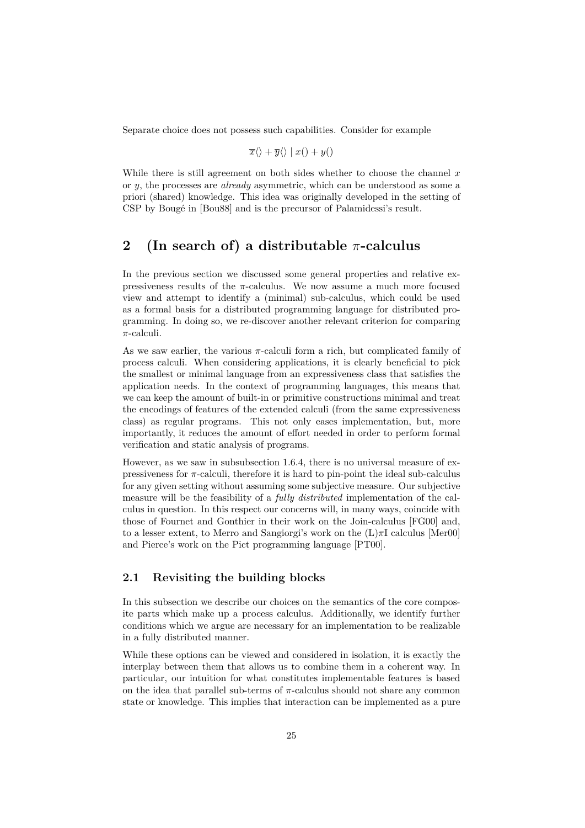Separate choice does not possess such capabilities. Consider for example

$$
\overline{x}\langle\rangle + \overline{y}\langle\rangle \mid x(\rangle + y(\rangle
$$

While there is still agreement on both sides whether to choose the channel *x* or *y*, the processes are *already* asymmetric, which can be understood as some a priori (shared) knowledge. This idea was originally developed in the setting of CSP by Bougé in [\[Bou88\]](#page-67-8) and is the precursor of Palamidessi's result.

# <span id="page-25-0"></span>**2 (In search of) a distributable** *π***-calculus**

In the previous section we discussed some general properties and relative expressiveness results of the  $\pi$ -calculus. We now assume a much more focused view and attempt to identify a (minimal) sub-calculus, which could be used as a formal basis for a distributed programming language for distributed programming. In doing so, we re-discover another relevant criterion for comparing *π*-calculi.

As we saw earlier, the various  $\pi$ -calculi form a rich, but complicated family of process calculi. When considering applications, it is clearly beneficial to pick the smallest or minimal language from an expressiveness class that satisfies the application needs. In the context of programming languages, this means that we can keep the amount of built-in or primitive constructions minimal and treat the encodings of features of the extended calculi (from the same expressiveness class) as regular programs. This not only eases implementation, but, more importantly, it reduces the amount of effort needed in order to perform formal verification and static analysis of programs.

However, as we saw in [subsubsection 1.6.4,](#page-23-0) there is no universal measure of expressiveness for *π*-calculi, therefore it is hard to pin-point the ideal sub-calculus for any given setting without assuming some subjective measure. Our subjective measure will be the feasibility of a *fully distributed* implementation of the calculus in question. In this respect our concerns will, in many ways, coincide with those of Fournet and Gonthier in their work on the Join-calculus [\[FG00\]](#page-68-0) and, to a lesser extent, to Merro and Sangiorgi's work on the (L)*π*I calculus [\[Mer00\]](#page-70-11) and Pierce's work on the Pict programming language [\[PT00\]](#page-71-5).

### <span id="page-25-1"></span>**2.1 Revisiting the building blocks**

In this subsection we describe our choices on the semantics of the core composite parts which make up a process calculus. Additionally, we identify further conditions which we argue are necessary for an implementation to be realizable in a fully distributed manner.

While these options can be viewed and considered in isolation, it is exactly the interplay between them that allows us to combine them in a coherent way. In particular, our intuition for what constitutes implementable features is based on the idea that parallel sub-terms of  $\pi$ -calculus should not share any common state or knowledge. This implies that interaction can be implemented as a pure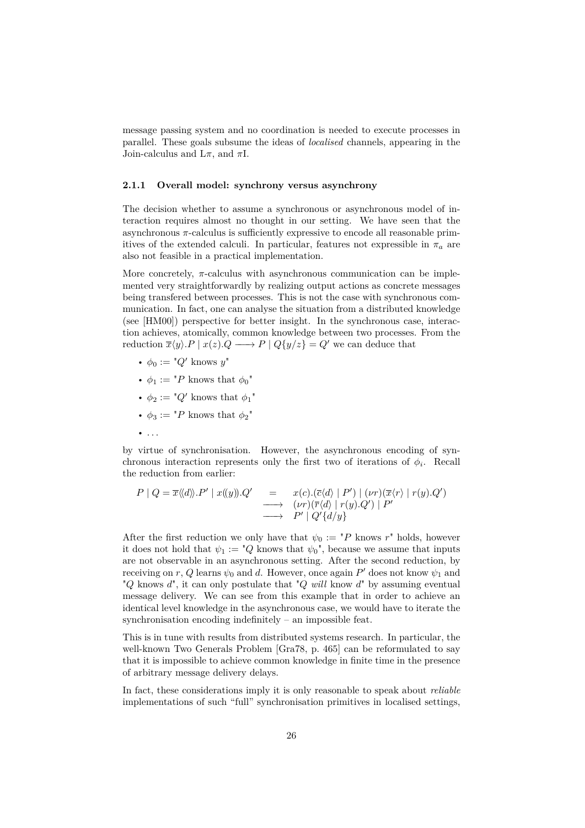message passing system and no coordination is needed to execute processes in parallel. These goals subsume the ideas of *localised* channels, appearing in the Join-calculus and L*π*, and *π*I.

#### <span id="page-26-0"></span>**2.1.1 Overall model: synchrony versus asynchrony**

The decision whether to assume a synchronous or asynchronous model of interaction requires almost no thought in our setting. We have seen that the asynchronous *π*-calculus is sufficiently expressive to encode all reasonable primitives of the extended calculi. In particular, features not expressible in  $\pi_a$  are also not feasible in a practical implementation.

More concretely,  $\pi$ -calculus with asynchronous communication can be implemented very straightforwardly by realizing output actions as concrete messages being transfered between processes. This is not the case with synchronous communication. In fact, one can analyse the situation from a distributed knowledge (see [\[HM00\]](#page-69-7)) perspective for better insight. In the synchronous case, interaction achieves, atomically, common knowledge between two processes. From the reduction  $\overline{x}\langle y \rangle \cdot P \mid x(z) \cdot Q \longrightarrow P \mid Q \{ y/z \} = Q'$  we can deduce that

- $\phi_0 := "Q' \text{ knows } y"$
- $\phi_1 := "P$  knows that  $\phi_0"$
- $\phi_2 := "Q'$  knows that  $\phi_1$ "
- $\phi_3 := "P$  knows that  $\phi_2"$
- . . .

by virtue of synchronisation. However, the asynchronous encoding of synchronous interaction represents only the first two of iterations of  $\phi_i$ . Recall the reduction from earlier:

$$
P \mid Q = \overline{x} \langle \langle d \rangle \rangle. P' \mid x(\langle y) \rangle. Q' \quad = \quad x(c).(\overline{c} \langle d \rangle \mid P') \mid (\nu r) (\overline{x} \langle r \rangle \mid r(y). Q') \n\longrightarrow \quad (\nu r) (\overline{r} \langle d \rangle \mid r(y). Q') \mid P' \n\longrightarrow \quad P' \mid Q' \{d/y\}
$$

After the first reduction we only have that  $\psi_0 := {^{\text{T}}}P$  knows  $r^{\text{T}}$  holds, however it does not hold that  $\psi_1 := "Q$  knows that  $\psi_0$ ", because we assume that inputs are not observable in an asynchronous setting. After the second reduction, by receiving on  $r$ ,  $Q$  learns  $\psi_0$  and  $d$ . However, once again  $P'$  does not know  $\psi_1$  and "*Q* knows *d*", it can only postulate that "*Q will* know *d*" by assuming eventual message delivery. We can see from this example that in order to achieve an identical level knowledge in the asynchronous case, we would have to iterate the synchronisation encoding indefinitely – an impossible feat.

This is in tune with results from distributed systems research. In particular, the well-known Two Generals Problem [\[Gra78,](#page-69-8) p. 465] can be reformulated to say that it is impossible to achieve common knowledge in finite time in the presence of arbitrary message delivery delays.

In fact, these considerations imply it is only reasonable to speak about *reliable* implementations of such "full" synchronisation primitives in localised settings,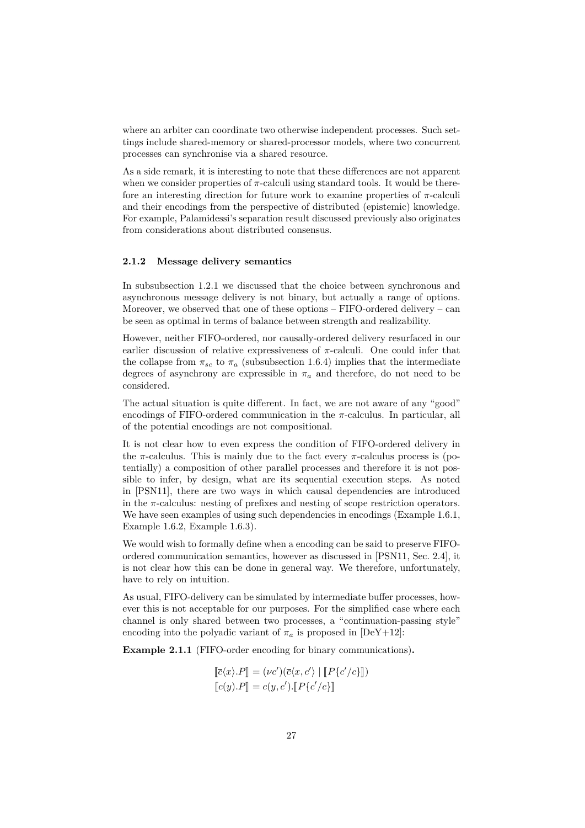where an arbiter can coordinate two otherwise independent processes. Such settings include shared-memory or shared-processor models, where two concurrent processes can synchronise via a shared resource.

As a side remark, it is interesting to note that these differences are not apparent when we consider properties of  $\pi$ -calculi using standard tools. It would be therefore an interesting direction for future work to examine properties of *π*-calculi and their encodings from the perspective of distributed (epistemic) knowledge. For example, Palamidessi's separation result discussed previously also originates from considerations about distributed consensus.

#### <span id="page-27-0"></span>**2.1.2 Message delivery semantics**

In [subsubsection 1.2.1](#page-5-1) we discussed that the choice between synchronous and asynchronous message delivery is not binary, but actually a range of options. Moreover, we observed that one of these options – FIFO-ordered delivery – can be seen as optimal in terms of balance between strength and realizability.

However, neither FIFO-ordered, nor causally-ordered delivery resurfaced in our earlier discussion of relative expressiveness of  $\pi$ -calculi. One could infer that the collapse from  $\pi_{sc}$  to  $\pi_a$  [\(subsubsection 1.6.4\)](#page-23-0) implies that the intermediate degrees of asynchrony are expressible in  $\pi_a$  and therefore, do not need to be considered.

The actual situation is quite different. In fact, we are not aware of any "good" encodings of FIFO-ordered communication in the *π*-calculus. In particular, all of the potential encodings are not compositional.

It is not clear how to even express the condition of FIFO-ordered delivery in the  $\pi$ -calculus. This is mainly due to the fact every  $\pi$ -calculus process is (potentially) a composition of other parallel processes and therefore it is not possible to infer, by design, what are its sequential execution steps. As noted in [\[PSN11\]](#page-71-6), there are two ways in which causal dependencies are introduced in the *π*-calculus: nesting of prefixes and nesting of scope restriction operators. We have seen examples of using such dependencies in encodings [\(Example 1.6.1,](#page-19-2) [Example 1.6.2,](#page-19-1) [Example 1.6.3\)](#page-20-2).

We would wish to formally define when a encoding can be said to preserve FIFOordered communication semantics, however as discussed in [\[PSN11,](#page-71-6) Sec. 2.4], it is not clear how this can be done in general way. We therefore, unfortunately, have to rely on intuition.

As usual, FIFO-delivery can be simulated by intermediate buffer processes, however this is not acceptable for our purposes. For the simplified case where each channel is only shared between two processes, a "continuation-passing style" encoding into the polyadic variant of  $\pi_a$  is proposed in [\[DeY+12\]](#page-68-6):

**Example 2.1.1** (FIFO-order encoding for binary communications)**.**

$$
[\![\overline{c}\langle x\rangle.P]\!] = (\nu c')(\overline{c}\langle x,c'\rangle \mid [\![P\{c'/c\}]\!])
$$
  

$$
[\![c(y).P]\!] = c(y,c').[\![P\{c'/c\}]\!]
$$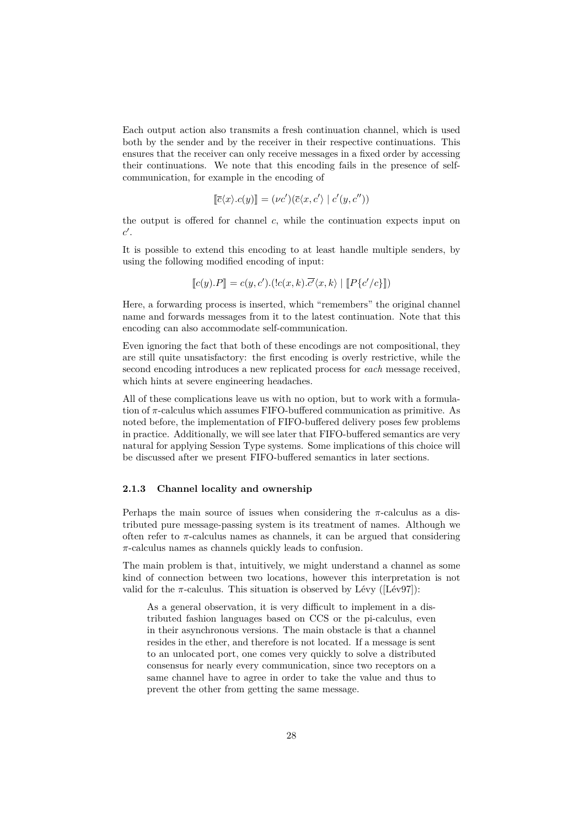Each output action also transmits a fresh continuation channel, which is used both by the sender and by the receiver in their respective continuations. This ensures that the receiver can only receive messages in a fixed order by accessing their continuations. We note that this encoding fails in the presence of selfcommunication, for example in the encoding of

$$
[\![\overline{c}\langle x\rangle.c(y)]\!] = (\nu c')(\overline{c}\langle x,c'\rangle \mid c'(y,c''))
$$

the output is offered for channel  $c$ , while the continuation expects input on  $c'$ .

It is possible to extend this encoding to at least handle multiple senders, by using the following modified encoding of input:

$$
[\![c(y).P]\!] = c(y, c').(lc(x, k).\overline{c'}\langle x, k \rangle \mid [\![P\{c'/c\}]\!])
$$

Here, a forwarding process is inserted, which "remembers" the original channel name and forwards messages from it to the latest continuation. Note that this encoding can also accommodate self-communication.

Even ignoring the fact that both of these encodings are not compositional, they are still quite unsatisfactory: the first encoding is overly restrictive, while the second encoding introduces a new replicated process for *each* message received, which hints at severe engineering headaches.

All of these complications leave us with no option, but to work with a formulation of *π*-calculus which assumes FIFO-buffered communication as primitive. As noted before, the implementation of FIFO-buffered delivery poses few problems in practice. Additionally, we will see later that FIFO-buffered semantics are very natural for applying Session Type systems. Some implications of this choice will be discussed after we present FIFO-buffered semantics in later sections.

#### <span id="page-28-0"></span>**2.1.3 Channel locality and ownership**

Perhaps the main source of issues when considering the *π*-calculus as a distributed pure message-passing system is its treatment of names. Although we often refer to  $\pi$ -calculus names as channels, it can be argued that considering *π*-calculus names as channels quickly leads to confusion.

The main problem is that, intuitively, we might understand a channel as some kind of connection between two locations, however this interpretation is not valid for the  $\pi$ -calculus. This situation is observed by Lévy ([\[Lév97\]](#page-69-9)):

As a general observation, it is very difficult to implement in a distributed fashion languages based on CCS or the pi-calculus, even in their asynchronous versions. The main obstacle is that a channel resides in the ether, and therefore is not located. If a message is sent to an unlocated port, one comes very quickly to solve a distributed consensus for nearly every communication, since two receptors on a same channel have to agree in order to take the value and thus to prevent the other from getting the same message.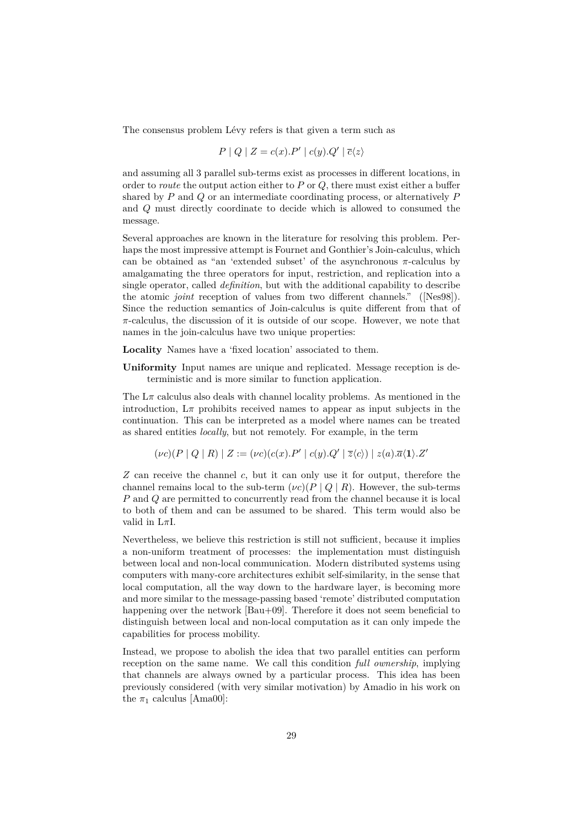The consensus problem Lévy refers is that given a term such as

$$
P \mid Q \mid Z = c(x).P' \mid c(y).Q' \mid \overline{c}\langle z \rangle
$$

and assuming all 3 parallel sub-terms exist as processes in different locations, in order to *route* the output action either to *P* or *Q*, there must exist either a buffer shared by *P* and *Q* or an intermediate coordinating process, or alternatively *P* and *Q* must directly coordinate to decide which is allowed to consumed the message.

Several approaches are known in the literature for resolving this problem. Perhaps the most impressive attempt is Fournet and Gonthier's Join-calculus, which can be obtained as "an 'extended subset' of the asynchronous *π*-calculus by amalgamating the three operators for input, restriction, and replication into a single operator, called *definition*, but with the additional capability to describe the atomic *joint* reception of values from two different channels." ([\[Nes98\]](#page-70-12)). Since the reduction semantics of Join-calculus is quite different from that of *π*-calculus, the discussion of it is outside of our scope. However, we note that names in the join-calculus have two unique properties:

**Locality** Names have a 'fixed location' associated to them.

**Uniformity** Input names are unique and replicated. Message reception is deterministic and is more similar to function application.

The  $L\pi$  calculus also deals with channel locality problems. As mentioned in the introduction,  $L\pi$  prohibits received names to appear as input subjects in the continuation. This can be interpreted as a model where names can be treated as shared entities *locally*, but not remotely. For example, in the term

 $(\nu c)(P \mid Q \mid R) | Z := (\nu c)(c(x).P' \mid c(y).Q' \mid \overline{z}\langle c \rangle) | z(a).\overline{a}\langle 1 \rangle.Z'$ 

*Z* can receive the channel *c*, but it can only use it for output, therefore the channel remains local to the sub-term  $(\nu c)(P \nvert Q \nvert R)$ . However, the sub-terms *P* and *Q* are permitted to concurrently read from the channel because it is local to both of them and can be assumed to be shared. This term would also be valid in L*π*I.

Nevertheless, we believe this restriction is still not sufficient, because it implies a non-uniform treatment of processes: the implementation must distinguish between local and non-local communication. Modern distributed systems using computers with many-core architectures exhibit self-similarity, in the sense that local computation, all the way down to the hardware layer, is becoming more and more similar to the message-passing based 'remote' distributed computation happening over the network [\[Bau+09\]](#page-67-9). Therefore it does not seem beneficial to distinguish between local and non-local computation as it can only impede the capabilities for process mobility.

Instead, we propose to abolish the idea that two parallel entities can perform reception on the same name. We call this condition *full ownership*, implying that channels are always owned by a particular process. This idea has been previously considered (with very similar motivation) by Amadio in his work on the  $\pi_1$  calculus [\[Ama00\]](#page-67-10):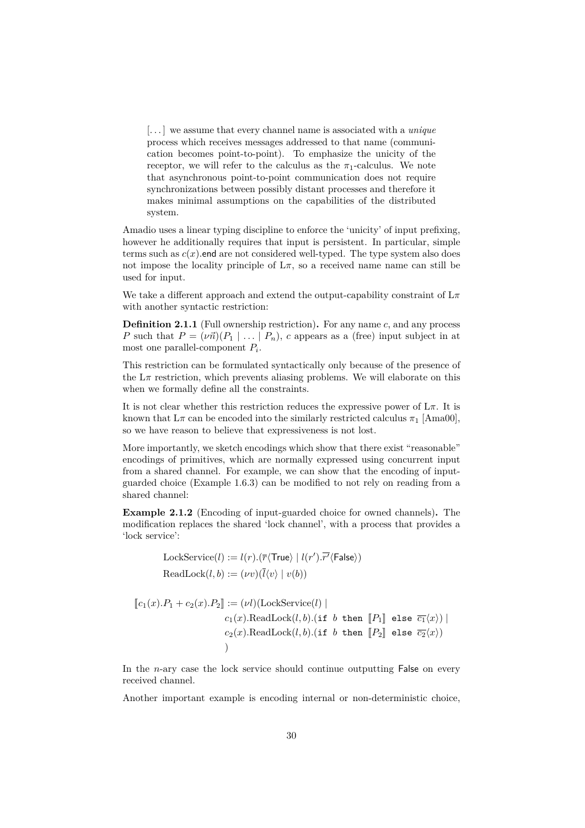[. . . ] we assume that every channel name is associated with a *unique* process which receives messages addressed to that name (communication becomes point-to-point). To emphasize the unicity of the receptor, we will refer to the calculus as the  $\pi_1$ -calculus. We note that asynchronous point-to-point communication does not require synchronizations between possibly distant processes and therefore it makes minimal assumptions on the capabilities of the distributed system.

Amadio uses a linear typing discipline to enforce the 'unicity' of input prefixing, however he additionally requires that input is persistent. In particular, simple terms such as  $c(x)$  end are not considered well-typed. The type system also does not impose the locality principle of  $L\pi$ , so a received name name can still be used for input.

We take a different approach and extend the output-capability constraint of L*π* with another syntactic restriction:

**Definition 2.1.1** (Full ownership restriction)**.** For any name *c*, and any process *P* such that  $P = (\nu \vec{n}) (P_1 \mid \ldots \mid P_n)$ , *c* appears as a (free) input subject in at most one parallel-component *P<sup>i</sup>* .

This restriction can be formulated syntactically only because of the presence of the  $L\pi$  restriction, which prevents aliasing problems. We will elaborate on this when we formally define all the constraints.

It is not clear whether this restriction reduces the expressive power of  $L\pi$ . It is known that  $L\pi$  can be encoded into the similarly restricted calculus  $\pi_1$  [\[Ama00\]](#page-67-10), so we have reason to believe that expressiveness is not lost.

More importantly, we sketch encodings which show that there exist "reasonable" encodings of primitives, which are normally expressed using concurrent input from a shared channel. For example, we can show that the encoding of inputguarded choice [\(Example 1.6.3\)](#page-20-2) can be modified to not rely on reading from a shared channel:

<span id="page-30-0"></span>**Example 2.1.2** (Encoding of input-guarded choice for owned channels)**.** The modification replaces the shared 'lock channel', with a process that provides a 'lock service':

LockService(*l*) := 
$$
l(r)
$$
. ( $\overline{r}\langle \text{True} \rangle | l(r')\cdot \overline{r'}\langle \text{False} \rangle$ )  
ReadLock(*l*, *b*) := ( $\nu v$ )( $\overline{l}\langle v \rangle | v(b)$ )

$$
\begin{aligned} \llbracket c_1(x).P_1+c_2(x).P_2 \rrbracket &:= (\nu l)(\text{LockService}(l) \mid \\ c_1(x).\text{ReadLock}(l,b).(\text{if } b \text{ then } \llbracket P_1 \rrbracket \text{ else } \overline{c_1}\langle x \rangle) \mid \\ c_2(x).\text{ReadLock}(l,b).(\text{if } b \text{ then } \llbracket P_2 \rrbracket \text{ else } \overline{c_2}\langle x \rangle) \end{aligned}
$$

In the *n*-ary case the lock service should continue outputting False on every received channel.

Another important example is encoding internal or non-deterministic choice,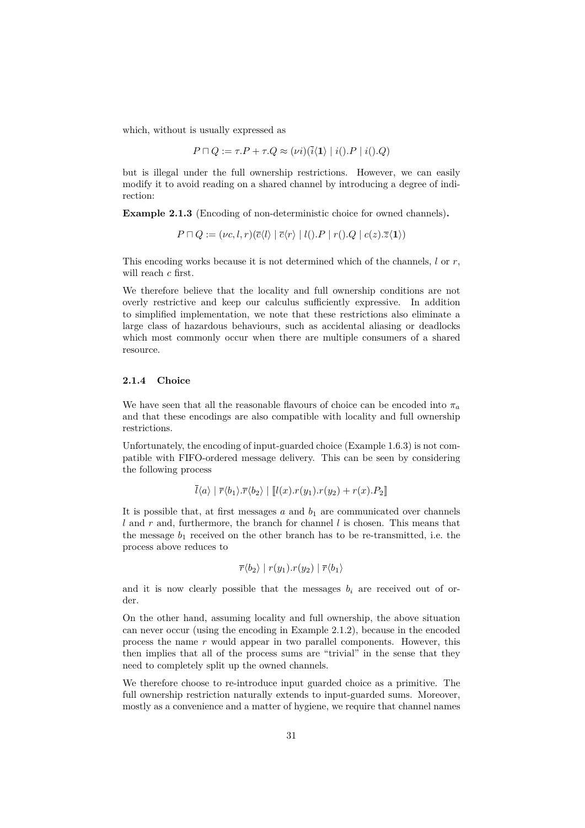which, without is usually expressed as

$$
P \sqcap Q := \tau.P + \tau.Q \approx (\nu i)(\bar{i}\langle 1 \rangle \mid i(.) P \mid i(.) Q)
$$

but is illegal under the full ownership restrictions. However, we can easily modify it to avoid reading on a shared channel by introducing a degree of indirection:

**Example 2.1.3** (Encoding of non-deterministic choice for owned channels)**.**

$$
P \sqcap Q := (\nu c, l, r) (\overline{c} \langle l \rangle \mid \overline{c} \langle r \rangle \mid l \langle ).P \mid r \langle ).Q \mid c(z). \overline{z} \langle 1 \rangle)
$$

This encoding works because it is not determined which of the channels, *l* or *r*, will reach *c* first.

We therefore believe that the locality and full ownership conditions are not overly restrictive and keep our calculus sufficiently expressive. In addition to simplified implementation, we note that these restrictions also eliminate a large class of hazardous behaviours, such as accidental aliasing or deadlocks which most commonly occur when there are multiple consumers of a shared resource.

### <span id="page-31-0"></span>**2.1.4 Choice**

We have seen that all the reasonable flavours of choice can be encoded into  $\pi_a$ and that these encodings are also compatible with locality and full ownership restrictions.

Unfortunately, the encoding of input-guarded choice [\(Example 1.6.3\)](#page-20-2) is not compatible with FIFO-ordered message delivery. This can be seen by considering the following process

$$
l\langle a\rangle \mid \overline{r}\langle b_1\rangle \cdot \overline{r}\langle b_2\rangle \mid [l(x)\cdot r(y_1)\cdot r(y_2) + r(x)\cdot P_2]
$$

It is possible that, at first messages  $a$  and  $b_1$  are communicated over channels *l* and *r* and, furthermore, the branch for channel *l* is chosen. This means that the message  $b_1$  received on the other branch has to be re-transmitted, i.e. the process above reduces to

$$
\overline{r} \langle b_2 \rangle \mid r(y_1) . r(y_2) \mid \overline{r} \langle b_1 \rangle
$$

and it is now clearly possible that the messages  $b_i$  are received out of order.

On the other hand, assuming locality and full ownership, the above situation can never occur (using the encoding in [Example 2.1.2\)](#page-30-0), because in the encoded process the name *r* would appear in two parallel components. However, this then implies that all of the process sums are "trivial" in the sense that they need to completely split up the owned channels.

We therefore choose to re-introduce input guarded choice as a primitive. The full ownership restriction naturally extends to input-guarded sums. Moreover, mostly as a convenience and a matter of hygiene, we require that channel names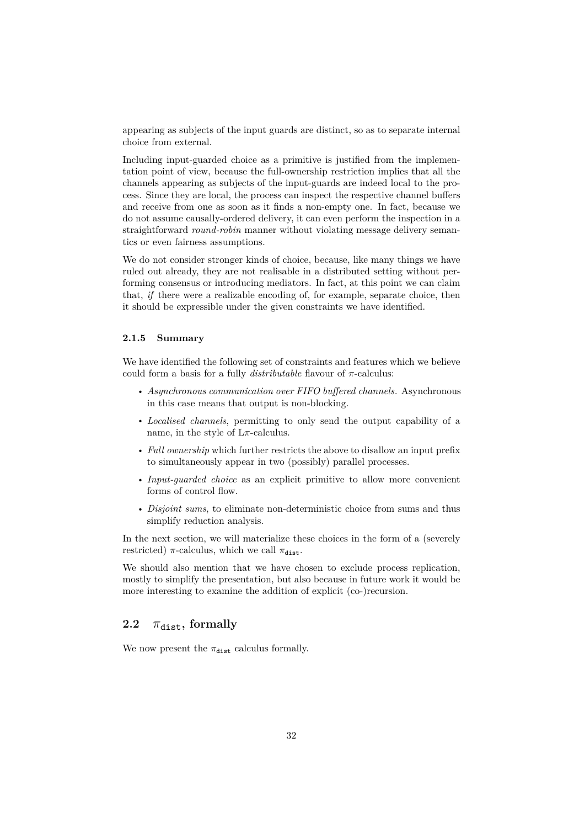appearing as subjects of the input guards are distinct, so as to separate internal choice from external.

Including input-guarded choice as a primitive is justified from the implementation point of view, because the full-ownership restriction implies that all the channels appearing as subjects of the input-guards are indeed local to the process. Since they are local, the process can inspect the respective channel buffers and receive from one as soon as it finds a non-empty one. In fact, because we do not assume causally-ordered delivery, it can even perform the inspection in a straightforward *round-robin* manner without violating message delivery semantics or even fairness assumptions.

We do not consider stronger kinds of choice, because, like many things we have ruled out already, they are not realisable in a distributed setting without performing consensus or introducing mediators. In fact, at this point we can claim that, *if* there were a realizable encoding of, for example, separate choice, then it should be expressible under the given constraints we have identified.

#### <span id="page-32-0"></span>**2.1.5 Summary**

We have identified the following set of constraints and features which we believe could form a basis for a fully  $\textit{distributable}$  flavour of  $\pi$ -calculus:

- *Asynchronous communication over FIFO buffered channels.* Asynchronous in this case means that output is non-blocking.
- *Localised channels*, permitting to only send the output capability of a name, in the style of  $L\pi$ -calculus.
- *Full ownership* which further restricts the above to disallow an input prefix to simultaneously appear in two (possibly) parallel processes.
- *Input-guarded choice* as an explicit primitive to allow more convenient forms of control flow.
- *Disjoint sums*, to eliminate non-deterministic choice from sums and thus simplify reduction analysis.

In the next section, we will materialize these choices in the form of a (severely restricted)  $\pi$ -calculus, which we call  $\pi_{\text{dist}}$ .

We should also mention that we have chosen to exclude process replication. mostly to simplify the presentation, but also because in future work it would be more interesting to examine the addition of explicit (co-)recursion.

# <span id="page-32-1"></span>**2.2**  $\pi_{\text{dist}}$ , formally

We now present the  $\pi_{\text{dist}}$  calculus formally.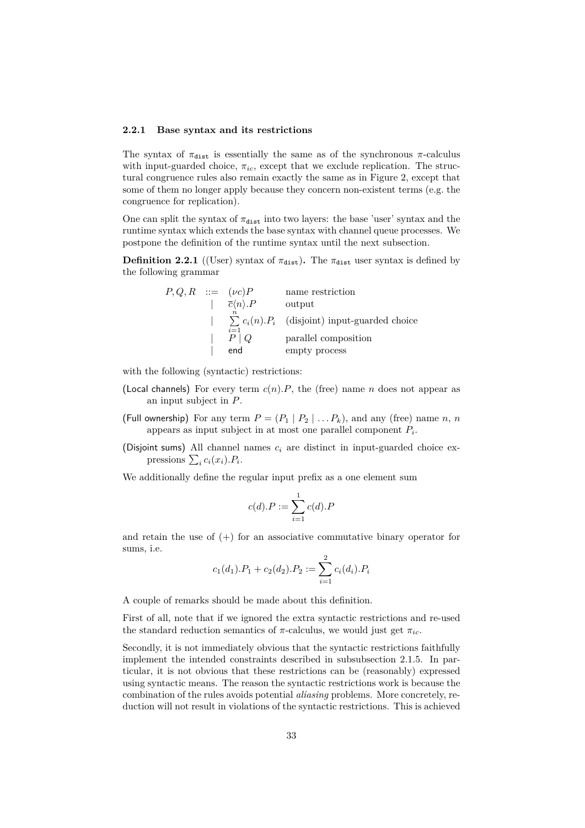#### <span id="page-33-0"></span>**2.2.1 Base syntax and its restrictions**

The syntax of  $\pi_{\text{dist}}$  is essentially the same as of the synchronous  $\pi$ -calculus with input-guarded choice,  $\pi_{ic}$ , except that we exclude replication. The structural congruence rules also remain exactly the same as in [Figure 2,](#page-11-0) except that some of them no longer apply because they concern non-existent terms (e.g. the congruence for replication).

One can split the syntax of  $\pi_{\text{dist}}$  into two layers: the base 'user' syntax and the runtime syntax which extends the base syntax with channel queue processes. We postpone the definition of the runtime syntax until the next subsection.

<span id="page-33-1"></span>**Definition 2.2.1** ((User) syntax of  $\pi_{dist}$ ). The  $\pi_{dist}$  user syntax is defined by the following grammar

| $P,Q,R ::= (\nu c)P$ |                                  | name restriction                                        |
|----------------------|----------------------------------|---------------------------------------------------------|
|                      | $\overline{c}\langle n\rangle.P$ | output                                                  |
|                      |                                  | $\sum c_i(n) \cdot P_i$ (disjoint) input-guarded choice |
|                      | $i=1$<br>$P \mid Q$              | parallel composition                                    |
|                      | end                              | empty process                                           |

with the following (syntactic) restrictions:

- (Local channels) For every term  $c(n)$ *.P*, the (free) name *n* does not appear as an input subject in *P*.
- (Full ownership) For any term  $P = (P_1 | P_2 | \ldots P_k)$ , and any (free) name *n*, *n* appears as input subject in at most one parallel component *P<sup>i</sup>* .
- (Disjoint sums) All channel names *c<sup>i</sup>* are distinct in input-guarded choice expressions  $\sum_i c_i(x_i) . P_i$ .

We additionally define the regular input prefix as a one element sum

$$
c(d).P := \sum_{i=1}^{1} c(d).P
$$

and retain the use of  $(+)$  for an associative commutative binary operator for sums, i.e.

$$
c_1(d_1).P_1 + c_2(d_2).P_2 := \sum_{i=1}^{2} c_i(d_i).P_i
$$

A couple of remarks should be made about this definition.

First of all, note that if we ignored the extra syntactic restrictions and re-used the standard reduction semantics of  $\pi$ -calculus, we would just get  $\pi_{ic}$ .

Secondly, it is not immediately obvious that the syntactic restrictions faithfully implement the intended constraints described in [subsubsection 2.1.5.](#page-32-0) In particular, it is not obvious that these restrictions can be (reasonably) expressed using syntactic means. The reason the syntactic restrictions work is because the combination of the rules avoids potential *aliasing* problems. More concretely, reduction will not result in violations of the syntactic restrictions. This is achieved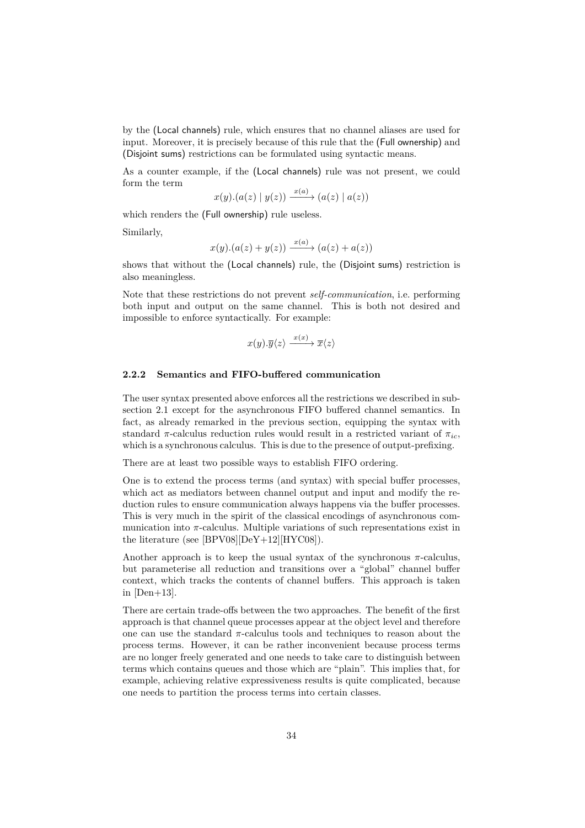by the (Local channels) rule, which ensures that no channel aliases are used for input. Moreover, it is precisely because of this rule that the (Full ownership) and (Disjoint sums) restrictions can be formulated using syntactic means.

As a counter example, if the (Local channels) rule was not present, we could form the term

$$
x(y).(a(z) | y(z)) \xrightarrow{x(a)} (a(z) | a(z))
$$

which renders the (Full ownership) rule useless.

Similarly,

$$
x(y) \cdot (a(z) + y(z)) \xrightarrow{x(a)} (a(z) + a(z))
$$

shows that without the (Local channels) rule, the (Disjoint sums) restriction is also meaningless.

Note that these restrictions do not prevent *self-communication*, i.e. performing both input and output on the same channel. This is both not desired and impossible to enforce syntactically. For example:

$$
x(y).\overline{y}\langle z\rangle \xrightarrow{x(x)} \overline{x}\langle z\rangle
$$

#### <span id="page-34-0"></span>**2.2.2 Semantics and FIFO-buffered communication**

The user syntax presented above enforces all the restrictions we described in [sub](#page-25-1)[section 2.1](#page-25-1) except for the asynchronous FIFO buffered channel semantics. In fact, as already remarked in the previous section, equipping the syntax with standard  $\pi$ -calculus reduction rules would result in a restricted variant of  $\pi_{ic}$ , which is a synchronous calculus. This is due to the presence of output-prefixing.

There are at least two possible ways to establish FIFO ordering.

One is to extend the process terms (and syntax) with special buffer processes, which act as mediators between channel output and input and modify the reduction rules to ensure communication always happens via the buffer processes. This is very much in the spirit of the classical encodings of asynchronous communication into  $\pi$ -calculus. Multiple variations of such representations exist in the literature (see [\[BPV08\]](#page-67-3)[\[DeY+12\]](#page-68-6)[\[HYC08\]](#page-69-10)).

Another approach is to keep the usual syntax of the synchronous  $\pi$ -calculus, but parameterise all reduction and transitions over a "global" channel buffer context, which tracks the contents of channel buffers. This approach is taken in  $[Den+13]$ .

There are certain trade-offs between the two approaches. The benefit of the first approach is that channel queue processes appear at the object level and therefore one can use the standard *π*-calculus tools and techniques to reason about the process terms. However, it can be rather inconvenient because process terms are no longer freely generated and one needs to take care to distinguish between terms which contains queues and those which are "plain". This implies that, for example, achieving relative expressiveness results is quite complicated, because one needs to partition the process terms into certain classes.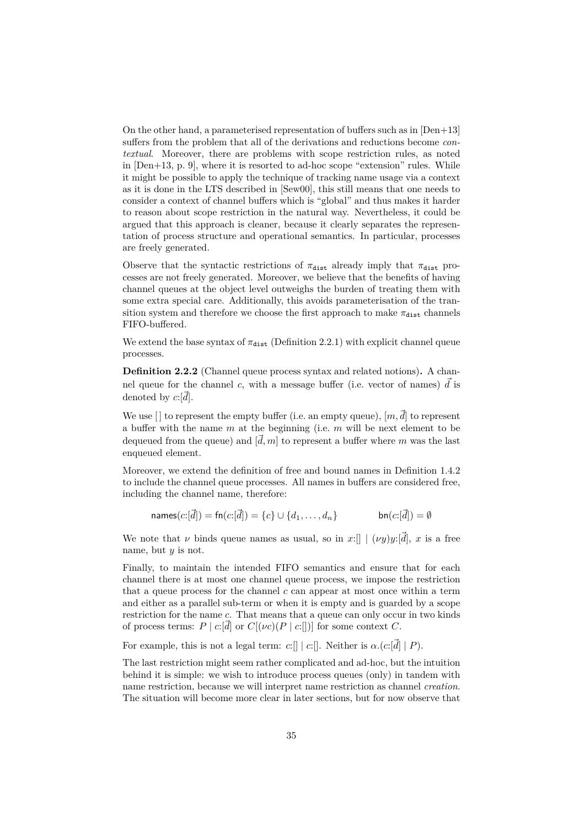On the other hand, a parameterised representation of buffers such as in [\[Den+13\]](#page-68-7) suffers from the problem that all of the derivations and reductions become *contextual*. Moreover, there are problems with scope restriction rules, as noted in [\[Den+13,](#page-68-7) p. 9], where it is resorted to ad-hoc scope "extension" rules. While it might be possible to apply the technique of tracking name usage via a context as it is done in the LTS described in [\[Sew00\]](#page-71-7), this still means that one needs to consider a context of channel buffers which is "global" and thus makes it harder to reason about scope restriction in the natural way. Nevertheless, it could be argued that this approach is cleaner, because it clearly separates the representation of process structure and operational semantics. In particular, processes are freely generated.

Observe that the syntactic restrictions of  $\pi_{\text{dist}}$  already imply that  $\pi_{\text{dist}}$  processes are not freely generated. Moreover, we believe that the benefits of having channel queues at the object level outweighs the burden of treating them with some extra special care. Additionally, this avoids parameterisation of the transition system and therefore we choose the first approach to make  $\pi_{\text{dist}}$  channels FIFO-buffered.

We extend the base syntax of  $\pi_{\text{dist}}$  [\(Definition 2.2.1\)](#page-33-1) with explicit channel queue processes.

**Definition 2.2.2** (Channel queue process syntax and related notions)**.** A channel queue for the channel *c*, with a message buffer (i.e. vector of names)  $\vec{d}$  is denoted by  $c:[\overline{d}]$ .

We use  $[ \cdot ]$  to represent the empty buffer (i.e. an empty queue),  $[m, \vec{d}]$  to represent a buffer with the name *m* at the beginning (i.e. *m* will be next element to be dequeued from the queue) and  $[\vec{d}, m]$  to represent a buffer where  $m$  was the last enqueued element.

Moreover, we extend the definition of free and bound names in [Definition 1.4.2](#page-12-0) to include the channel queue processes. All names in buffers are considered free, including the channel name, therefore:

$$
names(c.[d]) = fn(c.[d]) = \{c\} \cup \{d_1, \ldots, d_n\} \qquad \qquad bn(c.[d]) = \emptyset
$$

We note that *ν* binds queue names as usual, so in *x*: $[ \mid (vy)y:[\vec{d}], x$  is a free name, but *y* is not.

Finally, to maintain the intended FIFO semantics and ensure that for each channel there is at most one channel queue process, we impose the restriction that a queue process for the channel  $c$  can appear at most once within a term and either as a parallel sub-term or when it is empty and is guarded by a scope restriction for the name *c*. That means that a queue can only occur in two kinds of process terms:  $P | c: [d]$  or  $C[(\nu c)(P | c:])$  for some context C.

For example, this is not a legal term: *c*:[] | *c*:[]. Neither is  $\alpha$ .(*c*:[ $\vec{d}$ ] | *P*).

The last restriction might seem rather complicated and ad-hoc, but the intuition behind it is simple: we wish to introduce process queues (only) in tandem with name restriction, because we will interpret name restriction as channel *creation*. The situation will become more clear in later sections, but for now observe that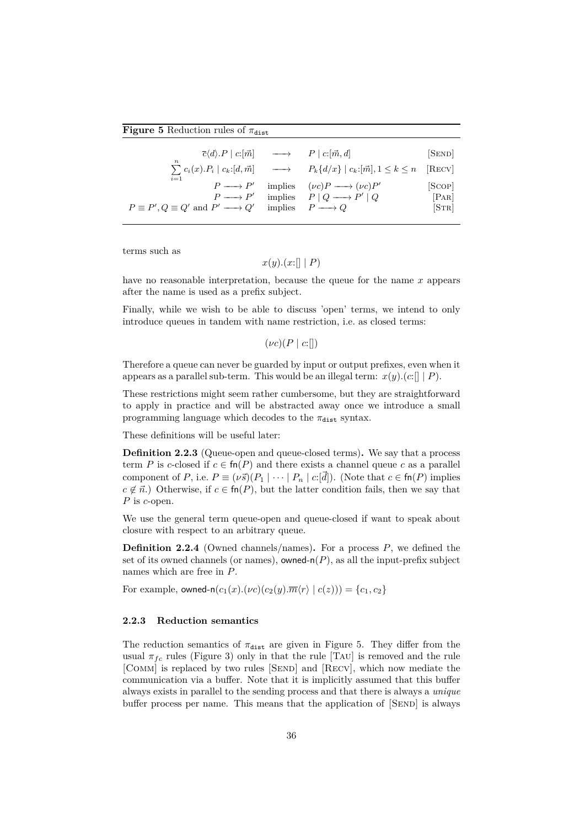#### **Figure 5** Reduction rules of  $\pi_{\text{dist}}$

<span id="page-36-0"></span>

| $\overline{c}\langle d\rangle.P \mid c: [\overrightarrow{m}]$ | $\longrightarrow$ $P \mid c : [\vec{m}, d]$<br>$\sum c_i(x).P_i \mid c_k: [d, \vec{m}] \longrightarrow P_k\{d/x\} \mid c_k: [\vec{m}], 1 \leq k \leq n \quad [\text{RECV}]$ | SEND   |
|---------------------------------------------------------------|-----------------------------------------------------------------------------------------------------------------------------------------------------------------------------|--------|
| $i=1$                                                         | implies $(\nu c)P \longrightarrow (\nu c)P'$                                                                                                                                | [Scop] |
| $P \longrightarrow P'$                                        | $P \longrightarrow P'$ implies $P \mid Q \longrightarrow P' \mid Q$                                                                                                         | PAR    |
| $P \equiv P', Q \equiv Q'$ and $P' \longrightarrow Q'$        | implies $P \longrightarrow Q$                                                                                                                                               | STR    |

terms such as

$$
x(y)
$$
. $(x:[] | P)$ 

have no reasonable interpretation, because the queue for the name *x* appears after the name is used as a prefix subject.

Finally, while we wish to be able to discuss 'open' terms, we intend to only introduce queues in tandem with name restriction, i.e. as closed terms:

 $(\nu c)(P \mid c:\rceil)$ 

Therefore a queue can never be guarded by input or output prefixes, even when it appears as a parallel sub-term. This would be an illegal term:  $x(y)$ .(*c*:[] | *P*).

These restrictions might seem rather cumbersome, but they are straightforward to apply in practice and will be abstracted away once we introduce a small programming language which decodes to the  $\pi_{\text{dist}}$  syntax.

These definitions will be useful later:

**Definition 2.2.3** (Queue-open and queue-closed terms)**.** We say that a process term *P* is *c*-closed if  $c \in \text{fn}(P)$  and there exists a channel queue *c* as a parallel component of *P*, i.e.  $P \equiv (\nu \vec{s})(P_1 \mid \cdots \mid P_n \mid c:\vec{d}])$ . (Note that  $c \in \text{fn}(P)$  implies  $c \notin \vec{n}$ .) Otherwise, if  $c \in \text{fn}(P)$ , but the latter condition fails, then we say that *P* is *c*-open.

We use the general term queue-open and queue-closed if want to speak about closure with respect to an arbitrary queue.

**Definition 2.2.4** (Owned channels/names)**.** For a process *P*, we defined the set of its owned channels (or names), owned- $n(P)$ , as all the input-prefix subject names which are free in *P*.

For example, owned-n $(c_1(x) \cdot (\nu c)(c_2(y) \cdot \overline{m} \langle r \rangle \mid c(z))) = \{c_1, c_2\}$ 

#### **2.2.3 Reduction semantics**

The reduction semantics of  $\pi_{\text{dist}}$  are given in [Figure 5.](#page-36-0) They differ from the usual  $\pi_{fc}$  rules [\(Figure 3\)](#page-11-0) only in that the rule [TAU] is removed and the rule [COMM] is replaced by two rules [SEND] and [RECV], which now mediate the communication via a buffer. Note that it is implicitly assumed that this buffer always exists in parallel to the sending process and that there is always a *unique* buffer process per name. This means that the application of [SEND] is always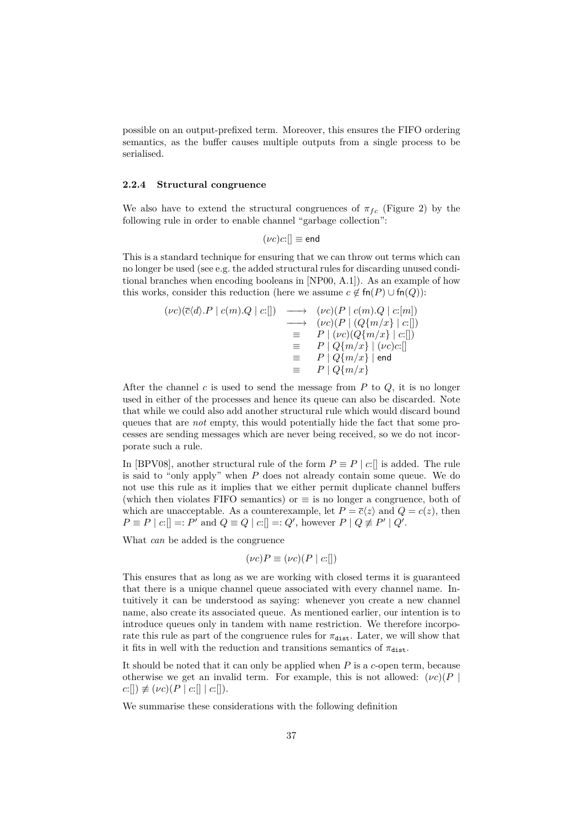possible on an output-prefixed term. Moreover, this ensures the FIFO ordering semantics, as the buffer causes multiple outputs from a single process to be serialised.

#### **2.2.4 Structural congruence**

We also have to extend the structural congruences of  $\pi_{fc}$  [\(Figure 2\)](#page-11-1) by the following rule in order to enable channel "garbage collection":

$$
(\nu c)c:[] \equiv \mathsf{end}
$$

This is a standard technique for ensuring that we can throw out terms which can no longer be used (see e.g. the added structural rules for discarding unused conditional branches when encoding booleans in [\[NP00,](#page-70-0) A.1]). As an example of how this works, consider this reduction (here we assume  $c \notin \text{fn}(P) \cup \text{fn}(Q)$ ):

$$
(\nu c)(\overline{c}\langle d\rangle.P \mid c(m).Q \mid c:[]) \longrightarrow (\nu c)(P \mid c(m).Q \mid c:[m])
$$
  
\n
$$
\longrightarrow (\nu c)(P \mid (Q\{m/x\} \mid c:[])
$$
  
\n
$$
\equiv P \mid (\nu c)(Q\{m/x\} \mid c:[])
$$
  
\n
$$
\equiv P \mid Q\{m/x\} \mid (\nu c)c:[]
$$
  
\n
$$
\equiv P \mid Q\{m/x\} \mid \text{end}
$$
  
\n
$$
\equiv P \mid Q\{m/x\} \mid \text{end}
$$

After the channel *c* is used to send the message from *P* to *Q*, it is no longer used in either of the processes and hence its queue can also be discarded. Note that while we could also add another structural rule which would discard bound queues that are *not* empty, this would potentially hide the fact that some processes are sending messages which are never being received, so we do not incorporate such a rule.

In [\[BPV08\]](#page-67-0), another structural rule of the form  $P \equiv P | c : ||$  is added. The rule is said to "only apply" when *P* does not already contain some queue. We do not use this rule as it implies that we either permit duplicate channel buffers (which then violates FIFO semantics) or  $\equiv$  is no longer a congruence, both of which are unacceptable. As a counterexample, let  $P = \overline{c}\langle z \rangle$  and  $Q = c(z)$ , then  $P \equiv P | c: || =: P' \text{ and } Q \equiv Q | c: || =: Q', \text{ however } P | Q \not\equiv P' | Q'.$ 

What *can* be added is the congruence

$$
(\nu c)P \equiv (\nu c)(P \mid c:[])
$$

This ensures that as long as we are working with closed terms it is guaranteed that there is a unique channel queue associated with every channel name. Intuitively it can be understood as saying: whenever you create a new channel name, also create its associated queue. As mentioned earlier, our intention is to introduce queues only in tandem with name restriction. We therefore incorporate this rule as part of the congruence rules for  $\pi_{\text{dist}}$ . Later, we will show that it fits in well with the reduction and transitions semantics of  $\pi_{\text{dist}}$ .

It should be noted that it can only be applied when *P* is a *c*-open term, because otherwise we get an invalid term. For example, this is not allowed:  $(\nu c)(P)$  $c:[]$   $\not\equiv (\nu c)(P \mid c:[] \mid c:[]$ .

We summarise these considerations with the following definition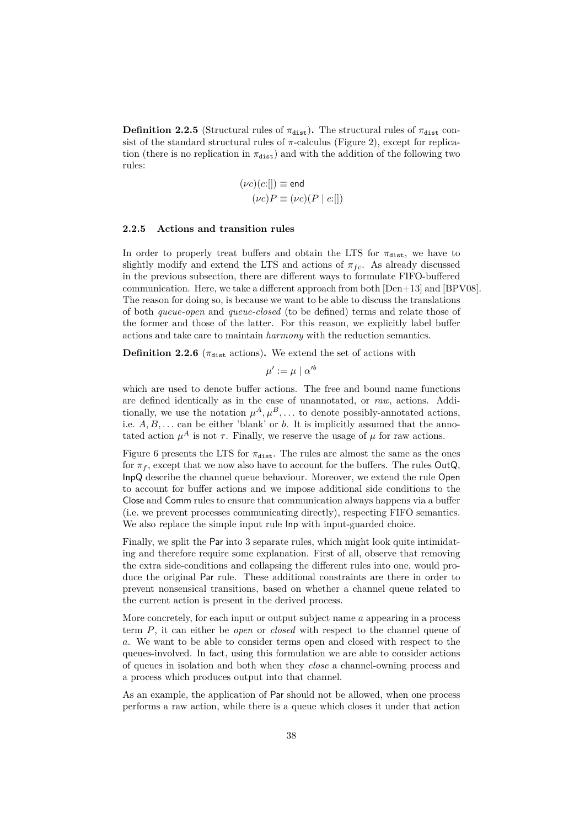**Definition 2.2.5** (Structural rules of  $\pi_{dist}$ ). The structural rules of  $\pi_{dist}$  consist of the standard structural rules of  $\pi$ -calculus [\(Figure 2\)](#page-11-1), except for replication (there is no replication in  $\pi_{dist}$ ) and with the addition of the following two rules:

$$
(\nu c)(c:[]) \equiv \text{end}
$$

$$
(\nu c)P \equiv (\nu c)(P | c:[])
$$

#### **2.2.5 Actions and transition rules**

In order to properly treat buffers and obtain the LTS for  $\pi_{\text{dist}}$ , we have to slightly modify and extend the LTS and actions of  $\pi_{fc}$ . As already discussed in the previous subsection, there are different ways to formulate FIFO-buffered communication. Here, we take a different approach from both [\[Den+13\]](#page-68-0) and [\[BPV08\]](#page-67-0). The reason for doing so, is because we want to be able to discuss the translations of both *queue-open* and *queue-closed* (to be defined) terms and relate those of the former and those of the latter. For this reason, we explicitly label buffer actions and take care to maintain *harmony* with the reduction semantics.

**Definition 2.2.6** ( $\pi_{\text{dist}}$  actions). We extend the set of actions with

$$
\mu':=\mu\mid\alpha'^b
$$

which are used to denote buffer actions. The free and bound name functions are defined identically as in the case of unannotated, or *raw*, actions. Additionally, we use the notation  $\mu^A, \mu^B, \ldots$  to denote possibly-annotated actions, i.e.  $A, B, \ldots$  can be either 'blank' or  $b$ . It is implicitly assumed that the annotated action  $\mu^A$  is not  $\tau$ . Finally, we reserve the usage of  $\mu$  for raw actions.

[Figure 6](#page-39-0) presents the LTS for  $\pi_{\text{dist}}$ . The rules are almost the same as the ones for  $\pi_f$ , except that we now also have to account for the buffers. The rules  $OutQ$ , InpQ describe the channel queue behaviour. Moreover, we extend the rule Open to account for buffer actions and we impose additional side conditions to the Close and Comm rules to ensure that communication always happens via a buffer (i.e. we prevent processes communicating directly), respecting FIFO semantics. We also replace the simple input rule  $\ln p$  with input-guarded choice.

Finally, we split the Par into 3 separate rules, which might look quite intimidating and therefore require some explanation. First of all, observe that removing the extra side-conditions and collapsing the different rules into one, would produce the original Par rule. These additional constraints are there in order to prevent nonsensical transitions, based on whether a channel queue related to the current action is present in the derived process.

More concretely, for each input or output subject name *a* appearing in a process term *P*, it can either be *open* or *closed* with respect to the channel queue of *a*. We want to be able to consider terms open and closed with respect to the queues-involved. In fact, using this formulation we are able to consider actions of queues in isolation and both when they *close* a channel-owning process and a process which produces output into that channel.

As an example, the application of Par should not be allowed, when one process performs a raw action, while there is a queue which closes it under that action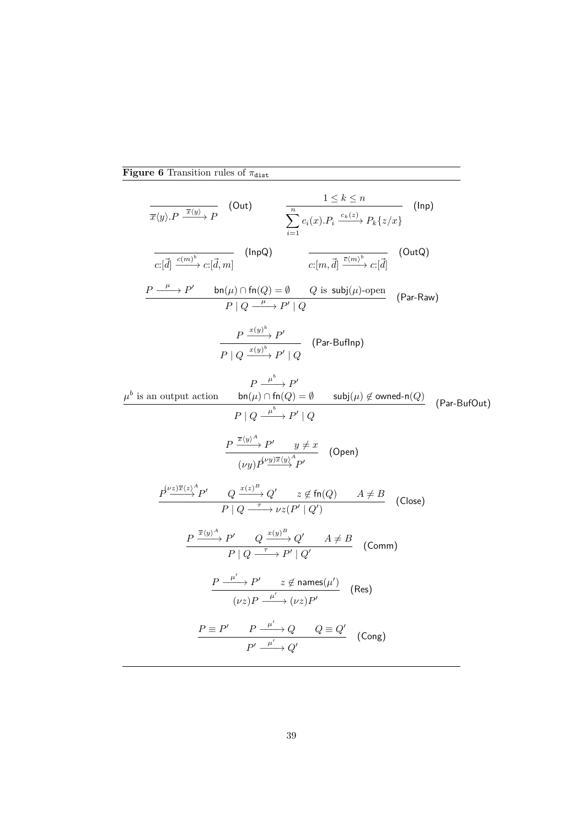# **Figure 6** Transition rules of  $\pi_{\text{dist}}$

 $\mu^b$ 

<span id="page-39-0"></span>
$$
\frac{1 \le k \le n}{\overline{x}(y).P \xrightarrow{\overline{x}(y)} P} \quad \text{(Out)} \qquad \frac{1 \le k \le n}{\sum_{i=1}^{n} c_i(x).P_i \xrightarrow{c_k(z)} P_k\{z/x\}} \quad \text{(Inp)}
$$
\n
$$
\frac{\overline{c_1(\overline{d}) \xrightarrow{c(m)^b} c_1(\overline{d}, m)}}{c_1(\overline{d}) \xrightarrow{c(m)} P \mid Q \xrightarrow{c(m, \overline{d})} \overline{\overline{c(m, \overline{d}) \xrightarrow{c(m)^b} c_1(\overline{d})}} \quad \text{(OutQ)}
$$
\n
$$
\frac{P \xrightarrow{\mu} P'}{P \mid Q \xrightarrow{\mu} P'} \mid Q \qquad \text{(Par-Buflnp)}
$$
\n
$$
\frac{P \xrightarrow{x(y)^b} P'}{P \mid Q \xrightarrow{x(y)^b} P'} \mid Q \qquad \text{(Par-Buflnp)}
$$
\nis an output action\n
$$
\frac{P \xrightarrow{\mu^b} P'}{P \mid Q \xrightarrow{\mu^b} P'} \quad \text{(Var-Buflup)} \quad \text{(Par-BufOut)}
$$
\n
$$
\frac{P \xrightarrow{\overline{x}(y)^A} P'}{P \mid Q \xrightarrow{\mu^b} P'} \quad \text{(Open)}
$$
\n
$$
\frac{\frac{P \xrightarrow{\overline{x}(y)^A} P'}{P \mid Q \xrightarrow{\overline{x} \xrightarrow{c} P'} Q'} \quad \text{for } z \notin \text{fn}(Q) \quad A \ne B}{P \mid Q \xrightarrow{\overline{x} \xrightarrow{b} p'} Q'} \quad \text{(Open)}
$$
\n
$$
\frac{P \xrightarrow{\overline{x}(y)^A} P'}{P \mid Q \xrightarrow{\overline{x} \xrightarrow{b} p'} Q} \quad \text{(C)} \quad \text{(Hom)} \quad \text{(Close)}
$$
\n
$$
\frac{P \xrightarrow{\overline{x}(y)^A} P'}{P \mid Q \xrightarrow{\overline{x} \xrightarrow{b} p'} Q'} \quad \text{(Ass)}
$$
\n
$$
\frac{P \xrightarrow{\mu^b} P'}{P \mid Q \xrightarrow{\overline{x} \xrightarrow{b} p'} \quad \text{(Using (New)} \quad \text{(New)} \quad \text{(New)} \quad \text{(New)} \quad \text{(New)} \quad \text{(New)} \quad \text{(New)} \quad \text{(New)} \quad \text{(
$$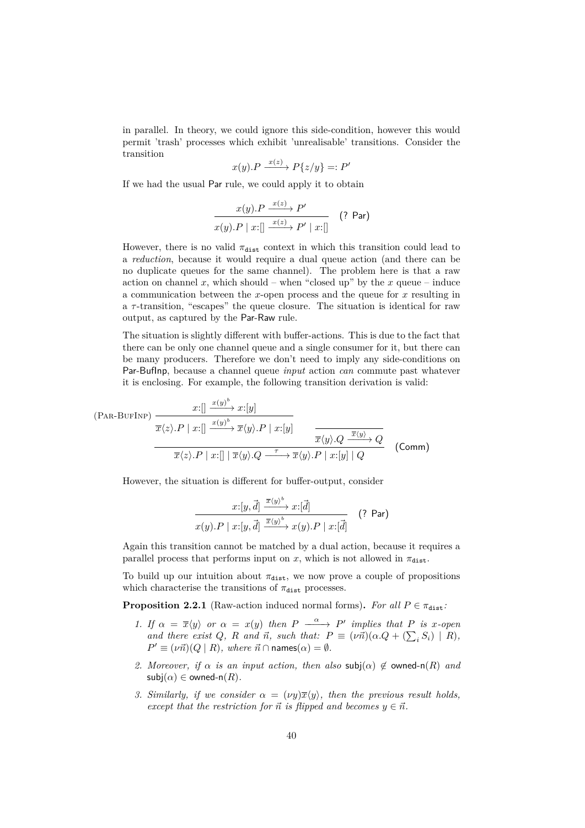in parallel. In theory, we could ignore this side-condition, however this would permit 'trash' processes which exhibit 'unrealisable' transitions. Consider the transition

$$
x(y).P \xrightarrow{x(z)} P\{z/y\} =: P'
$$

If we had the usual Par rule, we could apply it to obtain

$$
\frac{x(y).P \xrightarrow{x(z)} P'}{x(y).P \mid x:[\hspace{0.2cm} \xrightarrow{x(z)} P' \mid x:[\hspace{0.2cm}]} \hspace{0.2cm} (? \text{ Par})
$$

However, there is no valid  $\pi_{\text{dist}}$  context in which this transition could lead to a *reduction*, because it would require a dual queue action (and there can be no duplicate queues for the same channel). The problem here is that a raw action on channel  $x$ , which should – when "closed up" by the  $x$  queue – induce a communication between the *x*-open process and the queue for *x* resulting in a *τ* -transition, "escapes" the queue closure. The situation is identical for raw output, as captured by the Par-Raw rule.

The situation is slightly different with buffer-actions. This is due to the fact that there can be only one channel queue and a single consumer for it, but there can be many producers. Therefore we don't need to imply any side-conditions on Par-BufInp, because a channel queue *input* action *can* commute past whatever it is enclosing. For example, the following transition derivation is valid:

$$
\frac{x:\left[\frac{x(y)^b}{\sqrt{x}}x:[y]\right]}{\overline{x}\langle z\rangle.P \mid x:\left[\frac{x(y)^b}{\sqrt{x}}\overline{x}\langle y\rangle.P \mid x:[y]\right]} \frac{\overline{x}\langle y\rangle.Q \xrightarrow{\overline{x}\langle y\rangle} Q}{\overline{x}\langle y\rangle.Q \xrightarrow{\overline{x}\langle y\rangle} Q} \quad (\text{Comm})
$$

However, the situation is different for buffer-output, consider

$$
\frac{x:[y,\vec{d}] \xrightarrow{\overline{x}\langle y\rangle^b} x:[\vec{d}]}{x(y).P \mid x:[y,\vec{d}] \xrightarrow{\overline{x}\langle y\rangle^b} x(y).P \mid x:[\vec{d}]}
$$
 (? Par)

Again this transition cannot be matched by a dual action, because it requires a parallel process that performs input on *x*, which is not allowed in  $\pi_{\text{dist}}$ .

To build up our intuition about  $\pi_{\text{dist}}$ , we now prove a couple of propositions which characterise the transitions of  $\pi_{\text{dist}}$  processes.

<span id="page-40-0"></span>**Proposition 2.2.1** (Raw-action induced normal forms). For all  $P \in \pi_{dist}$ :

- *1.* If  $\alpha = \overline{x}\langle y \rangle$  or  $\alpha = x(y)$  then  $P \xrightarrow{\alpha} P'$  implies that  $P$  is *x*-open *and there exist*  $Q$ *,*  $R$  *and*  $\vec{n}$ *, such that:*  $P \equiv (\nu \vec{n})(\alpha \cdot Q + (\sum_i S_i) | R)$ *,*  $P' \equiv (\nu \vec{n}) (Q \mid R)$ *, where*  $\vec{n} \cap \text{names}(\alpha) = \emptyset$ *.*
- *2. Moreover, if*  $\alpha$  *is an input action, then also*  $\text{subj}(\alpha) \notin \text{owned-n}(R)$  *and*  $\mathsf{subj}(\alpha) \in \mathsf{owned-n}(R)$ .
- *3. Similarly, if we consider*  $\alpha = (\nu y)\overline{x}\langle y \rangle$ , then the previous result holds, *except that the restriction for*  $\vec{n}$  *is flipped and becomes*  $y \in \vec{n}$ *.*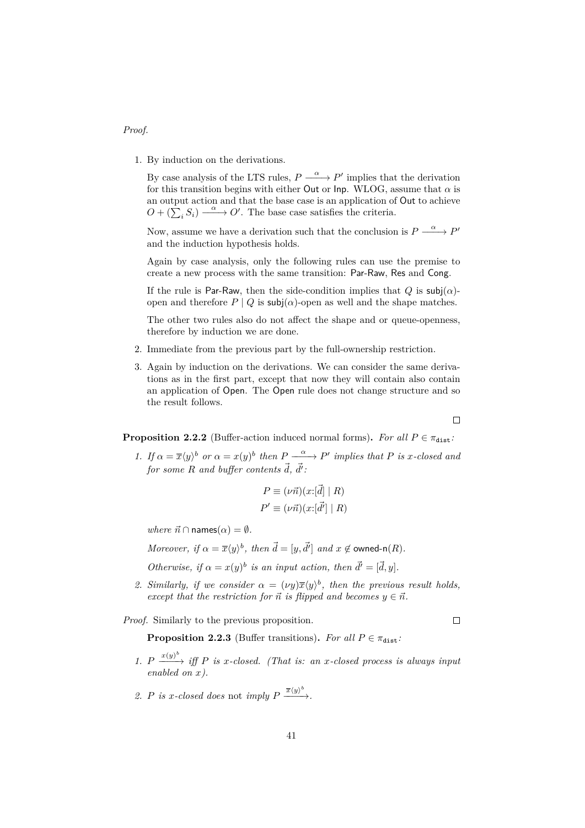#### *Proof.*

1. By induction on the derivations.

By case analysis of the LTS rules,  $P \xrightarrow{\alpha} P'$  implies that the derivation for this transition begins with either Out or Inp. WLOG, assume that  $\alpha$  is an output action and that the base case is an application of Out to achieve  $O + (\sum_{i} S_i) \xrightarrow{\alpha} O'.$  The base case satisfies the criteria.

Now, assume we have a derivation such that the conclusion is  $P \xrightarrow{\alpha} P'$ and the induction hypothesis holds.

Again by case analysis, only the following rules can use the premise to create a new process with the same transition: Par-Raw, Res and Cong.

If the rule is Par-Raw, then the side-condition implies that  $Q$  is  $\mathsf{subj}(\alpha)$ open and therefore  $P \mid Q$  is subj $(\alpha)$ -open as well and the shape matches.

The other two rules also do not affect the shape and or queue-openness, therefore by induction we are done.

- 2. Immediate from the previous part by the full-ownership restriction.
- 3. Again by induction on the derivations. We can consider the same derivations as in the first part, except that now they will contain also contain an application of Open. The Open rule does not change structure and so the result follows.

 $\Box$ 

<span id="page-41-0"></span>**Proposition 2.2.2** (Buffer-action induced normal forms). For all  $P \in \pi_{dist}$ :

*1. If*  $\alpha = \overline{x}\langle y \rangle^b$  *or*  $\alpha = x(y)^b$  *then*  $P \xrightarrow{\alpha} P'$  *implies that*  $P$  *is x*-*closed and*  $for~some~R~and~buffer~contents~\vec{d},~\vec{d'}$ 

$$
P \equiv (\nu \vec{n})(x: [\vec{d}] | R)
$$
  

$$
P' \equiv (\nu \vec{n})(x: [\vec{d'}] | R)
$$

*where*  $\vec{n} \cap \text{names}(\alpha) = \emptyset$ *.* 

*Moreover, if*  $\alpha = \overline{x}\langle y \rangle^b$ *, then*  $\overrightarrow{d} = [y, \overrightarrow{d'}]$  *and*  $x \notin \text{owned-n}(R)$ *.* 

*Otherwise, if*  $\alpha = x(y)^b$  *is an input action, then*  $\vec{d'} = [\vec{d}, y]$ *.* 

2. *Similarly, if we consider*  $\alpha = (\nu y) \overline{x} \langle y \rangle^b$ , then the previous result holds, *except that the restriction for*  $\vec{n}$  *is flipped and becomes*  $y \in \vec{n}$ *.* 

*Proof.* Similarly to the previous proposition.

 $\Box$ 

**Proposition 2.2.3** (Buffer transitions). *For all*  $P \in \pi_{\text{dist}}$ *:* 

- 1.  $P \xrightarrow{(x/y)^b} iff P$  *is x*-closed. (That *is: an x*-closed process *is always input*  $enabeled on x$ .
- 2. *P is x*-closed does not *imply*  $P \xrightarrow{\overline{x}(y)^b}$ .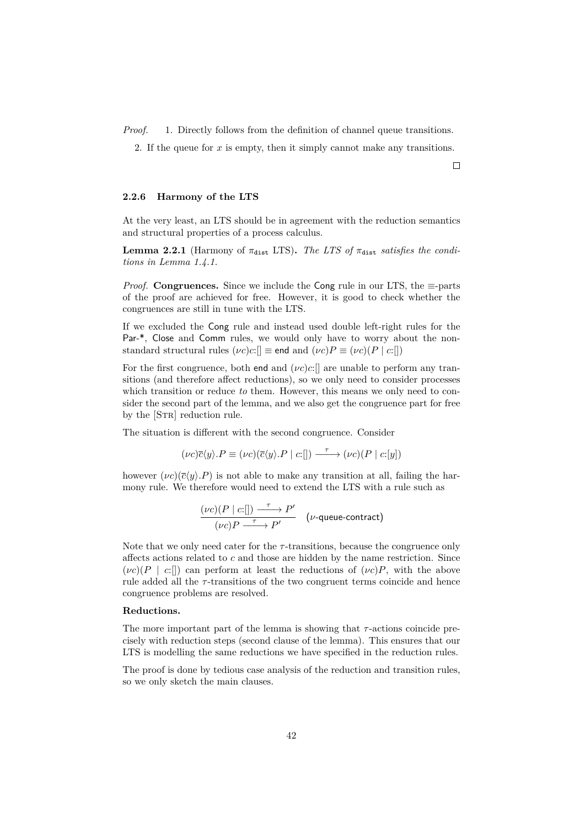*Proof.* 1. Directly follows from the definition of channel queue transitions.

2. If the queue for *x* is empty, then it simply cannot make any transitions.

#### **2.2.6 Harmony of the LTS**

At the very least, an LTS should be in agreement with the reduction semantics and structural properties of a process calculus.

**Lemma 2.2.1** (Harmony of  $\pi_{\text{dist}}$  LTS). The LTS of  $\pi_{\text{dist}}$  satisfies the condi*tions in [Lemma 1.4.1.](#page-12-0)*

*Proof.* **Congruences.** Since we include the Cong rule in our LTS, the  $\equiv$ -parts of the proof are achieved for free. However, it is good to check whether the congruences are still in tune with the LTS.

If we excluded the Cong rule and instead used double left-right rules for the Par-\*, Close and Comm rules, we would only have to worry about the nonstandard structural rules  $(\nu c)c$ :[]  $\equiv$  end and  $(\nu c)P \equiv (\nu c)(P | c$ :[])

For the first congruence, both end and  $(\nu c)c$ :[] are unable to perform any transitions (and therefore affect reductions), so we only need to consider processes which transition or reduce *to* them. However, this means we only need to consider the second part of the lemma, and we also get the congruence part for free by the [STR] reduction rule.

The situation is different with the second congruence. Consider

$$
(\nu c)\overline{c}\langle y\rangle.P \equiv (\nu c)(\overline{c}\langle y\rangle.P \mid c:[]) \xrightarrow{\tau} (\nu c)(P \mid c:[y])
$$

however  $(\nu c)(\bar{c}\langle y\rangle.P)$  is not able to make any transition at all, failing the harmony rule. We therefore would need to extend the LTS with a rule such as

$$
\frac{(\nu c)(P \mid c:[]) \xrightarrow{\tau} P'}{(\nu c)P \xrightarrow{\tau} P'} \quad (\nu\text{-queue-contract})
$$

Note that we only need cater for the  $\tau$ -transitions, because the congruence only affects actions related to *c* and those are hidden by the name restriction. Since  $(\nu c)(P \mid c$ :[]) can perform at least the reductions of  $(\nu c)P$ , with the above rule added all the *τ* -transitions of the two congruent terms coincide and hence congruence problems are resolved.

#### **Reductions.**

The more important part of the lemma is showing that *τ* -actions coincide precisely with reduction steps (second clause of the lemma). This ensures that our LTS is modelling the same reductions we have specified in the reduction rules.

The proof is done by tedious case analysis of the reduction and transition rules, so we only sketch the main clauses.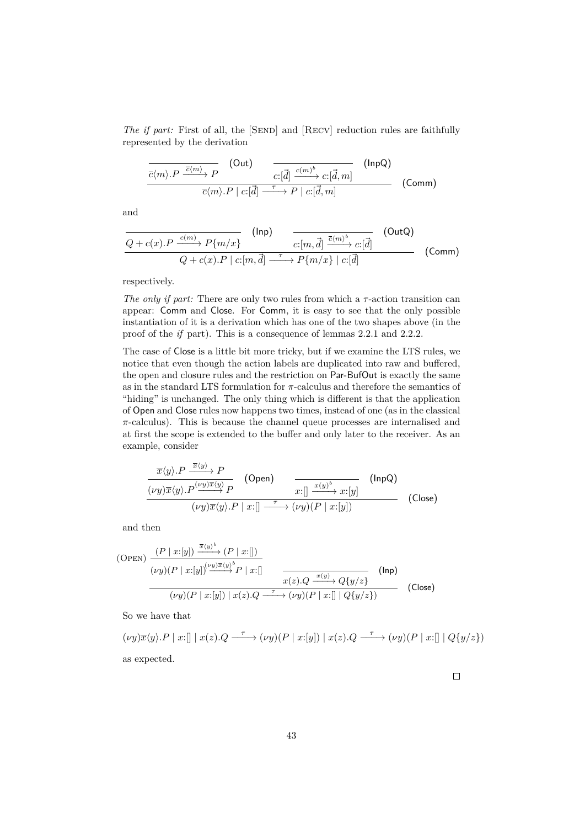*The if part:* First of all, the [SEND] and [RECV] reduction rules are faithfully represented by the derivation

$$
\frac{\overline{c}\langle m\rangle.P \xrightarrow{\overline{c}\langle m\rangle} P \qquad \text{(Out)} \qquad \qquad \overline{c:[\vec{d}] \xrightarrow{c\langle m\rangle^b} c:[\vec{d},m]} \qquad \text{(InpQ)}\n\overline{c}\langle m\rangle.P \mid c:[\vec{d}] \xrightarrow{\tau} P \mid c:[\vec{d},m]
$$
\n(Comm)

and

$$
\frac{\overline{Q+c(x).P \xrightarrow{c(m)} P\{m/x\}} (\text{Inp})}{Q+c(x).P \mid c:[m,\vec{d}] \xrightarrow{\tau} P\{m/x\} \mid c:[\vec{d}] } (\text{OutQ})
$$
\n(Comm)

respectively.

*The only if part:* There are only two rules from which a *τ* -action transition can appear: Comm and Close. For Comm, it is easy to see that the only possible instantiation of it is a derivation which has one of the two shapes above (in the proof of the *if* part). This is a consequence of lemmas [2.2.1](#page-40-0) and [2.2.2.](#page-41-0)

The case of Close is a little bit more tricky, but if we examine the LTS rules, we notice that even though the action labels are duplicated into raw and buffered, the open and closure rules and the restriction on Par-BufOut is exactly the same as in the standard LTS formulation for *π*-calculus and therefore the semantics of "hiding" is unchanged. The only thing which is different is that the application of Open and Close rules now happens two times, instead of one (as in the classical *π*-calculus). This is because the channel queue processes are internalised and at first the scope is extended to the buffer and only later to the receiver. As an example, consider

$$
\frac{\overline{x}\langle y\rangle \cdot P \xrightarrow{\overline{x}\langle y\rangle} P}{(\nu y)\overline{x}\langle y\rangle \cdot P \xrightarrow{(\nu y)\overline{x}\langle y\rangle} P} \quad \text{(Open)} \quad \xrightarrow{x:\left[\right] \xrightarrow{x\langle y\rangle^b} x:\left[y\right]} \quad \text{(InpQ)}\n(\nu y)\overline{x}\langle y\rangle \cdot P \mid x:\left[\right] \xrightarrow{\tau} (\nu y)\langle P \mid x:\left[y\right])
$$
\n(Close)

and then

(OPEN) 
$$
\frac{(P \mid x:[y]) \xrightarrow{\overline{x}(y)} (P \mid x:[)}{(vy)(P \mid x:[y])^{(\nu y)\overline{x}(y)} P \mid x:[)} \qquad \qquad \overline{x(z).Q \xrightarrow{x(y)} Q\{y/z\}} \qquad \text{(Inp)}
$$
\n
$$
\frac{(vy)(P \mid x:[y]) \mid x(z).Q \xrightarrow{\tau} (\nu y)(P \mid x:[) \mid Q\{y/z\})}{(U(y)(P \mid x:[y]) \mid x(z).Q \xrightarrow{\tau} (\nu y)(P \mid x:[) \mid Q\{y/z\})} \qquad \text{(Close)}
$$

So we have that

$$
(\nu y)\overline{x}\langle y\rangle.P \mid x:[\] \mid x(z).Q \xrightarrow{\tau} (\nu y)(P \mid x:[y]) \mid x(z).Q \xrightarrow{\tau} (\nu y)(P \mid x:[\] \mid Q\{y/z\})
$$
 as expected.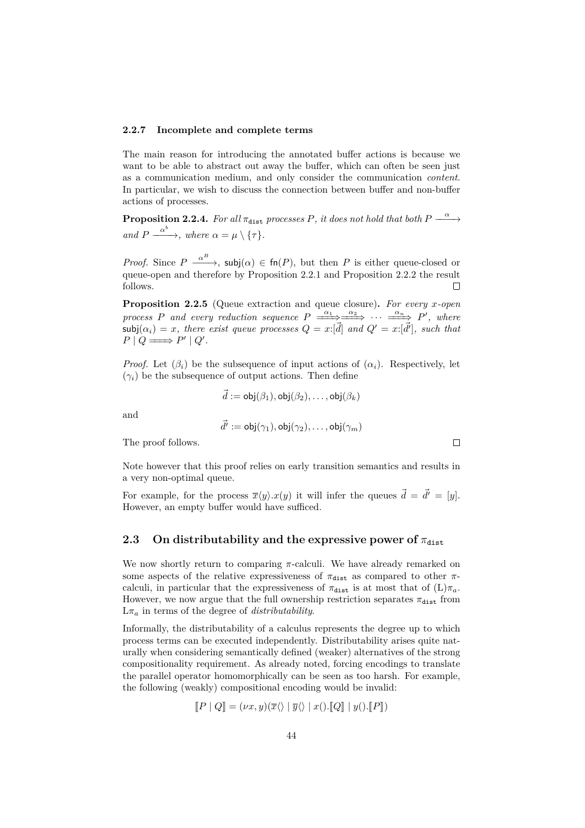#### **2.2.7 Incomplete and complete terms**

The main reason for introducing the annotated buffer actions is because we want to be able to abstract out away the buffer, which can often be seen just as a communication medium, and only consider the communication *content*. In particular, we wish to discuss the connection between buffer and non-buffer actions of processes.

**Proposition 2.2.4.** For all  $\pi_{\text{dist}}$  processes P, it does not hold that both P  $\rightarrow$ *and*  $P \xrightarrow{\alpha^b}$ *, where*  $\alpha = \mu \setminus {\tau}.$ 

*Proof.* Since  $P \xrightarrow{\alpha^B}$ , subj $(\alpha) \in \text{fn}(P)$ , but then *P* is either queue-closed or queue-open and therefore by [Proposition 2.2.1](#page-40-0) and [Proposition 2.2.2](#page-41-0) the result follows.  $\Box$ 

**Proposition 2.2.5** (Queue extraction and queue closure)**.** *For every x-open process P* and every reduction sequence  $P \xrightarrow{\alpha_1} \xrightarrow{\alpha_2} \cdots \xrightarrow{\alpha_n} P'$ , where  $\mathsf{subj}(\alpha_i) = x$ , there exist queue processes  $Q = x: [\vec{d}]$  and  $Q' = x: [\vec{d}']$ , such that  $P \mid Q \Longrightarrow P' \mid Q'.$ 

*Proof.* Let  $(\beta_i)$  be the subsequence of input actions of  $(\alpha_i)$ . Respectively, let  $(\gamma_i)$  be the subsequence of output actions. Then define

$$
\vec{d} := \mathsf{obj}(\beta_1), \mathsf{obj}(\beta_2), \dots, \mathsf{obj}(\beta_k)
$$

and

$$
\vec{d'}:=\mathsf{obj}(\gamma_1),\mathsf{obj}(\gamma_2),\ldots,\mathsf{obj}(\gamma_m)
$$

The proof follows.

Note however that this proof relies on early transition semantics and results in a very non-optimal queue.

For example, for the process  $\overline{x}\langle y \rangle \langle x \rangle$  it will infer the queues  $\overrightarrow{d} = \overrightarrow{d'} = [y]$ . However, an empty buffer would have sufficed.

### **2.3** On distributability and the expressive power of  $\pi_{\text{dist}}$

We now shortly return to comparing *π*-calculi. We have already remarked on some aspects of the relative expressiveness of  $\pi_{\text{dist}}$  as compared to other  $\pi$ calculi, in particular that the expressiveness of  $\pi_{dist}$  is at most that of  $(L)\pi_a$ . However, we now argue that the full ownership restriction separates  $\pi_{\text{dist}}$  from  $L\pi_a$  in terms of the degree of *distributability*.

Informally, the distributability of a calculus represents the degree up to which process terms can be executed independently. Distributability arises quite naturally when considering semantically defined (weaker) alternatives of the strong compositionality requirement. As already noted, forcing encodings to translate the parallel operator homomorphically can be seen as too harsh. For example, the following (weakly) compositional encoding would be invalid:

$$
[\![P \mid Q]\!] = (\nu x, y)(\overline{x} \langle \rangle \mid \overline{y} \langle \rangle \mid x(), [\![Q]\!] \mid y().[\![P]\!])
$$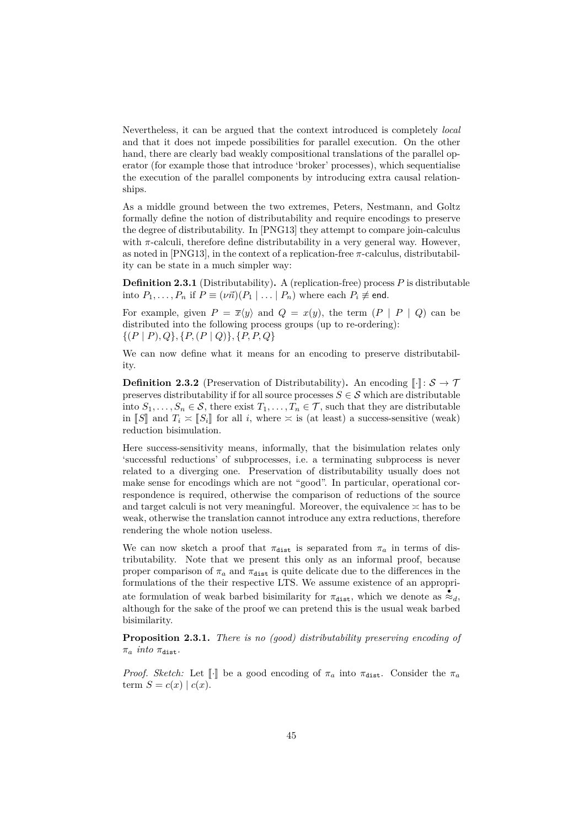Nevertheless, it can be argued that the context introduced is completely *local* and that it does not impede possibilities for parallel execution. On the other hand, there are clearly bad weakly compositional translations of the parallel operator (for example those that introduce 'broker' processes), which sequentialise the execution of the parallel components by introducing extra causal relationships.

As a middle ground between the two extremes, Peters, Nestmann, and Goltz formally define the notion of distributability and require encodings to preserve the degree of distributability. In [\[PNG13\]](#page-71-0) they attempt to compare join-calculus with  $\pi$ -calculi, therefore define distributability in a very general way. However, as noted in [\[PNG13\]](#page-71-0), in the context of a replication-free *π*-calculus, distributability can be state in a much simpler way:

**Definition 2.3.1** (Distributability)**.** A (replication-free) process *P* is distributable into  $P_1, \ldots, P_n$  if  $P \equiv (\nu \vec{n}) (P_1 \mid \ldots \mid P_n)$  where each  $P_i \not\equiv$  end.

For example, given  $P = \overline{x}\langle y \rangle$  and  $Q = x(y)$ , the term  $(P | P | Q)$  can be distributed into the following process groups (up to re-ordering): {(*P* | *P*)*, Q*}*,* {*P,*(*P* | *Q*)}*,* {*P, P, Q*}

We can now define what it means for an encoding to preserve distributability.

**Definition 2.3.2** (Preservation of Distributability). An encoding  $\llbracket \cdot \rrbracket$ :  $S \to \mathcal{T}$ preserves distributability if for all source processes  $S \in \mathcal{S}$  which are distributable into  $S_1, \ldots, S_n \in \mathcal{S}$ , there exist  $T_1, \ldots, T_n \in \mathcal{T}$ , such that they are distributable in [*S*] and  $T_i \approx [S_i]$  for all *i*, where  $\approx$  is (at least) a success-sensitive (weak) reduction bisimulation.

Here success-sensitivity means, informally, that the bisimulation relates only 'successful reductions' of subprocesses, i.e. a terminating subprocess is never related to a diverging one. Preservation of distributability usually does not make sense for encodings which are not "good". In particular, operational correspondence is required, otherwise the comparison of reductions of the source and target calculi is not very meaningful. Moreover, the equivalence  $\geq$  has to be weak, otherwise the translation cannot introduce any extra reductions, therefore rendering the whole notion useless.

We can now sketch a proof that  $\pi_{\text{dist}}$  is separated from  $\pi_a$  in terms of distributability. Note that we present this only as an informal proof, because proper comparison of  $\pi_a$  and  $\pi_{\text{dist}}$  is quite delicate due to the differences in the formulations of the their respective LTS. We assume existence of an appropriate formulation of weak barbed bisimilarity for  $\pi_{\text{dist}}$ , which we denote as  $\approx_d$ , although for the sake of the proof we can pretend this is the usual weak barbed bisimilarity.

**Proposition 2.3.1.** *There is no (good) distributability preserving encoding of*  $\pi_a$  *into*  $\pi_{\text{dist}}$ .

*Proof. Sketch:* Let  $\llbracket \cdot \rrbracket$  be a good encoding of  $\pi_a$  into  $\pi_{\text{dist}}$ . Consider the  $\pi_a$ term  $S = c(x) | c(x)$ .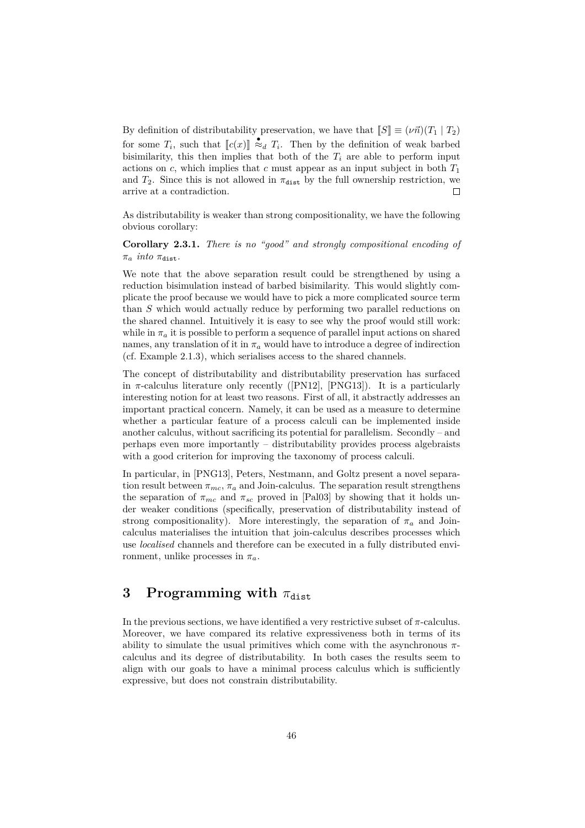By definition of distributability preservation, we have that  $\llbracket S \rrbracket \equiv (\nu \vec{n}) (T_1 \mid T_2)$ for some  $T_i$ , such that  $\llbracket c(x) \rrbracket \stackrel{\bullet}{\approx} T_i$ . Then by the definition of weak barbed<br>biginilarity, this than implies that both of the  $T_i$  are able to perform input bisimilarity, this then implies that both of the  $T_i$  are able to perform input actions on  $c$ , which implies that  $c$  must appear as an input subject in both  $T_1$ and  $T_2$ . Since this is not allowed in  $\pi_{\text{dist}}$  by the full ownership restriction, we arrive at a contradiction. г

As distributability is weaker than strong compositionality, we have the following obvious corollary:

**Corollary 2.3.1.** *There is no "good" and strongly compositional encoding of*  $\pi_a$  *into*  $\pi_{\text{dist}}$ .

We note that the above separation result could be strengthened by using a reduction bisimulation instead of barbed bisimilarity. This would slightly complicate the proof because we would have to pick a more complicated source term than *S* which would actually reduce by performing two parallel reductions on the shared channel. Intuitively it is easy to see why the proof would still work: while in  $\pi_a$  it is possible to perform a sequence of parallel input actions on shared names, any translation of it in  $\pi_a$  would have to introduce a degree of indirection (cf. [Example 2.1.3\)](#page-31-0), which serialises access to the shared channels.

The concept of distributability and distributability preservation has surfaced in  $\pi$ -calculus literature only recently ([\[PN12\]](#page-71-1), [\[PNG13\]](#page-71-0)). It is a particularly interesting notion for at least two reasons. First of all, it abstractly addresses an important practical concern. Namely, it can be used as a measure to determine whether a particular feature of a process calculi can be implemented inside another calculus, without sacrificing its potential for parallelism. Secondly – and perhaps even more importantly – distributability provides process algebraists with a good criterion for improving the taxonomy of process calculi.

In particular, in [\[PNG13\]](#page-71-0), Peters, Nestmann, and Goltz present a novel separation result between  $\pi_{mc}$ ,  $\pi_a$  and Join-calculus. The separation result strengthens the separation of  $\pi_{mc}$  and  $\pi_{sc}$  proved in [\[Pal03\]](#page-70-1) by showing that it holds under weaker conditions (specifically, preservation of distributability instead of strong compositionality). More interestingly, the separation of  $\pi_a$  and Joincalculus materialises the intuition that join-calculus describes processes which use *localised* channels and therefore can be executed in a fully distributed environment, unlike processes in  $\pi_a$ .

## **3** Programming with  $\pi_{\text{dist}}$

In the previous sections, we have identified a very restrictive subset of  $\pi$ -calculus. Moreover, we have compared its relative expressiveness both in terms of its ability to simulate the usual primitives which come with the asynchronous *π*calculus and its degree of distributability. In both cases the results seem to align with our goals to have a minimal process calculus which is sufficiently expressive, but does not constrain distributability.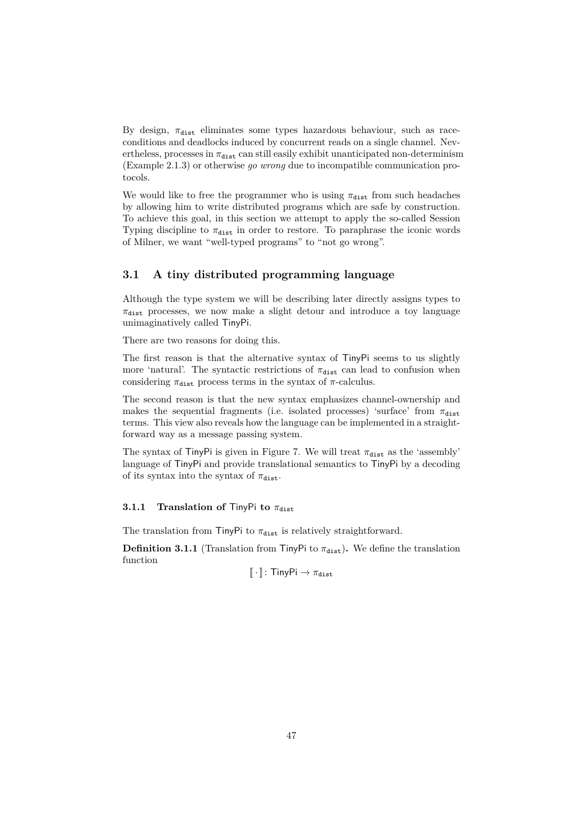By design,  $\pi_{\text{dist}}$  eliminates some types hazardous behaviour, such as raceconditions and deadlocks induced by concurrent reads on a single channel. Nevertheless, processes in  $\pi_{\text{dist}}$  can still easily exhibit unanticipated non-determinism [\(Example 2.1.3\)](#page-31-0) or otherwise *go wrong* due to incompatible communication protocols.

We would like to free the programmer who is using  $\pi_{\text{dist}}$  from such headaches by allowing him to write distributed programs which are safe by construction. To achieve this goal, in this section we attempt to apply the so-called Session Typing discipline to  $\pi_{\text{dist}}$  in order to restore. To paraphrase the iconic words of Milner, we want "well-typed programs" to "not go wrong".

### **3.1 A tiny distributed programming language**

Although the type system we will be describing later directly assigns types to  $\pi_{\text{dist}}$  processes, we now make a slight detour and introduce a toy language unimaginatively called TinyPi.

There are two reasons for doing this.

The first reason is that the alternative syntax of TinyPi seems to us slightly more 'natural'. The syntactic restrictions of  $\pi_{\text{dist}}$  can lead to confusion when considering  $\pi_{\text{dist}}$  process terms in the syntax of  $\pi$ -calculus.

The second reason is that the new syntax emphasizes channel-ownership and makes the sequential fragments (i.e. isolated processes) 'surface' from  $\pi_{\text{dist}}$ terms. This view also reveals how the language can be implemented in a straightforward way as a message passing system.

The syntax of TinyPi is given in [Figure 7.](#page-48-0) We will treat  $\pi_{\text{dist}}$  as the 'assembly' language of TinyPi and provide translational semantics to TinyPi by a decoding of its syntax into the syntax of  $\pi_{\text{dist}}$ .

#### **3.1.1** Translation of TinyPi to  $\pi_{\text{dist}}$

The translation from TinyPi to  $\pi_{\text{dist}}$  is relatively straightforward.

**Definition 3.1.1** (Translation from TinyPi to  $\pi_{dist}$ ). We define the translation function

 $\left[\!\left[ \, \cdot \, \right]\!\right]$ : TinyPi  $\rightarrow \pi_{\text{dist}}$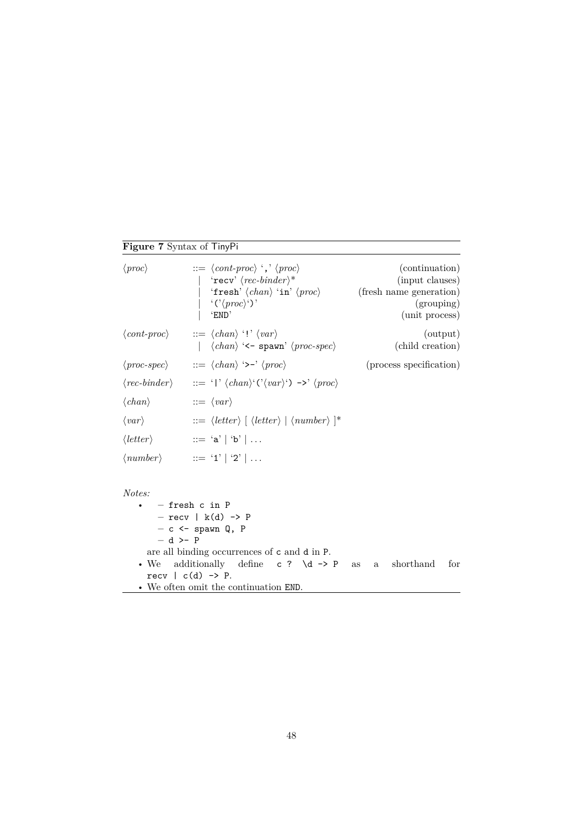## **Figure 7** Syntax of TinyPi

<span id="page-48-0"></span>

| $\langle proc \rangle$               | $ ::= \langle cont\text{-}proc \rangle \text{'}, \langle proc \rangle$<br>$\vert$ 'recv' $\langle rec\text{-}binder\rangle^*$<br>'fresh' $\langle chan \rangle$ 'in' $\langle proc \rangle$<br>  $\langle \langle \rangle \langle \rangle \rangle$ ')'<br>'END' | (continuation)<br>(input clauses)<br>(fresh name generation)<br>(grouping) |
|--------------------------------------|-----------------------------------------------------------------------------------------------------------------------------------------------------------------------------------------------------------------------------------------------------------------|----------------------------------------------------------------------------|
|                                      | $\langle cont\text{-}proc \rangle$ ::= $\langle chan \rangle$ '!' $\langle var \rangle$<br>$ \langle chan \rangle \leftarrow \text{spam'} \langle proc\text{-}spec \rangle$                                                                                     | (unit process)<br>(output)<br>(child creation)                             |
|                                      | $\langle proc\text{-}spec\rangle$ ::= $\langle chan\rangle$ '>-' $\langle proc\rangle$                                                                                                                                                                          | (process specification)                                                    |
|                                      | $\langle rec\text{-}binder \rangle$ ::= ' ' $\langle chan \rangle'(\langle var \rangle') \rightarrow \langle proc \rangle$                                                                                                                                      |                                                                            |
| $\langle chan \rangle$               | $ ::= \langle var \rangle$                                                                                                                                                                                                                                      |                                                                            |
| $\langle var \rangle$                | $ ::= \langle letter \rangle \mid \langle letter \rangle \mid \langle number \rangle \rangle$                                                                                                                                                                   |                                                                            |
| $\langle letter \rangle$             | $\mathbf{a}^{\prime}$ := 'a'   'b'   $\ldots$                                                                                                                                                                                                                   |                                                                            |
|                                      | $\langle number \rangle$ ::= '1'   '2'                                                                                                                                                                                                                          |                                                                            |
| Notes:<br>$- d$ >- P<br>$\bullet$ We | $-$ fresh c in P<br>$-$ recv   $k(d)$ -> P<br>$- c$ <- spawn Q, P<br>are all binding occurrences of c and d in P.<br>additionally define c ? $\ddot{\text{d}}$ -> P<br>recy $ c(d) \rightarrow P$ .                                                             | shorthand<br>for<br><b>as</b><br>$\mathbf{a}$                              |

• We often omit the continuation END.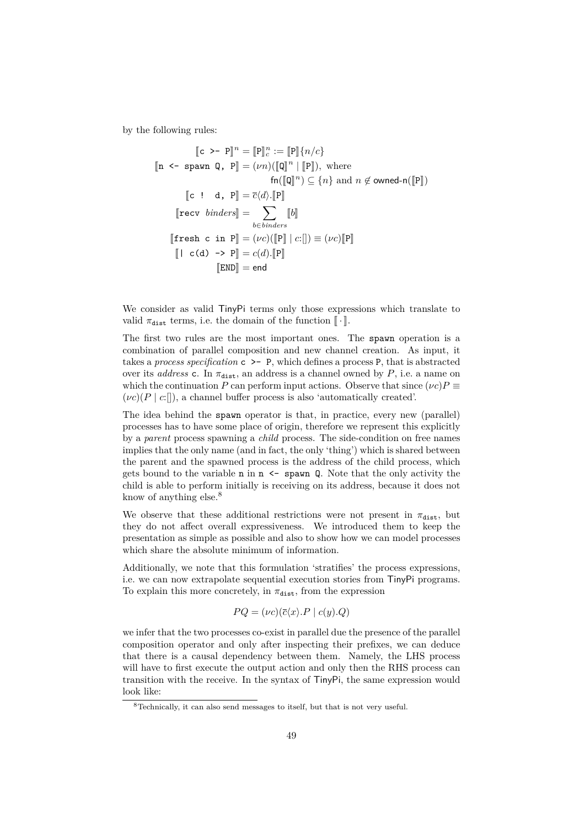by the following rules:

$$
\llbracket c \rangle - P \rrbracket^n = \llbracket P \rrbracket_c^n := \llbracket P \rrbracket \{ n/c \}
$$
\n
$$
\llbracket n \prec - \text{spam } Q, P \rrbracket = (\nu n) (\llbracket Q \rrbracket^n \mid \llbracket P \rrbracket), \text{ where}
$$
\n
$$
\text{fn} (\llbracket Q \rrbracket^n) \subseteq \{ n \} \text{ and } n \notin \text{owned-n} (\llbracket P \rrbracket)
$$
\n
$$
\llbracket c \perp d, P \rrbracket = \overline{c} \langle d \rangle . \llbracket P \rrbracket
$$
\n
$$
\llbracket \text{recv } binders \rrbracket = \sum_{b \in binders} \llbracket b \rrbracket
$$
\n
$$
\llbracket \text{fresh } c \text{ in } P \rrbracket = (\nu c) (\llbracket P \rrbracket \mid c : \llbracket j) \equiv (\nu c) \llbracket P \rrbracket
$$
\n
$$
\llbracket 1 & c(d) \rightarrow P \rrbracket = c(d) . \llbracket P \rrbracket
$$
\n
$$
\llbracket \text{END} \rrbracket = \text{end}
$$

We consider as valid  $T_{\text{inv}}$ Pi terms only those expressions which translate to valid  $\pi_{\text{dist}}$  terms, i.e. the domain of the function  $\lbrack \cdot \rbrack$ .

The first two rules are the most important ones. The spawn operation is a combination of parallel composition and new channel creation. As input, it takes a *process specification* c >- P, which defines a process P, that is abstracted over its *address* c. In  $\pi_{\text{dist}}$ , an address is a channel owned by *P*, i.e. a name on which the continuation *P* can perform input actions. Observe that since  $(\nu c)P \equiv$ (*νc*)(*P* | *c*:[]), a channel buffer process is also 'automatically created'.

The idea behind the spawn operator is that, in practice, every new (parallel) processes has to have some place of origin, therefore we represent this explicitly by a *parent* process spawning a *child* process. The side-condition on free names implies that the only name (and in fact, the only 'thing') which is shared between the parent and the spawned process is the address of the child process, which gets bound to the variable  $n$  in  $n \leq$  spawn Q. Note that the only activity the child is able to perform initially is receiving on its address, because it does not know of anything else.<sup>[8](#page-49-0)</sup>

We observe that these additional restrictions were not present in  $\pi_{\text{dist}}$ , but they do not affect overall expressiveness. We introduced them to keep the presentation as simple as possible and also to show how we can model processes which share the absolute minimum of information.

Additionally, we note that this formulation 'stratifies' the process expressions, i.e. we can now extrapolate sequential execution stories from TinyPi programs. To explain this more concretely, in  $\pi_{\text{dist}}$ , from the expression

$$
PQ = (\nu c)(\overline{c}\langle x \rangle.P \mid c(y).Q)
$$

we infer that the two processes co-exist in parallel due the presence of the parallel composition operator and only after inspecting their prefixes, we can deduce that there is a causal dependency between them. Namely, the LHS process will have to first execute the output action and only then the RHS process can transition with the receive. In the syntax of TinyPi, the same expression would look like:

<span id="page-49-0"></span><sup>8</sup>Technically, it can also send messages to itself, but that is not very useful.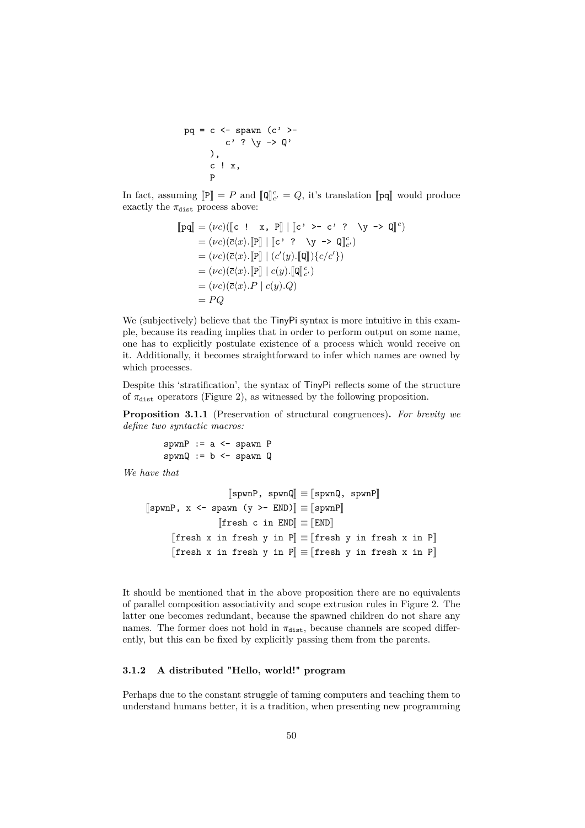$$
pq = c \leq span (c' > -c' \leq c' \leq \sum_{i=1}^{n} (c' \leq c' \leq c' \leq \sum_{i=1}^{n} (c' \leq c' \leq \sum_{i=1}^{n} (c' \leq c' \leq \sum_{i=1}^{n} (c' \leq c' \leq \sum_{i=1}^{n} (c' \leq c' \leq \sum_{i=1}^{n} (c' \leq c' \leq \sum_{i=1}^{n} (c' \leq c' \leq \sum_{i=1}^{n} (c' \leq c' \leq \sum_{i=1}^{n} (c' \leq c' \leq \sum_{i=1}^{n} (c' \leq \sum_{i=1}^{n} (c' \leq \sum_{i=1}^{n} (c' \leq \sum_{i=1}^{n} (c' \leq \sum_{i=1}^{n} (c' \leq \sum_{i=1}^{n} (c' \leq \sum_{i=1}^{n} (c' \leq \sum_{i=1}^{n} (c' \leq \sum_{i=1}^{n} (c' \leq \sum_{i=1}^{n} (c' \leq \sum_{i=1}^{n} (c' \leq \sum_{i=1}^{n} (c' \leq \sum_{i=1}^{n} (c' \leq \sum_{i=1}^{n} (c' \leq \sum_{i=1}^{n} (c' \leq \sum_{i=1}^{n} (c' \leq \sum_{i=1}^{n} (c' \leq \sum_{i=1}^{n} (c' \leq \sum_{i=1}^{n} (c' \leq \sum_{i=1}^{n} (c' \leq \sum_{i=1}^{n} (c' \leq \sum_{i=1}^{n} (c' \leq \sum_{i=1}^{n} (c' \leq \sum_{i=1}^{n} (c' \leq \sum_{i=1}^{n} (c' \leq \sum_{i=1}^{n} (c' \leq \sum_{i=1}^{n} (c' \leq \sum_{i=1}^{n} (c' \leq \sum_{i=1}^{n} (c' \leq \sum_{i=1}^{n} (c' \leq \sum_{i=1}^{n} (c' \leq \sum_{i=1}^{n} (c' \leq \sum_{i=1}^{n} (c' \leq \sum_{i=1}^{n} (c'
$$

In fact, assuming  $[\mathbb{P}] = P$  and  $[\![\mathbb{Q}]\!]_{c'}^c = Q$ , it's translation  $[\![\mathbf{p}\mathbf{q}]\!]$  would produce exactly the  $\pi_{\text{dist}}$  process above:

$$
\llbracket \mathbf{p} \mathbf{q} \rrbracket = (\nu c) (\llbracket c \cdot \mathbf{i} \cdot \mathbf{x}, \mathbf{P} \rrbracket \mid \llbracket c \cdot \mathbf{p} - c \cdot ? \quad \forall \mathbf{y} \rightarrow \mathbf{Q} \rrbracket^c)
$$
\n
$$
= (\nu c) (\overline{c} \langle x \rangle \cdot \llbracket \mathbf{P} \rrbracket \mid \llbracket c \cdot ? \quad \forall \mathbf{y} \rightarrow \mathbf{Q} \rrbracket^c)
$$
\n
$$
= (\nu c) (\overline{c} \langle x \rangle \cdot \llbracket \mathbf{P} \rrbracket \mid (c'(y) \cdot \llbracket \mathbf{Q} \rrbracket) \{c/c'\})
$$
\n
$$
= (\nu c) (\overline{c} \langle x \rangle \cdot \llbracket \mathbf{P} \rrbracket \mid c(y) \cdot \llbracket \mathbf{Q} \rrbracket^c)
$$
\n
$$
= (\nu c) (\overline{c} \langle x \rangle \cdot \mathbf{P} \mid c(y) \cdot \mathbf{Q})
$$
\n
$$
= PQ
$$

We (subjectively) believe that the  $T_{\text{inv}}$ Pi syntax is more intuitive in this example, because its reading implies that in order to perform output on some name, one has to explicitly postulate existence of a process which would receive on it. Additionally, it becomes straightforward to infer which names are owned by which processes.

Despite this 'stratification', the syntax of TinyPi reflects some of the structure of  $\pi_{\text{dist}}$  operators [\(Figure 2\)](#page-11-1), as witnessed by the following proposition.

**Proposition 3.1.1** (Preservation of structural congruences)**.** *For brevity we define two syntactic macros:*

> $spwnP := a < - spawn P$  $spwnQ := b \leftarrow spawn Q$

*We have that*

```
\llbracketspwnP, spwnQ\llbracket \equiv \llbracketspwnQ, spwnP\llbracket[spwnP, x \leftarrow spawn (y \leftarrow END)] \equiv [spwnP][[{\tt fresh}\; c\; {\tt in}\; END]] \equiv [[END]][[fresh x in fresh y in P]] ≡ [[fresh y in fresh x in P]][[fresh x in fresh y in P]] ≡ [[fresh y in fresh x in P]]
```
It should be mentioned that in the above proposition there are no equivalents of parallel composition associativity and scope extrusion rules in [Figure 2.](#page-11-1) The latter one becomes redundant, because the spawned children do not share any names. The former does not hold in  $\pi_{\text{dist}}$ , because channels are scoped differently, but this can be fixed by explicitly passing them from the parents.

#### <span id="page-50-0"></span>**3.1.2 A distributed "Hello, world!" program**

Perhaps due to the constant struggle of taming computers and teaching them to understand humans better, it is a tradition, when presenting new programming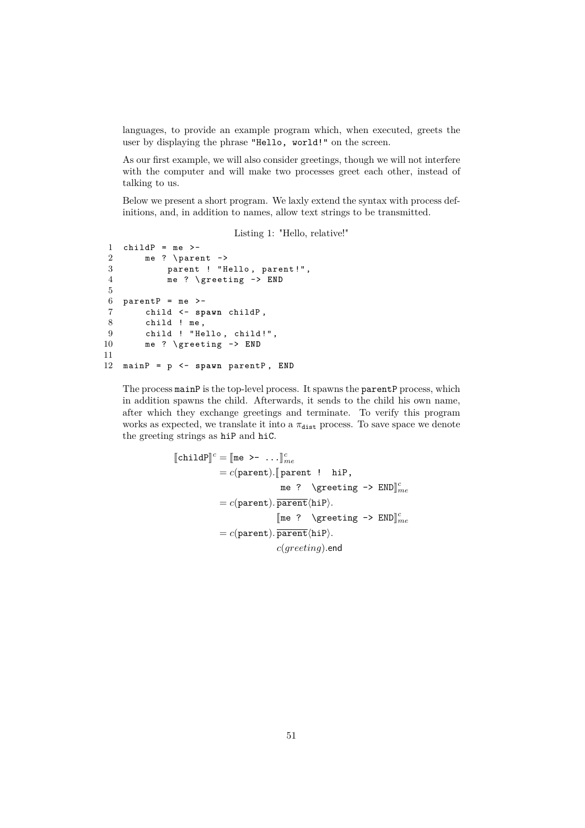languages, to provide an example program which, when executed, greets the user by displaying the phrase "Hello, world!" on the screen.

As our first example, we will also consider greetings, though we will not interfere with the computer and will make two processes greet each other, instead of talking to us.

Below we present a short program. We laxly extend the syntax with process definitions, and, in addition to names, allow text strings to be transmitted.

Listing 1: "Hello, relative!" 1 child $P = me$  >- $2$  me ? \parent  $\rightarrow$  3 parent ! "H parent ! "Hello, parent !", 4 me ? \ greeting -> **END**  $6$  parentP = me >-7 child <- **spawn** childP , 8 child ! me , 9 child ! "Hello, child!",

11 12 mainP = p <- **spawn** parentP , **END**

10 me ? \ greeting -> **END**

5

The process mainP is the top-level process. It spawns the parentP process, which in addition spawns the child. Afterwards, it sends to the child his own name, after which they exchange greetings and terminate. To verify this program works as expected, we translate it into a  $\pi_{\text{dist}}$  process. To save space we denote the greeting strings as hiP and hiC.

```
\llbracket \text{childP} \rrbracket^c = \llbracket \text{me } \rangle - \ldots \rrbracket^c_{me}= c(parent). \sqrt{a} parent ! hiP,
                                                      \begin{array}{ccc} \texttt{me} & \texttt{?} & \texttt{green} & \texttt{END} \end{array}= c(\text{parent}).\overline{\text{parent}}\langle\text{hip}\rangle.[\mathbb{me} ? \greeting -> \text{END}}_{me}^{c}= c(\text{parent}).\overline{\text{parent}}\langle\text{hiP}\rangle.c(greeting).end
```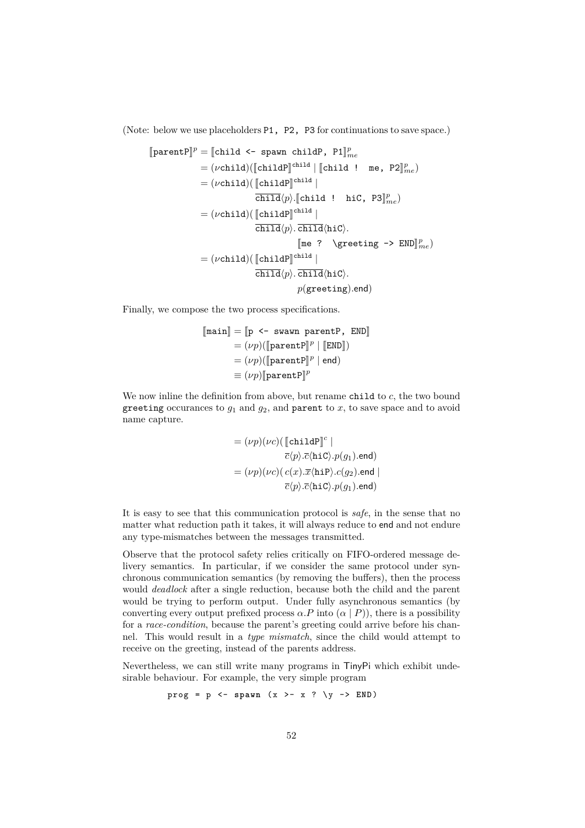(Note: below we use placeholders P1, P2, P3 for continuations to save space.)

$$
\begin{aligned} \llbracket \text{parentP} \rrbracket^p &= \llbracket \text{child} \leq \text{-}\text{ spawn childP}, \text{P1} \rrbracket^p_{me} \\ &= (\nu \text{child}) (\llbracket \text{childP} \rrbracket^{\text{child}} \mid \llbracket \text{child} \mid \text{me, P2} \rrbracket^p_{me}) \\ &= (\nu \text{child}) (\llbracket \text{childP} \rrbracket^{\text{child}} \mid \text{hic, P3} \rrbracket^p_{me}) \\ &= (\nu \text{child}) (\llbracket \text{childP} \rrbracket^{\text{child}} \mid \text{child} \lor \text{child} \lor \text{child} \lor \text{child} \lor \text{child} \lor \text{child} \lor \text{child} \lor \text{child} \lor \text{child} \lor \text{child} \lor \text{child} \lor \text{child} \lor \text{child} \lor \text{child} \lor \text{child} \lor \text{child} \lor \text{child} \lor \text{child} \lor \text{child} \lor \text{child} \lor \text{child} \lor \text{child} \lor \text{child} \lor \text{child} \lor \text{child} \lor \text{child} \lor \text{child} \lor \text{child} \lor \text{initial} \lor \text{physical} \lor \text{child} \lor \text{initial} \lor \text{physical} \lor \text{null} \lor \text{initial} \lor \text{initial} \lor \text{initial} \lor \text{initial} \lor \text{initial} \lor \text{initial} \lor \text{initial} \lor \text{initial} \lor \text{initial} \lor \text{initial} \lor \text{initial} \lor \text{initial} \lor \text{initial} \lor \text{initial} \lor \text{initial} \lor \text{initial} \lor \text{initial} \lor \text{initial} \lor \text{initial} \lor \text{initial} \lor \text{initial} \lor \text{initial} \lor \text{initial} \lor \text{initial} \lor \text{initial} \lor \text{initial} \lor \text{initial} \lor \text{initial} \lor \text{initial} \lor \text{initial} \lor \text{initial} \lor \text{initial} \lor \text{initial} \lor \text{initial} \lor \text{initial} \lor \text{initial} \lor \text{initial} \lor \text{initial} \lor \text{initial} \lor \text{initial} \lor \text{initial} \lor \text{initial} \lor \text{initial} \lor \text{initial} \lor \text{initial}
$$

Finally, we compose the two process specifications.

$$
\begin{aligned} [\text{main}] &= [\text{p} \leftarrow \text{swawn parentP, END}] \\ &= (\nu p)([\text{parentP}]^p \mid [\text{END}]) \\ &= (\nu p)([\text{parentP}]^p \mid \text{end}) \\ &\equiv (\nu p)[[\text{parentP}]^p \end{aligned}
$$

We now inline the definition from above, but rename child to *c*, the two bound greeting occurances to  $g_1$  and  $g_2$ , and parent to  $x$ , to save space and to avoid name capture.

$$
= (\nu p)(\nu c) (\llbracket \texttt{childP} \rrbracket^c \mid
$$

$$
\overline{c}\langle p \rangle . \overline{c}\langle \texttt{hiC} \rangle . p(g_1) . \texttt{end})
$$

$$
= (\nu p)(\nu c) (\, c(x) . \overline{x}\langle \texttt{hiP} \rangle . c(g_2) . \texttt{end} \mid
$$

$$
\overline{c}\langle p \rangle . \overline{c}\langle \texttt{hiC} \rangle . p(g_1) . \texttt{end})
$$

It is easy to see that this communication protocol is *safe*, in the sense that no matter what reduction path it takes, it will always reduce to end and not endure any type-mismatches between the messages transmitted.

Observe that the protocol safety relies critically on FIFO-ordered message delivery semantics. In particular, if we consider the same protocol under synchronous communication semantics (by removing the buffers), then the process would *deadlock* after a single reduction, because both the child and the parent would be trying to perform output. Under fully asynchronous semantics (by converting every output prefixed process  $\alpha.P$  into  $(\alpha | P)$ ), there is a possibility for a *race-condition*, because the parent's greeting could arrive before his channel. This would result in a *type mismatch*, since the child would attempt to receive on the greeting, instead of the parents address.

Nevertheless, we can still write many programs in TinyPi which exhibit undesirable behaviour. For example, the very simple program

$$
prog = p \leftarrow spawn (x >- x ? \ y \rightarrow END)
$$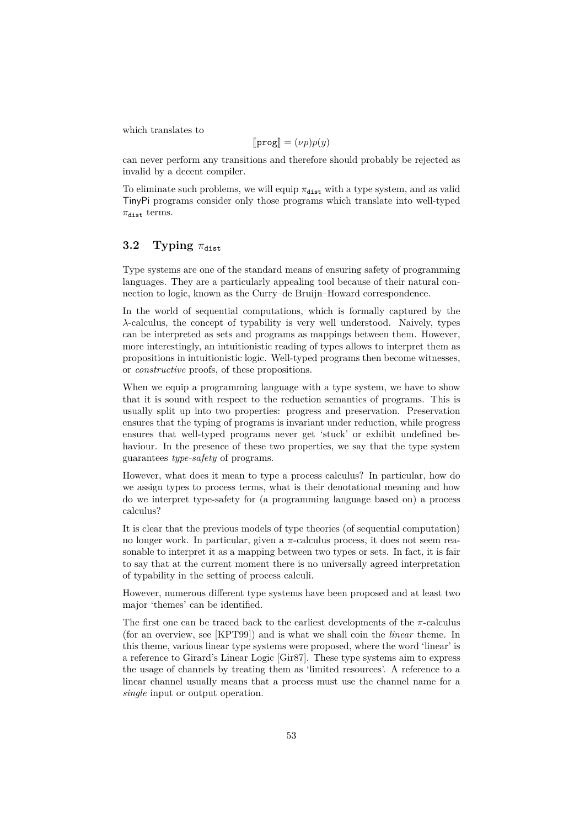which translates to

$$
[\![\mathbf{prog}]\!]=(\nu p)p(y)
$$

can never perform any transitions and therefore should probably be rejected as invalid by a decent compiler.

To eliminate such problems, we will equip  $\pi_{\text{dist}}$  with a type system, and as valid TinyPi programs consider only those programs which translate into well-typed  $\pi_{\text{dist}}$  terms.

### **3.2** Typing  $\pi_{\text{dist}}$

Type systems are one of the standard means of ensuring safety of programming languages. They are a particularly appealing tool because of their natural connection to logic, known as the Curry–de Bruijn–Howard correspondence.

In the world of sequential computations, which is formally captured by the *λ*-calculus, the concept of typability is very well understood. Naively, types can be interpreted as sets and programs as mappings between them. However, more interestingly, an intuitionistic reading of types allows to interpret them as propositions in intuitionistic logic. Well-typed programs then become witnesses, or *constructive* proofs, of these propositions.

When we equip a programming language with a type system, we have to show that it is sound with respect to the reduction semantics of programs. This is usually split up into two properties: progress and preservation. Preservation ensures that the typing of programs is invariant under reduction, while progress ensures that well-typed programs never get 'stuck' or exhibit undefined behaviour. In the presence of these two properties, we say that the type system guarantees *type-safety* of programs.

However, what does it mean to type a process calculus? In particular, how do we assign types to process terms, what is their denotational meaning and how do we interpret type-safety for (a programming language based on) a process calculus?

It is clear that the previous models of type theories (of sequential computation) no longer work. In particular, given a *π*-calculus process, it does not seem reasonable to interpret it as a mapping between two types or sets. In fact, it is fair to say that at the current moment there is no universally agreed interpretation of typability in the setting of process calculi.

However, numerous different type systems have been proposed and at least two major 'themes' can be identified.

The first one can be traced back to the earliest developments of the  $\pi$ -calculus (for an overview, see [\[KPT99\]](#page-69-0)) and is what we shall coin the *linear* theme. In this theme, various linear type systems were proposed, where the word 'linear' is a reference to Girard's Linear Logic [\[Gir87\]](#page-68-1). These type systems aim to express the usage of channels by treating them as 'limited resources'. A reference to a linear channel usually means that a process must use the channel name for a *single* input or output operation.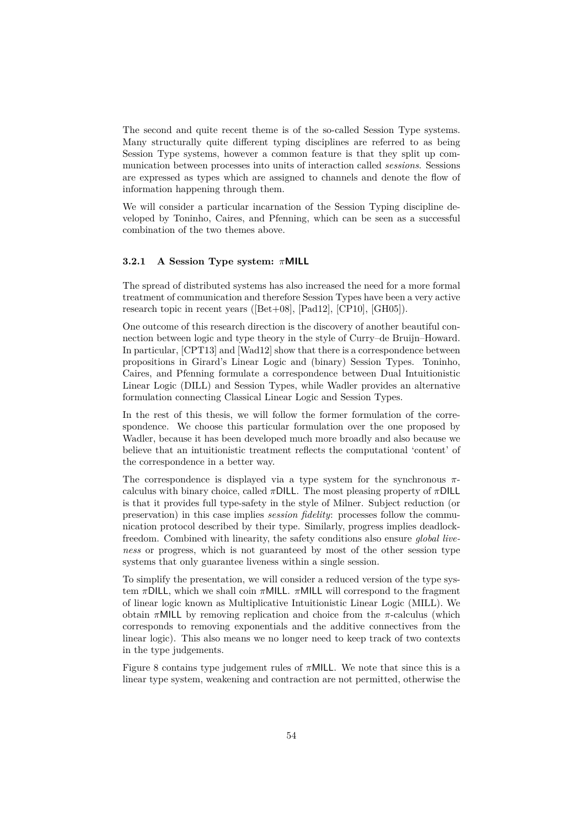The second and quite recent theme is of the so-called Session Type systems. Many structurally quite different typing disciplines are referred to as being Session Type systems, however a common feature is that they split up communication between processes into units of interaction called *sessions*. Sessions are expressed as types which are assigned to channels and denote the flow of information happening through them.

We will consider a particular incarnation of the Session Typing discipline developed by Toninho, Caires, and Pfenning, which can be seen as a successful combination of the two themes above.

#### **3.2.1 A Session Type system:** *π***MILL**

The spread of distributed systems has also increased the need for a more formal treatment of communication and therefore Session Types have been a very active research topic in recent years ([\[Bet+08\]](#page-67-1), [\[Pad12\]](#page-70-2), [\[CP10\]](#page-68-2), [\[GH05\]](#page-68-3)).

One outcome of this research direction is the discovery of another beautiful connection between logic and type theory in the style of Curry–de Bruijn–Howard. In particular, [\[CPT13\]](#page-68-4) and [\[Wad12\]](#page-72-0) show that there is a correspondence between propositions in Girard's Linear Logic and (binary) Session Types. Toninho, Caires, and Pfenning formulate a correspondence between Dual Intuitionistic Linear Logic (DILL) and Session Types, while Wadler provides an alternative formulation connecting Classical Linear Logic and Session Types.

In the rest of this thesis, we will follow the former formulation of the correspondence. We choose this particular formulation over the one proposed by Wadler, because it has been developed much more broadly and also because we believe that an intuitionistic treatment reflects the computational 'content' of the correspondence in a better way.

The correspondence is displayed via a type system for the synchronous *π*calculus with binary choice, called  $\pi$ DILL. The most pleasing property of  $\pi$ DILL is that it provides full type-safety in the style of Milner. Subject reduction (or preservation) in this case implies *session fidelity*: processes follow the communication protocol described by their type. Similarly, progress implies deadlockfreedom. Combined with linearity, the safety conditions also ensure *global liveness* or progress, which is not guaranteed by most of the other session type systems that only guarantee liveness within a single session.

To simplify the presentation, we will consider a reduced version of the type system *π*DILL, which we shall coin *π*MILL. *π*MILL will correspond to the fragment of linear logic known as Multiplicative Intuitionistic Linear Logic (MILL). We obtain *π*MILL by removing replication and choice from the *π*-calculus (which corresponds to removing exponentials and the additive connectives from the linear logic). This also means we no longer need to keep track of two contexts in the type judgements.

[Figure 8](#page-55-0) contains type judgement rules of *π*MILL. We note that since this is a linear type system, weakening and contraction are not permitted, otherwise the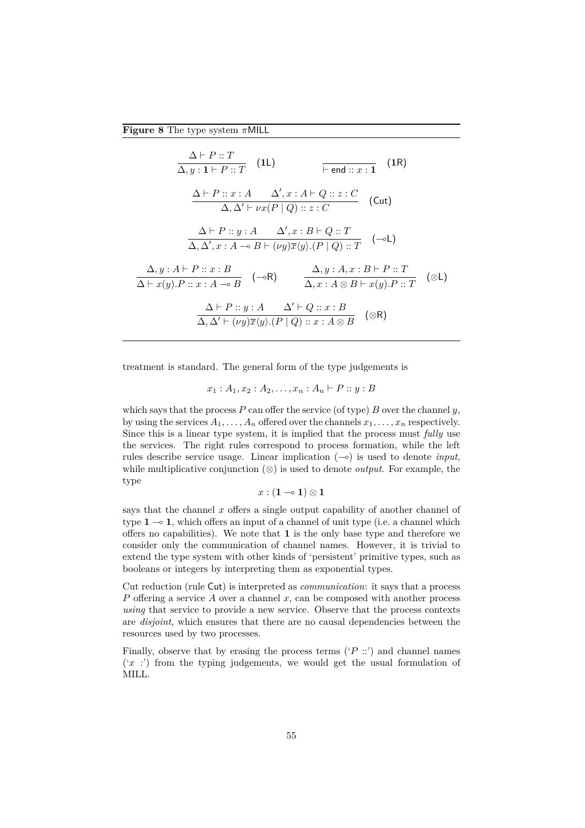<span id="page-55-0"></span>**Figure 8** The type system *π*MILL

$$
\frac{\Delta \vdash P :: T}{\Delta, y : 1 \vdash P :: T} \quad \text{(1L)} \qquad \qquad \overline{\vdash end :: x : 1} \quad \text{(1R)}
$$
\n
$$
\frac{\Delta \vdash P :: x : A \quad \Delta', x : A \vdash Q :: z : C}{\Delta, \Delta' \vdash \nu x (P | Q) :: z : C} \quad \text{(Cut)}
$$
\n
$$
\frac{\Delta \vdash P :: y : A \quad \Delta', x : B \vdash Q :: T}{\Delta, \Delta', x : A \multimap B \vdash (\nu y) \overline{x} \langle y \rangle . (P | Q) :: T} \quad \text{(-1)}
$$
\n
$$
\frac{\Delta, y : A \vdash P :: x : B}{\Delta \vdash x (y). P :: x : A \multimap B} \quad \frac{\Delta, y : A, x : B \vdash P :: T}{\Delta, x : A \otimes B \vdash x (y). P :: T} \quad \text{(\otimes L)}
$$
\n
$$
\frac{\Delta \vdash P :: y : A \quad \Delta' \vdash Q :: x : B}{\Delta, \Delta' \vdash (\nu y) \overline{x} \langle y \rangle . (P | Q) :: x : A \otimes B} \quad \text{(\otimes R)}
$$

treatment is standard. The general form of the type judgements is

 $x_1 : A_1, x_2 : A_2, \ldots, x_n : A_n \vdash P :: y : B$ 

which says that the process *P* can offer the service (of type) *B* over the channel *y*, by using the services  $A_1, \ldots, A_n$  offered over the channels  $x_1, \ldots, x_n$  respectively. Since this is a linear type system, it is implied that the process must *fully* use the services. The right rules correspond to process formation, while the left rules describe service usage. Linear implication  $(-\circ)$  is used to denote *input*, while multiplicative conjunction  $(\otimes)$  is used to denote *output*. For example, the type

$$
x:(\mathbf{1} \multimap \mathbf{1}) \otimes \mathbf{1}
$$

says that the channel *x* offers a single output capability of another channel of type  $1 \rightarrow 1$ , which offers an input of a channel of unit type (i.e. a channel which offers no capabilities). We note that **1** is the only base type and therefore we consider only the communication of channel names. However, it is trivial to extend the type system with other kinds of 'persistent' primitive types, such as booleans or integers by interpreting them as exponential types.

Cut reduction (rule Cut) is interpreted as *communication*: it says that a process *P* offering a service *A* over a channel *x*, can be composed with another process *using* that service to provide a new service. Observe that the process contexts are *disjoint*, which ensures that there are no causal dependencies between the resources used by two processes.

Finally, observe that by erasing the process terms  $({}^{\circ}P$  ::) and channel names  $(x, t')$  from the typing judgements, we would get the usual formulation of MILL.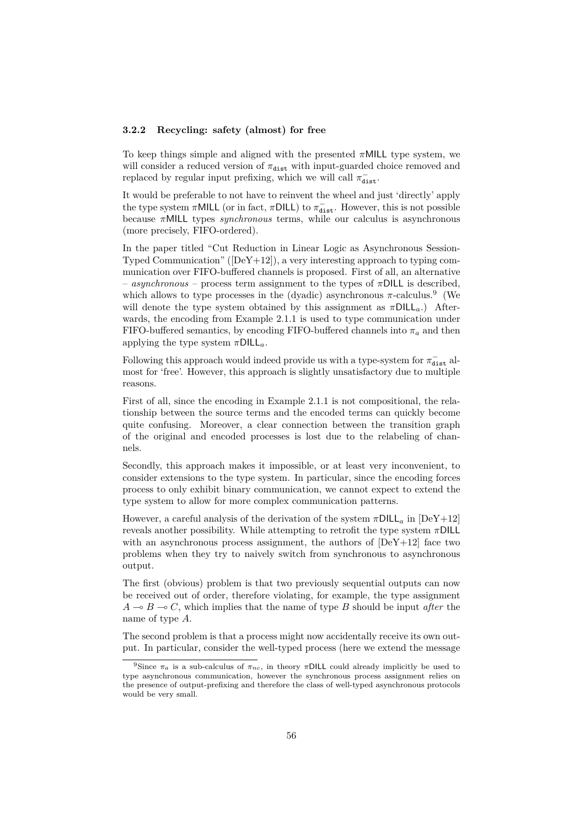#### **3.2.2 Recycling: safety (almost) for free**

To keep things simple and aligned with the presented *π*MILL type system, we will consider a reduced version of  $\pi_{\text{dist}}$  with input-guarded choice removed and replaced by regular input prefixing, which we will call  $\pi_{\texttt{dist}}^{-}$ .

It would be preferable to not have to reinvent the wheel and just 'directly' apply the type system  $\pi$ MILL (or in fact,  $\pi$ DILL) to  $\pi_{\text{dist}}^-$ . However, this is not possible because *π*MILL types *synchronous* terms, while our calculus is asynchronous (more precisely, FIFO-ordered).

In the paper titled "Cut Reduction in Linear Logic as Asynchronous Session-Typed Communication" ( $[DeY+12]$ ), a very interesting approach to typing communication over FIFO-buffered channels is proposed. First of all, an alternative – *asynchronous* – process term assignment to the types of *π*DILL is described, which allows to type processes in the (dyadic) asynchronous  $\pi$ -calculus.<sup>[9](#page-56-0)</sup> (We will denote the type system obtained by this assignment as  $\pi DILL_{a}$ .) Afterwards, the encoding from [Example 2.1.1](#page-27-0) is used to type communication under FIFO-buffered semantics, by encoding FIFO-buffered channels into  $\pi_a$  and then applying the type system *π*DILL*a*.

Following this approach would indeed provide us with a type-system for  $\pi_{\tt dist}^-$  almost for 'free'. However, this approach is slightly unsatisfactory due to multiple reasons.

First of all, since the encoding in [Example 2.1.1](#page-27-0) is not compositional, the relationship between the source terms and the encoded terms can quickly become quite confusing. Moreover, a clear connection between the transition graph of the original and encoded processes is lost due to the relabeling of channels.

Secondly, this approach makes it impossible, or at least very inconvenient, to consider extensions to the type system. In particular, since the encoding forces process to only exhibit binary communication, we cannot expect to extend the type system to allow for more complex communication patterns.

However, a careful analysis of the derivation of the system  $\pi$ DILL<sub>a</sub> in [\[DeY+12\]](#page-68-5) reveals another possibility. While attempting to retrofit the type system *π*DILL with an asynchronous process assignment, the authors of  $[DeY+12]$  face two problems when they try to naively switch from synchronous to asynchronous output.

The first (obvious) problem is that two previously sequential outputs can now be received out of order, therefore violating, for example, the type assignment  $A \rightarrow B \rightarrow C$ , which implies that the name of type *B* should be input *after* the name of type *A*.

The second problem is that a process might now accidentally receive its own output. In particular, consider the well-typed process (here we extend the message

<span id="page-56-0"></span><sup>&</sup>lt;sup>9</sup>Since  $\pi_a$  is a sub-calculus of  $\pi_{nc}$ , in theory  $\pi$ DILL could already implicitly be used to type asynchronous communication, however the synchronous process assignment relies on the presence of output-prefixing and therefore the class of well-typed asynchronous protocols would be very small.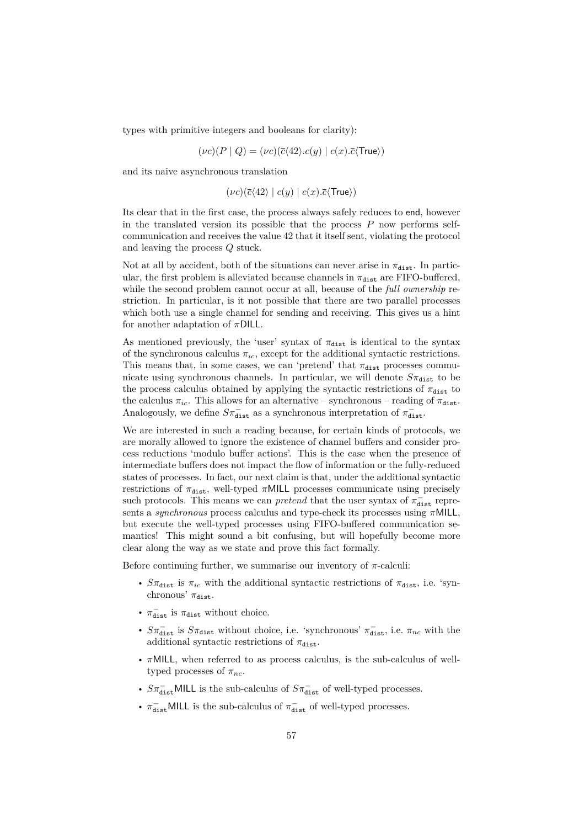types with primitive integers and booleans for clarity):

$$
(\nu c)(P \mid Q) = (\nu c)(\overline{c}\langle 42 \rangle.c(y) \mid c(x).\overline{c}\langle \text{True}\rangle)
$$

and its naive asynchronous translation

$$
(\nu c)(\overline{c}\langle 42 \rangle \mid c(y) \mid c(x).\overline{c}\langle \text{True} \rangle)
$$

Its clear that in the first case, the process always safely reduces to end, however in the translated version its possible that the process *P* now performs selfcommunication and receives the value 42 that it itself sent, violating the protocol and leaving the process *Q* stuck.

Not at all by accident, both of the situations can never arise in  $\pi_{\text{dist}}$ . In particular, the first problem is alleviated because channels in  $\pi_{\text{dist}}$  are FIFO-buffered, while the second problem cannot occur at all, because of the *full ownership* restriction. In particular, is it not possible that there are two parallel processes which both use a single channel for sending and receiving. This gives us a hint for another adaptation of *π*DILL.

As mentioned previously, the 'user' syntax of  $\pi_{\text{dist}}$  is identical to the syntax of the synchronous calculus  $\pi_{ic}$ , except for the additional syntactic restrictions. This means that, in some cases, we can 'pretend' that  $\pi_{\text{dist}}$  processes communicate using synchronous channels. In particular, we will denote  $S_{\pi_{\text{dist}}}$  to be the process calculus obtained by applying the syntactic restrictions of  $\pi_{\text{dist}}$  to the calculus  $\pi_{ic}$ . This allows for an alternative – synchronous – reading of  $\pi_{dist}$ . Analogously, we define  $S\pi_{\texttt{dist}}^-$  as a synchronous interpretation of  $\pi_{\texttt{dist}}^-$ .

We are interested in such a reading because, for certain kinds of protocols, we are morally allowed to ignore the existence of channel buffers and consider process reductions 'modulo buffer actions'. This is the case when the presence of intermediate buffers does not impact the flow of information or the fully-reduced states of processes. In fact, our next claim is that, under the additional syntactic restrictions of  $\pi_{\text{dist}}$ , well-typed  $\pi$ MILL processes communicate using precisely such protocols. This means we can *pretend* that the user syntax of  $\pi_{dist}^-$  represents a *synchronous* process calculus and type-check its processes using *π*MILL, but execute the well-typed processes using FIFO-buffered communication semantics! This might sound a bit confusing, but will hopefully become more clear along the way as we state and prove this fact formally.

Before continuing further, we summarise our inventory of  $\pi$ -calculi:

- $S\pi_{\text{dist}}$  is  $\pi_{ic}$  with the additional syntactic restrictions of  $\pi_{\text{dist}}$ , i.e. 'synchronous'  $\pi_{\text{dist}}$ .
- $\pi_{\text{dist}}^-$  is  $\pi_{\text{dist}}$  without choice.
- $S\pi_{\text{dist}}^-$  is  $S\pi_{\text{dist}}$  without choice, i.e. 'synchronous'  $\pi_{\text{dist}}^-$ , i.e.  $\pi_{nc}$  with the additional syntactic restrictions of  $\pi_{\text{dist}}$ .
- *π*MILL, when referred to as process calculus, is the sub-calculus of welltyped processes of  $\pi_{nc}$ .
- $S\pi_{\text{dist}}^-$ MILL is the sub-calculus of  $S\pi_{\text{dist}}^-$  of well-typed processes.
- $\pi_{\text{dist}}^-$ MILL is the sub-calculus of  $\pi_{\text{dist}}^-$  of well-typed processes.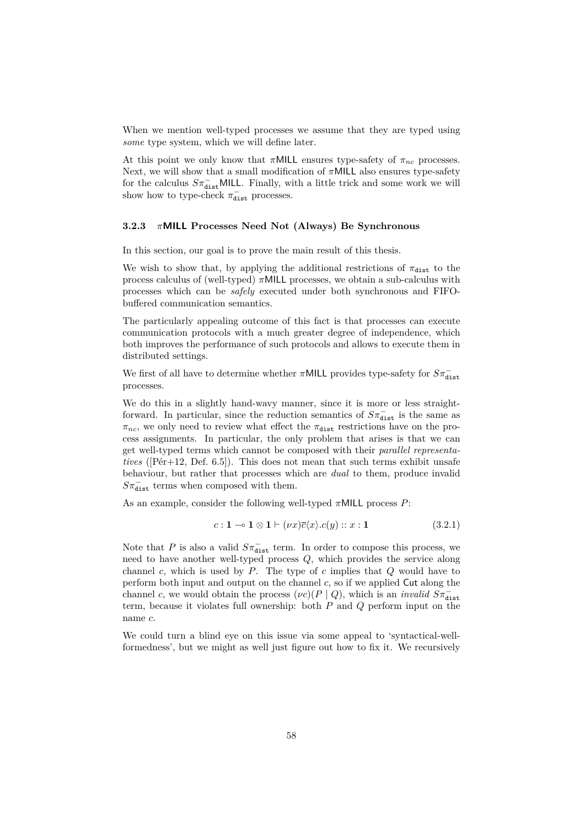When we mention well-typed processes we assume that they are typed using *some* type system, which we will define later.

At this point we only know that  $\pi$ MILL ensures type-safety of  $\pi_{nc}$  processes. Next, we will show that a small modification of *π*MILL also ensures type-safety for the calculus  $S\pi_{\texttt{dist}}^-$ MILL. Finally, with a little trick and some work we will show how to type-check  $\pi_{\text{dist}}^-$  processes.

#### **3.2.3** *π***MILL Processes Need Not (Always) Be Synchronous**

In this section, our goal is to prove the main result of this thesis.

We wish to show that, by applying the additional restrictions of  $\pi_{\text{dist}}$  to the process calculus of (well-typed) *π*MILL processes, we obtain a sub-calculus with processes which can be *safely* executed under both synchronous and FIFObuffered communication semantics.

The particularly appealing outcome of this fact is that processes can execute communication protocols with a much greater degree of independence, which both improves the performance of such protocols and allows to execute them in distributed settings.

We first of all have to determine whether  $\pi$ MILL provides type-safety for  $S\pi_{\texttt{dist}}^$ processes.

We do this in a slightly hand-wavy manner, since it is more or less straightforward. In particular, since the reduction semantics of  $S\pi_{\text{dist}}^-$  is the same as  $\pi_{nc}$ , we only need to review what effect the  $\pi_{dist}$  restrictions have on the process assignments. In particular, the only problem that arises is that we can get well-typed terms which cannot be composed with their *parallel representatives* ([\[Pér+12,](#page-71-2) Def. 6.5]). This does not mean that such terms exhibit unsafe behaviour, but rather that processes which are *dual* to them, produce invalid  $S\pi_{\texttt{dist}}^-$  terms when composed with them.

As an example, consider the following well-typed *π*MILL process *P*:

<span id="page-58-0"></span>
$$
c: \mathbf{1} \multimap \mathbf{1} \otimes \mathbf{1} \vdash (\nu x) \overline{c} \langle x \rangle . c(y) :: x : \mathbf{1} \tag{3.2.1}
$$

Note that *P* is also a valid  $S\pi_{\text{dist}}^-$  term. In order to compose this process, we need to have another well-typed process *Q*, which provides the service along channel *c*, which is used by *P*. The type of *c* implies that *Q* would have to perform both input and output on the channel *c*, so if we applied Cut along the channel *c*, we would obtain the process  $(\nu c)(P \mid Q)$ , which is an *invalid*  $S\pi_{\text{dist}}^$ term, because it violates full ownership: both *P* and *Q* perform input on the name *c*.

We could turn a blind eye on this issue via some appeal to 'syntactical-wellformedness', but we might as well just figure out how to fix it. We recursively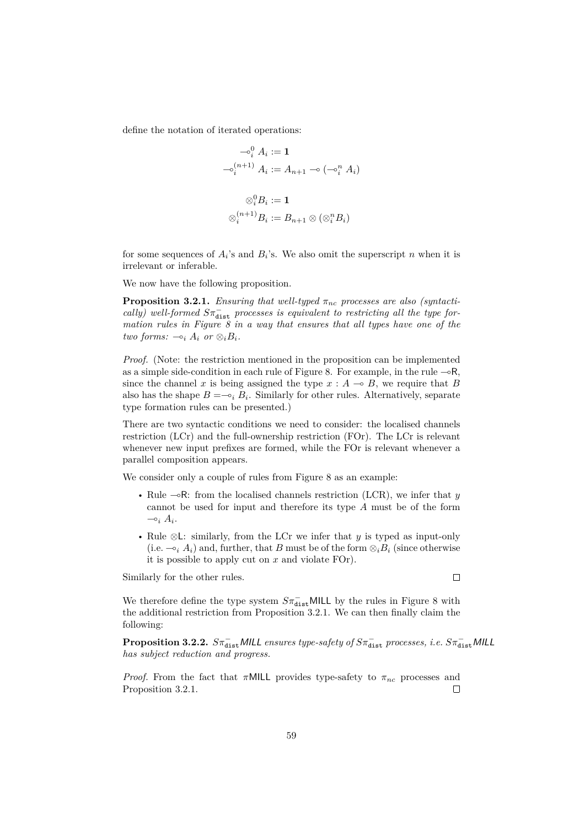define the notation of iterated operations:

$$
\begin{aligned}\n&\quad -\mathbf{o}_i^0 A_i := \mathbf{1} \\
&\quad -\mathbf{o}_i^{(n+1)} A_i := A_{n+1} \multimap (\neg \mathbf{o}_i^n A_i) \\
&\quad \otimes_i^0 B_i := \mathbf{1} \\
&\quad \otimes_i^{(n+1)} B_i := B_{n+1} \otimes (\otimes_i^n B_i)\n\end{aligned}
$$

for some sequences of  $A_i$ 's and  $B_i$ 's. We also omit the superscript *n* when it is irrelevant or inferable.

We now have the following proposition.

<span id="page-59-0"></span>**Proposition 3.2.1.** *Ensuring that well-typed*  $\pi_{nc}$  processes are also (syntacti*cally)* well-formed  $S\pi_{\text{dist}}^-$  processes is equivalent to restricting all the type for*mation rules in [Figure 8](#page-55-0) in a way that ensures that all types have one of the two forms:*  $\sim_i A_i$  *or*  $\otimes_i B_i$ *.* 

*Proof.* (Note: the restriction mentioned in the proposition can be implemented as a simple side-condition in each rule of [Figure 8.](#page-55-0) For example, in the rule  $-\circ R$ , since the channel x is being assigned the type  $x : A \to B$ , we require that B also has the shape  $B = \neg_i B_i$ . Similarly for other rules. Alternatively, separate type formation rules can be presented.)

There are two syntactic conditions we need to consider: the localised channels restriction (LCr) and the full-ownership restriction (FOr). The LCr is relevant whenever new input prefixes are formed, while the FOr is relevant whenever a parallel composition appears.

We consider only a couple of rules from [Figure 8](#page-55-0) as an example:

- Rule  $\sim$ R: from the localised channels restriction (LCR), we infer that *y* cannot be used for input and therefore its type *A* must be of the form  $\multimap_i A_i$ .
- Rule ⊗L: similarly, from the LCr we infer that *y* is typed as input-only (i.e.  $\sim_i A_i$ ) and, further, that *B* must be of the form  $\otimes_i B_i$  (since otherwise it is possible to apply cut on *x* and violate FOr).

Similarly for the other rules.

We therefore define the type system  $S\pi_{\textbf{dist}}^-$ MILL by the rules in [Figure 8](#page-55-0) with the additional restriction from [Proposition 3.2.1.](#page-59-0) We can then finally claim the following:

**Proposition 3.2.2.**  $S\pi_{\text{dist}}^-$  *MILL ensures type-safety of*  $S\pi_{\text{dist}}^-$  *processes, i.e.*  $S\pi_{\text{dist}}^-$  *MILL has subject reduction and progress.*

*Proof.* From the fact that  $\pi$ MILL provides type-safety to  $\pi_{nc}$  processes and [Proposition 3.2.1.](#page-59-0)  $\Box$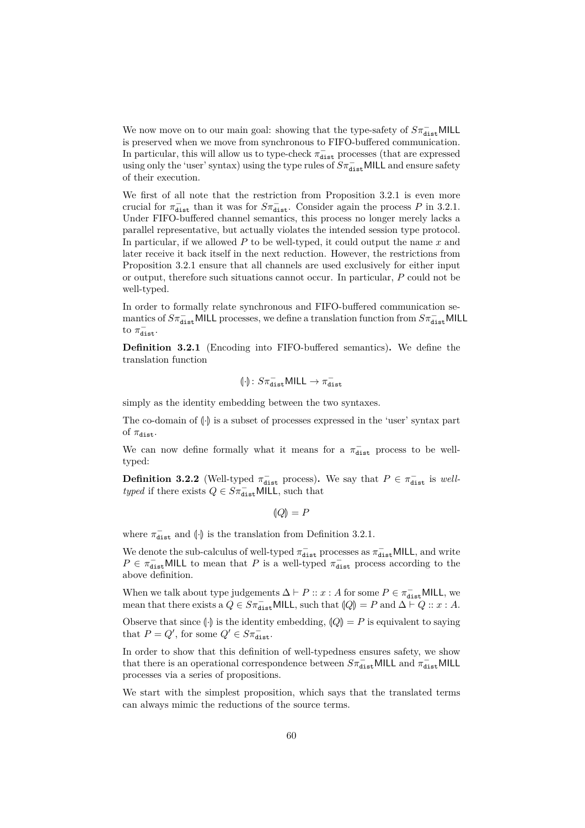We now move on to our main goal: showing that the type-safety of  $S\pi_{\tt dist}^-$ MILL is preserved when we move from synchronous to FIFO-buffered communication. In particular, this will allow us to type-check  $\pi_{\texttt{dist}}^-$  processes (that are expressed using only the 'user' syntax) using the type rules of  $S\pi_{\text{dist}}^-$  MILL and ensure safety of their execution.

We first of all note that the restriction from [Proposition 3.2.1](#page-59-0) is even more crucial for  $\pi_{\text{dist}}^-$  than it was for  $S\pi_{\text{dist}}^-$ . Consider again the process *P* in [3.2.1.](#page-58-0) Under FIFO-buffered channel semantics, this process no longer merely lacks a parallel representative, but actually violates the intended session type protocol. In particular, if we allowed *P* to be well-typed, it could output the name *x* and later receive it back itself in the next reduction. However, the restrictions from [Proposition 3.2.1](#page-59-0) ensure that all channels are used exclusively for either input or output, therefore such situations cannot occur. In particular, *P* could not be well-typed.

In order to formally relate synchronous and FIFO-buffered communication semantics of  $S\pi_{\tt dist}^-$ MILL processes, we define a translation function from  $S\pi_{\tt dist}^-$ MILL to  $\pi_{\text{dist}}^-$ .

<span id="page-60-0"></span>**Definition 3.2.1** (Encoding into FIFO-buffered semantics)**.** We define the translation function

$$
(\!\cdot\!)\colon S\pi_{\text{dist}}^-\text{MILL}\to\pi_{\text{dist}}^-
$$

simply as the identity embedding between the two syntaxes.

The co-domain of  $\left(\cdot\right)$  is a subset of processes expressed in the 'user' syntax part of  $\pi_{\text{dist}}$ .

We can now define formally what it means for a  $\pi_{\text{dist}}^-$  process to be welltyped:

**Definition 3.2.2** (Well-typed  $\pi_{\text{dist}}^-$  process). We say that  $P \in \pi_{\text{dist}}^-$  is *welltyped* if there exists  $Q \in S\pi_{\text{dist}}^-$  MILL, such that

 $|Q| = P$ 

where  $\pi_{\text{dist}}^-$  and  $\left\{\cdot\right\}$  is the translation from [Definition 3.2.1.](#page-60-0)

We denote the sub-calculus of well-typed  $\pi_{\text{dist}}^-$  processes as  $\pi_{\text{dist}}^-$  MILL, and write  $P \in \pi_{\text{dist}}^-$ MILL to mean that *P* is a well-typed  $\pi_{\text{dist}}^-$  process according to the above definition.

When we talk about type judgements  $\Delta \vdash P :: x : A$  for some  $P \in \pi_{\text{dist}}^{-}$  MILL, we mean that there exists a  $Q \in S\pi_{\text{dist}}^-$  MILL, such that  $|Q| = P$  and  $\Delta \vdash Q :: x : A$ .

Observe that since  $\left\{\cdot\right\}$  is the identity embedding,  $\left\{Q\right\} = P$  is equivalent to saying that  $P = Q'$ , for some  $Q' \in S\pi_{\text{dist}}^-$ .

In order to show that this definition of well-typedness ensures safety, we show that there is an operational correspondence between  $S\pi_{\texttt{dist}}^-$  MILL and  $\pi_{\texttt{dist}}^-$  MILL processes via a series of propositions.

<span id="page-60-1"></span>We start with the simplest proposition, which says that the translated terms can always mimic the reductions of the source terms.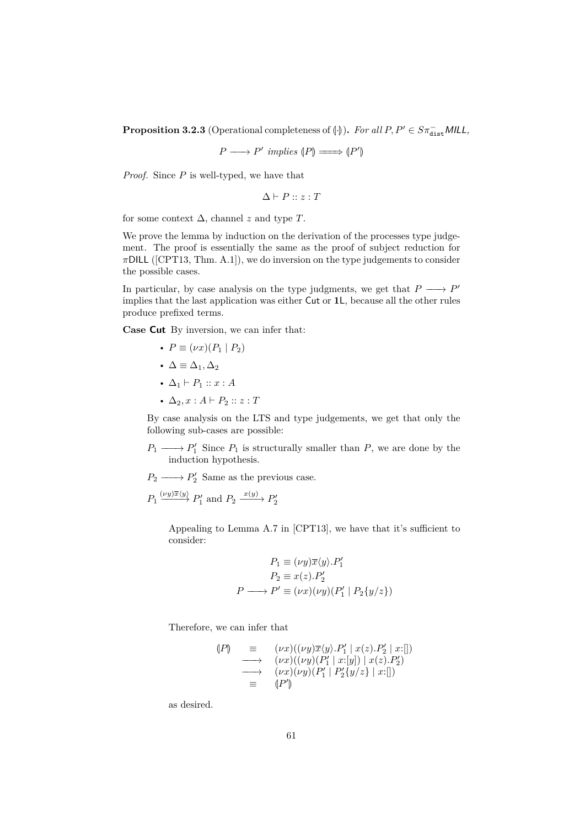**Proposition 3.2.3** (Operational completeness of  $\left(\cdot\right)$ ). *For all*  $P, P' \in S\pi_{dist}^{-}$  *MILL*,

$$
P \longrightarrow P' \implies (P) \longrightarrow (P')
$$

*Proof.* Since *P* is well-typed, we have that

$$
\Delta \vdash P :: z : T
$$

for some context  $\Delta$ , channel *z* and type *T*.

We prove the lemma by induction on the derivation of the processes type judgement. The proof is essentially the same as the proof of subject reduction for *π*DILL ([\[CPT13,](#page-68-4) Thm. A.1]), we do inversion on the type judgements to consider the possible cases.

In particular, by case analysis on the type judgments, we get that  $P \longrightarrow P'$ implies that the last application was either Cut or **1**L, because all the other rules produce prefixed terms.

**Case Cut** By inversion, we can infer that:

- $P \equiv (\nu x)(P_1 \mid P_2)$
- $\Delta \equiv \Delta_1, \Delta_2$
- $\Delta_1 \vdash P_1 :: x : A$
- $\Delta_2, x : A \vdash P_2 :: z : T$

By case analysis on the LTS and type judgements, we get that only the following sub-cases are possible:

 $P_1 \longrightarrow P'_1$  Since  $P_1$  is structurally smaller than  $P$ , we are done by the induction hypothesis.

 $P_2 \longrightarrow P'_2$  Same as the previous case.

 $P_1 \xrightarrow{(vy)\overline{x}\langle y \rangle} P'_1$  and  $P_2 \xrightarrow{x(y)} P'_2$ 

Appealing to Lemma A.7 in [\[CPT13\]](#page-68-4), we have that it's sufficient to consider:

$$
P_1 \equiv (\nu y)\overline{x}\langle y \rangle.P'_1
$$
  
\n
$$
P_2 \equiv x(z).P'_2
$$
  
\n
$$
P \longrightarrow P' \equiv (\nu x)(\nu y)(P'_1 \mid P_2\{y/z\})
$$

Therefore, we can infer that

$$
\begin{array}{rcl}\n(P) & \equiv & (\nu x)((\nu y)\overline{x}\langle y\rangle.P_1' \mid x(z).P_2' \mid x:[]) \\
\longrightarrow & (\nu x)((\nu y)(P_1' \mid x:[y]) \mid x(z).P_2') \\
\longrightarrow & (\nu x)(\nu y)(P_1' \mid P_2'\{y/z\} \mid x:[]) \\
\equiv & (P')\n\end{array}
$$

as desired.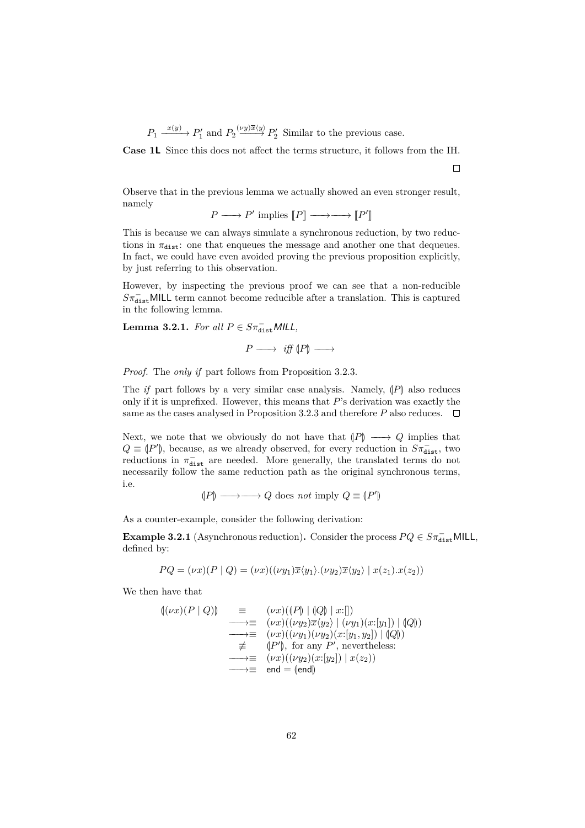$P_1 \xrightarrow{x(y)} P'_1$  and  $P_2 \xrightarrow{(vy)\overline{x}\langle y \rangle} P'_2$  Similar to the previous case.

**Case 1L** Since this does not affect the terms structure, it follows from the IH.

 $\Box$ 

Observe that in the previous lemma we actually showed an even stronger result, namely

 $P \longrightarrow P'$  implies  $[\![P]\!] \longrightarrow \longrightarrow [\![P']\!]$ l<br>I

This is because we can always simulate a synchronous reduction, by two reductions in  $\pi_{dist}$ : one that enqueues the message and another one that dequeues. In fact, we could have even avoided proving the previous proposition explicitly, by just referring to this observation.

However, by inspecting the previous proof we can see that a non-reducible  $S\pi_{\texttt{dist}}^-$ MILL term cannot become reducible after a translation. This is captured in the following lemma.

<span id="page-62-0"></span>**Lemma 3.2.1.** *For all*  $P \in S\pi_{\text{dist}}^{-}$  *MILL*,

$$
P \longrightarrow \text{ iff } (P) \longrightarrow
$$

*Proof.* The *only if* part follows from [Proposition 3.2.3.](#page-60-1)

The *if* part follows by a very similar case analysis. Namely,  $\langle P \rangle$  also reduces only if it is unprefixed. However, this means that *P*'s derivation was exactly the same as the cases analysed in [Proposition 3.2.3](#page-60-1) and therefore  $P$  also reduces.  $\Box$ 

Next, we note that we obviously do not have that  $\langle P \rangle \longrightarrow Q$  implies that  $Q \equiv (P')$ , because, as we already observed, for every reduction in  $S\pi_{dist}^-$ , two reductions in  $\pi^-$ , are peoded. More concrelly, the translated terms do not reductions in  $\pi_{\text{dist}}^-$  are needed. More generally, the translated terms do not necessarily follow the same reduction path as the original synchronous terms, i.e.

$$
(P) \longrightarrow \longrightarrow Q \text{ does } not \text{ imply } Q \equiv (P')
$$

As a counter-example, consider the following derivation:

<span id="page-62-1"></span>**Example 3.2.1** (Asynchronous reduction). Consider the process  $PQ \in S\pi_{\text{dist}}^{-}$  MILL, defined by:

$$
PQ = (\nu x)(P \mid Q) = (\nu x)((\nu y_1)\overline{x}\langle y_1 \rangle . (\nu y_2)\overline{x}\langle y_2 \rangle \mid x(z_1) . x(z_2))
$$

We then have that

$$
\begin{array}{rcl}\n\langle (\nu x)(P \mid Q) \rangle & \equiv & (\nu x)(\langle P \rangle \mid Q \rangle \mid x: \mid] \\
& \longrightarrow \equiv & (\nu x)((\nu y_2) \overline{x} \langle y_2 \rangle \mid (\nu y_1)(x: [y_1]) \mid Q \rangle) \\
& \longrightarrow \equiv & (\nu x)((\nu y_1)(\nu y_2)(x: [y_1, y_2]) \mid Q \rangle) \\
& \not\equiv & (\vert P' \vert), \text{ for any } P', \text{ nevertheless:} \\
& \longrightarrow \equiv & (\nu x)((\nu y_2)(x: [y_2]) \mid x(z_2)) \\
& \longrightarrow \equiv & \text{end} = \text{(end)}\n\end{array}
$$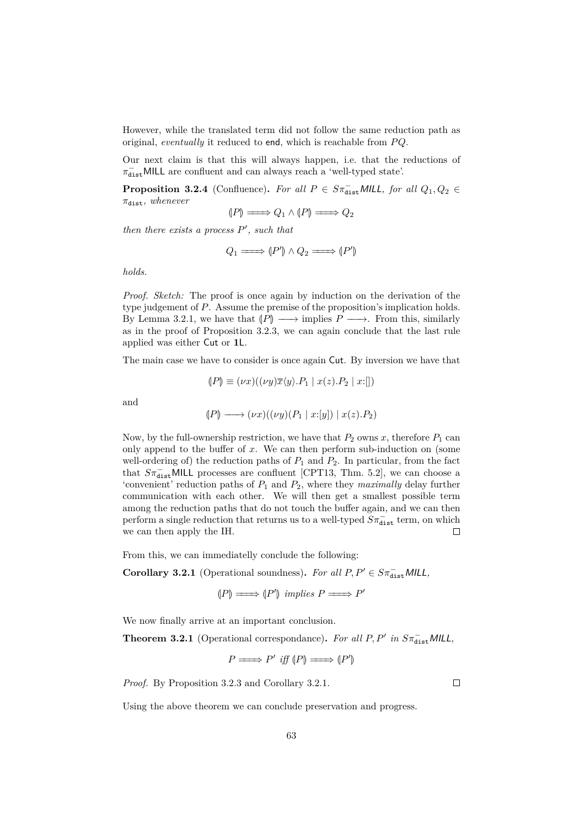However, while the translated term did not follow the same reduction path as original, *eventually* it reduced to end, which is reachable from  $PQ$ .

Our next claim is that this will always happen, i.e. that the reductions of  $\pi_{\texttt{dist}}^-$  MILL are confluent and can always reach a 'well-typed state'.

**Proposition 3.2.4** (Confluence). *For all*  $P \in S\pi_{dist}^{-}$  *MILL, for all*  $Q_1, Q_2 \in$ *π*dist*, whenever*

$$
(P) \longrightarrow Q_1 \wedge (P) \longrightarrow Q_2
$$

*then there exists a process*  $P'$ , such that

$$
Q_1 \longrightarrow (P') \land Q_2 \longrightarrow (P')
$$

*holds.*

*Proof. Sketch:* The proof is once again by induction on the derivation of the type judgement of *P*. Assume the premise of the proposition's implication holds. By [Lemma 3.2.1,](#page-62-0) we have that  $\langle P \rangle \longrightarrow$  implies  $P \longrightarrow$ . From this, similarly as in the proof of [Proposition 3.2.3,](#page-60-1) we can again conclude that the last rule applied was either Cut or **1**L.

The main case we have to consider is once again Cut. By inversion we have that

$$
(P) \equiv (\nu x)((\nu y)\overline{x}\langle y \rangle.P_1 \mid x(z).P_2 \mid x:[])
$$

and

$$
(P) \longrightarrow (\nu x)((\nu y)(P_1 \mid x:[y]) \mid x(z).P_2)
$$

Now, by the full-ownership restriction, we have that  $P_2$  owns  $x$ , therefore  $P_1$  can only append to the buffer of *x*. We can then perform sub-induction on (some well-ordering of) the reduction paths of  $P_1$  and  $P_2$ . In particular, from the fact that  $S\pi_{\text{dist}}^-$ MILL processes are confluent [\[CPT13,](#page-68-4) Thm. 5.2], we can choose a 'convenient' reduction paths of  $P_1$  and  $P_2$ , where they *maximally* delay further communication with each other. We will then get a smallest possible term among the reduction paths that do not touch the buffer again, and we can then perform a single reduction that returns us to a well-typed  $S\pi_{\text{dist}}^-$  term, on which we can then apply the IH.

From this, we can immediatelly conclude the following:

<span id="page-63-0"></span>**Corollary 3.2.1** (Operational soundness). *For all*  $P, P' \in S\pi_{\text{dist}}^{-}$  *MILL*,

$$
(P) \longrightarrow (P') implies P \longrightarrow P'
$$

We now finally arrive at an important conclusion.

<span id="page-63-1"></span>**Theorem 3.2.1** (Operational correspondance). For all  $P, P'$  in  $S\pi_{dist}^{-}$  MILL,

$$
P \longrightarrow P' \text{ iff } (P) \longrightarrow (P')
$$

*Proof.* By [Proposition 3.2.3](#page-60-1) and [Corollary 3.2.1.](#page-63-0)

 $\Box$ 

Using the above theorem we can conclude preservation and progress.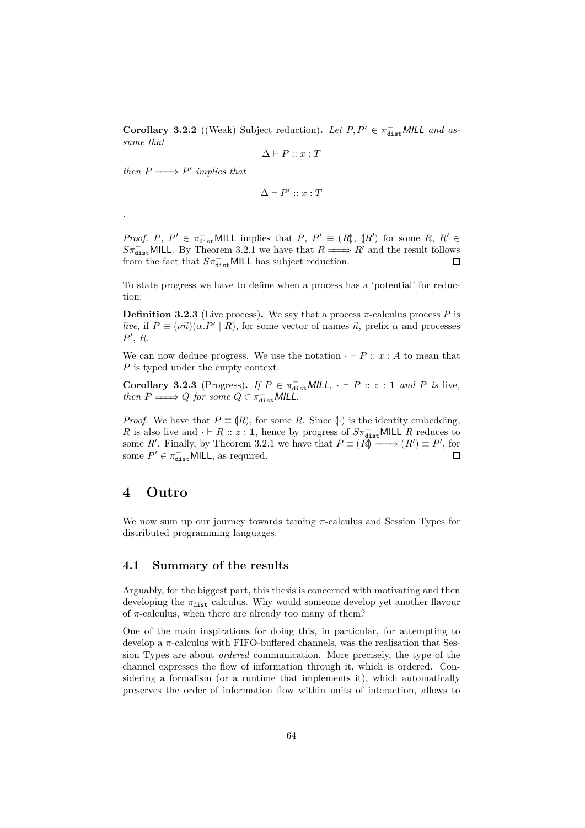**Corollary 3.2.2** ((Weak) Subject reduction). Let  $P, P' \in \pi_{dist}^{-}$  MILL and as*sume that*

$$
\Delta \vdash P :: x : T
$$

*then*  $P \longrightarrow P'$  *implies that* 

*.*

$$
\Delta \vdash P' :: x : T
$$

*Proof. P*,  $P' \in \pi_{dist}^-$ MILL implies that *P*,  $P' \equiv (R)$ ,  $(R')$  for some *R*,  $R' \in S_{\pi^-}^-$  MILL By Theorem 3.2.1 we have that  $R \longrightarrow R'$  and the result follows  $S\pi_{\text{dist}}^{-}$ MILL. By [Theorem 3.2.1](#page-63-1) we have that  $R \longrightarrow R'$  and the result follows from the fact that  $S\pi_{\text{dist}}^{-}$ MILL has subject reduction.

To state progress we have to define when a process has a 'potential' for reduction:

**Definition 3.2.3** (Live process). We say that a process  $\pi$ -calculus process P is *live*, if  $P \equiv (\nu \vec{n}) (\alpha.P' | R)$ , for some vector of names  $\vec{n}$ , prefix  $\alpha$  and processes  $P'$ ,  $R$ .

We can now deduce progress. We use the notation  $\cdot \vdash P :: x : A$  to mean that *P* is typed under the empty context.

**Corollary 3.2.3** (Progress). *If*  $P \in \pi_{\text{dist}}^{-} \text{MILL}, \cdot \vdash P :: z : 1 \text{ and } P \text{ is live},$ *then*  $P \longrightarrow Q$  *for some*  $Q \in \pi_{\text{dist}}^{-}$  *MILL*.

*Proof.* We have that  $P \equiv (R)$ , for some *R*. Since  $\langle \cdot \rangle$  is the identity embedding, *R* is also live and  $\cdot \vdash R :: z : 1$ , hence by progress of  $S\pi_{dist}^-$ MILL *R* reduces to some *R'*. Finally, by [Theorem 3.2.1](#page-63-1) we have that  $P \equiv (R) \Longrightarrow (R') \equiv P'$ , for some  $P' \in \pi_{\text{dist}}^-$ MILL, as required.  $\Box$ 

## **4 Outro**

We now sum up our journey towards taming *π*-calculus and Session Types for distributed programming languages.

#### **4.1 Summary of the results**

Arguably, for the biggest part, this thesis is concerned with motivating and then developing the  $\pi_{\text{dist}}$  calculus. Why would someone develop yet another flavour of  $\pi$ -calculus, when there are already too many of them?

One of the main inspirations for doing this, in particular, for attempting to develop a *π*-calculus with FIFO-buffered channels, was the realisation that Session Types are about *ordered* communication. More precisely, the type of the channel expresses the flow of information through it, which is ordered. Considering a formalism (or a runtime that implements it), which automatically preserves the order of information flow within units of interaction, allows to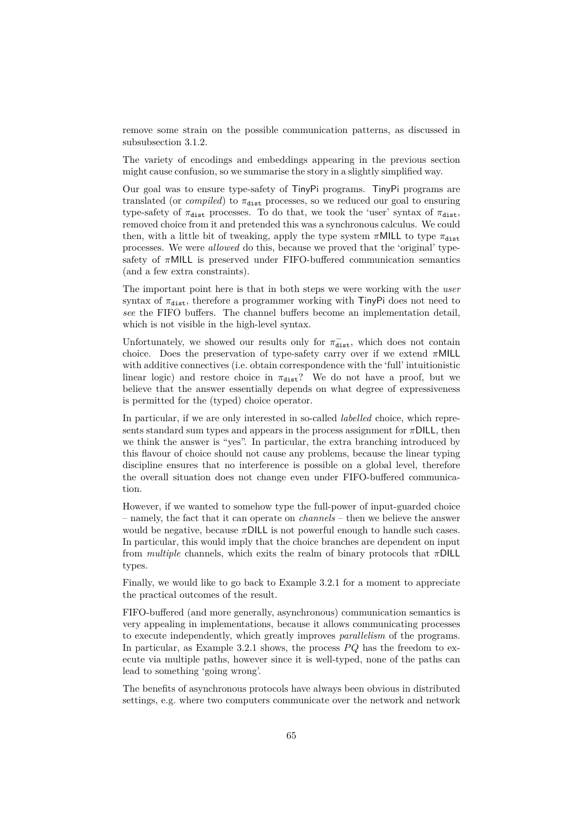remove some strain on the possible communication patterns, as discussed in [subsubsection 3.1.2.](#page-50-0)

The variety of encodings and embeddings appearing in the previous section might cause confusion, so we summarise the story in a slightly simplified way.

Our goal was to ensure type-safety of TinyPi programs. TinyPi programs are translated (or *compiled*) to  $\pi_{\text{dist}}$  processes, so we reduced our goal to ensuring type-safety of  $\pi_{\text{dist}}$  processes. To do that, we took the 'user' syntax of  $\pi_{\text{dist}}$ , removed choice from it and pretended this was a synchronous calculus. We could then, with a little bit of tweaking, apply the type system  $\pi$ MILL to type  $\pi_{\text{dist}}$ processes. We were *allowed* do this, because we proved that the 'original' typesafety of *π*MILL is preserved under FIFO-buffered communication semantics (and a few extra constraints).

The important point here is that in both steps we were working with the *user* syntax of  $\pi_{\text{dist}}$ , therefore a programmer working with  $\pi_{\text{inv}}$ Pi does not need to *see* the FIFO buffers. The channel buffers become an implementation detail, which is not visible in the high-level syntax.

Unfortunately, we showed our results only for  $\pi_{\text{dist}}^-$ , which does not contain choice. Does the preservation of type-safety carry over if we extend *π*MILL with additive connectives (i.e. obtain correspondence with the 'full' intuitionistic linear logic) and restore choice in  $\pi_{\text{dist}}$ ? We do not have a proof, but we believe that the answer essentially depends on what degree of expressiveness is permitted for the (typed) choice operator.

In particular, if we are only interested in so-called *labelled* choice, which represents standard sum types and appears in the process assignment for  $\pi$ DILL, then we think the answer is "yes". In particular, the extra branching introduced by this flavour of choice should not cause any problems, because the linear typing discipline ensures that no interference is possible on a global level, therefore the overall situation does not change even under FIFO-buffered communication.

However, if we wanted to somehow type the full-power of input-guarded choice – namely, the fact that it can operate on *channels* – then we believe the answer would be negative, because *π*DILL is not powerful enough to handle such cases. In particular, this would imply that the choice branches are dependent on input from *multiple* channels, which exits the realm of binary protocols that *π*DILL types.

Finally, we would like to go back to [Example 3.2.1](#page-62-1) for a moment to appreciate the practical outcomes of the result.

FIFO-buffered (and more generally, asynchronous) communication semantics is very appealing in implementations, because it allows communicating processes to execute independently, which greatly improves *parallelism* of the programs. In particular, as [Example 3.2.1](#page-62-1) shows, the process *P Q* has the freedom to execute via multiple paths, however since it is well-typed, none of the paths can lead to something 'going wrong'.

The benefits of asynchronous protocols have always been obvious in distributed settings, e.g. where two computers communicate over the network and network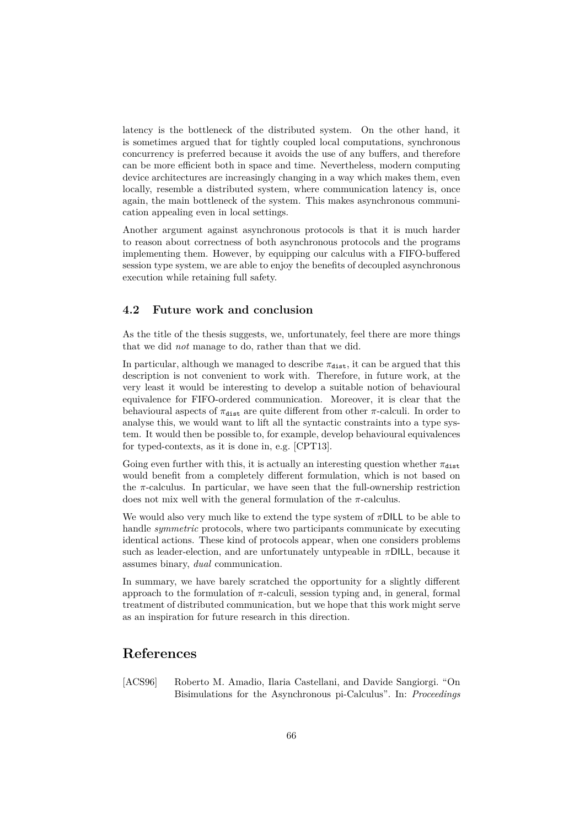latency is the bottleneck of the distributed system. On the other hand, it is sometimes argued that for tightly coupled local computations, synchronous concurrency is preferred because it avoids the use of any buffers, and therefore can be more efficient both in space and time. Nevertheless, modern computing device architectures are increasingly changing in a way which makes them, even locally, resemble a distributed system, where communication latency is, once again, the main bottleneck of the system. This makes asynchronous communication appealing even in local settings.

Another argument against asynchronous protocols is that it is much harder to reason about correctness of both asynchronous protocols and the programs implementing them. However, by equipping our calculus with a FIFO-buffered session type system, we are able to enjoy the benefits of decoupled asynchronous execution while retaining full safety.

### **4.2 Future work and conclusion**

As the title of the thesis suggests, we, unfortunately, feel there are more things that we did *not* manage to do, rather than that we did.

In particular, although we managed to describe  $\pi_{\text{dist}}$ , it can be argued that this description is not convenient to work with. Therefore, in future work, at the very least it would be interesting to develop a suitable notion of behavioural equivalence for FIFO-ordered communication. Moreover, it is clear that the behavioural aspects of  $\pi_{\text{dist}}$  are quite different from other  $\pi$ -calculi. In order to analyse this, we would want to lift all the syntactic constraints into a type system. It would then be possible to, for example, develop behavioural equivalences for typed-contexts, as it is done in, e.g. [\[CPT13\]](#page-68-4).

Going even further with this, it is actually an interesting question whether  $\pi_{\text{dist}}$ would benefit from a completely different formulation, which is not based on the  $\pi$ -calculus. In particular, we have seen that the full-ownership restriction does not mix well with the general formulation of the *π*-calculus.

We would also very much like to extend the type system of *π*DILL to be able to handle *symmetric* protocols, where two participants communicate by executing identical actions. These kind of protocols appear, when one considers problems such as leader-election, and are unfortunately untypeable in *π*DILL, because it assumes binary, *dual* communication.

In summary, we have barely scratched the opportunity for a slightly different approach to the formulation of  $\pi$ -calculi, session typing and, in general, formal treatment of distributed communication, but we hope that this work might serve as an inspiration for future research in this direction.

## **References**

[ACS96] Roberto M. Amadio, Ilaria Castellani, and Davide Sangiorgi. "On Bisimulations for the Asynchronous pi-Calculus". In: *Proceedings*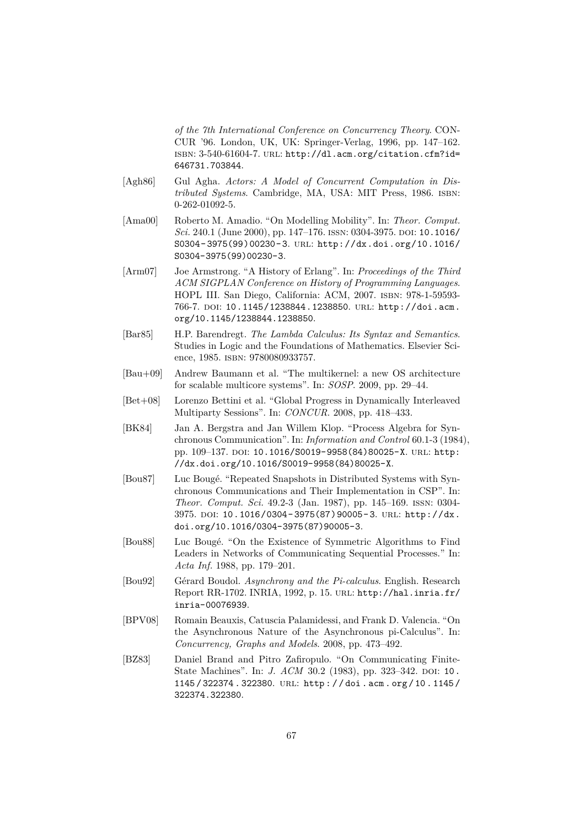*of the 7th International Conference on Concurrency Theory*. CON-CUR '96. London, UK, UK: Springer-Verlag, 1996, pp. 147–162. isbn: 3-540-61604-7. url: [http://dl.acm.org/citation.cfm?id=](http://dl.acm.org/citation.cfm?id=646731.703844) [646731.703844](http://dl.acm.org/citation.cfm?id=646731.703844).

- [Agh86] Gul Agha. *Actors: A Model of Concurrent Computation in Distributed Systems*. Cambridge, MA, USA: MIT Press, 1986. isbn: 0-262-01092-5.
- [Ama00] Roberto M. Amadio. "On Modelling Mobility". In: *Theor. Comput. Sci.* 240.1 (June 2000), pp. 147–176. ISSN: 0304-3975. DOI: [10.1016/](http://dx.doi.org/10.1016/S0304-3975(99)00230-3) [S0304- 3975\(99\)00230- 3](http://dx.doi.org/10.1016/S0304-3975(99)00230-3). url: [http://dx.doi.org/10.1016/](http://dx.doi.org/10.1016/S0304-3975(99)00230-3) [S0304-3975\(99\)00230-3](http://dx.doi.org/10.1016/S0304-3975(99)00230-3).
- [Arm07] Joe Armstrong. "A History of Erlang". In: *Proceedings of the Third ACM SIGPLAN Conference on History of Programming Languages*. HOPL III. San Diego, California: ACM, 2007. isbn: 978-1-59593- 766-7. doi: [10.1145/1238844.1238850](http://dx.doi.org/10.1145/1238844.1238850). url: [http://doi.acm.](http://doi.acm.org/10.1145/1238844.1238850) [org/10.1145/1238844.1238850](http://doi.acm.org/10.1145/1238844.1238850).
- [Bar85] H.P. Barendregt. *The Lambda Calculus: Its Syntax and Semantics*. Studies in Logic and the Foundations of Mathematics. Elsevier Science, 1985. ISBN: 9780080933757.
- [Bau+09] Andrew Baumann et al. "The multikernel: a new OS architecture for scalable multicore systems". In: *SOSP*. 2009, pp. 29–44.
- <span id="page-67-1"></span>[Bet+08] Lorenzo Bettini et al. "Global Progress in Dynamically Interleaved Multiparty Sessions". In: *CONCUR*. 2008, pp. 418–433.
- [BK84] Jan A. Bergstra and Jan Willem Klop. "Process Algebra for Synchronous Communication". In: *Information and Control* 60.1-3 (1984), pp. 109-137. DOI: [10.1016/S0019-9958\(84\)80025-X](http://dx.doi.org/10.1016/S0019-9958(84)80025-X). URL: [http:](http://dx.doi.org/10.1016/S0019-9958(84)80025-X) [//dx.doi.org/10.1016/S0019-9958\(84\)80025-X](http://dx.doi.org/10.1016/S0019-9958(84)80025-X).
- [Bou87] Luc Bougé. "Repeated Snapshots in Distributed Systems with Synchronous Communications and Their Implementation in CSP". In: *Theor. Comput. Sci.* 49.2-3 (Jan. 1987), pp. 145–169. issn: 0304- 3975. doi: [10.1016/0304- 3975\(87\)90005- 3](http://dx.doi.org/10.1016/0304-3975(87)90005-3). url: [http://dx.](http://dx.doi.org/10.1016/0304-3975(87)90005-3) [doi.org/10.1016/0304-3975\(87\)90005-3](http://dx.doi.org/10.1016/0304-3975(87)90005-3).
- [Bou88] Luc Bougé. "On the Existence of Symmetric Algorithms to Find Leaders in Networks of Communicating Sequential Processes." In: *Acta Inf.* 1988, pp. 179–201.
- [Bou92] Gérard Boudol. *Asynchrony and the Pi-calculus*. English. Research Report RR-1702. INRIA, 1992, p. 15. url: [http://hal.inria.fr/](http://hal.inria.fr/inria-00076939) [inria-00076939](http://hal.inria.fr/inria-00076939).
- <span id="page-67-0"></span>[BPV08] Romain Beauxis, Catuscia Palamidessi, and Frank D. Valencia. "On the Asynchronous Nature of the Asynchronous pi-Calculus". In: *Concurrency, Graphs and Models*. 2008, pp. 473–492.
- [BZ83] Daniel Brand and Pitro Zafiropulo. "On Communicating Finite-State Machines". In: *J. ACM* 30.2 (1983), pp. 323-342. DOI: [10.](http://dx.doi.org/10.1145/322374.322380) [1145 / 322374 . 322380](http://dx.doi.org/10.1145/322374.322380). url: [http : / / doi . acm . org / 10 . 1145 /](http://doi.acm.org/10.1145/322374.322380) [322374.322380](http://doi.acm.org/10.1145/322374.322380).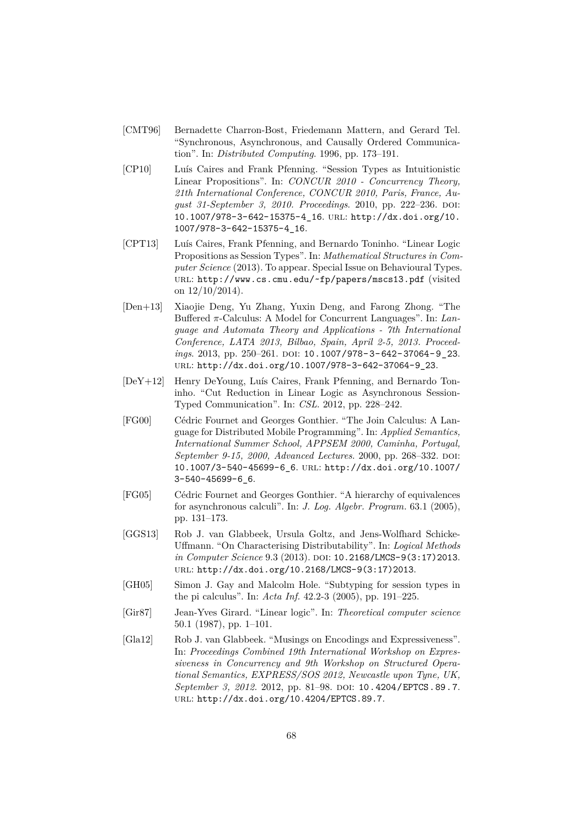- [CMT96] Bernadette Charron-Bost, Friedemann Mattern, and Gerard Tel. "Synchronous, Asynchronous, and Causally Ordered Communication". In: *Distributed Computing*. 1996, pp. 173–191.
- <span id="page-68-2"></span>[CP10] Luís Caires and Frank Pfenning. "Session Types as Intuitionistic Linear Propositions". In: *CONCUR 2010 - Concurrency Theory, 21th International Conference, CONCUR 2010, Paris, France, Au*gust 31-September 3, 2010. Proceedings. 2010, pp. 222-236. DOI: [10.1007/978-3-642-15375-4\\_16](http://dx.doi.org/10.1007/978-3-642-15375-4_16). url: [http://dx.doi.org/10.](http://dx.doi.org/10.1007/978-3-642-15375-4_16) [1007/978-3-642-15375-4\\_16](http://dx.doi.org/10.1007/978-3-642-15375-4_16).
- <span id="page-68-4"></span>[CPT13] Luís Caires, Frank Pfenning, and Bernardo Toninho. "Linear Logic Propositions as Session Types". In: *Mathematical Structures in Computer Science* (2013). To appear. Special Issue on Behavioural Types. url: <http://www.cs.cmu.edu/~fp/papers/mscs13.pdf> (visited on  $12/10/2014$ ).
- <span id="page-68-0"></span>[Den+13] Xiaojie Deng, Yu Zhang, Yuxin Deng, and Farong Zhong. "The Buffered *π*-Calculus: A Model for Concurrent Languages". In: *Language and Automata Theory and Applications - 7th International Conference, LATA 2013, Bilbao, Spain, April 2-5, 2013. Proceedings.* 2013, pp. 250-261. DOI: 10.1007/978-3-642-37064-9\_23. url: [http://dx.doi.org/10.1007/978-3-642-37064-9\\_23](http://dx.doi.org/10.1007/978-3-642-37064-9_23).
- <span id="page-68-5"></span>[DeY+12] Henry DeYoung, Luís Caires, Frank Pfenning, and Bernardo Toninho. "Cut Reduction in Linear Logic as Asynchronous Session-Typed Communication". In: *CSL*. 2012, pp. 228–242.
- [FG00] Cédric Fournet and Georges Gonthier. "The Join Calculus: A Language for Distributed Mobile Programming". In: *Applied Semantics, International Summer School, APPSEM 2000, Caminha, Portugal, September 9-15, 2000, Advanced Lectures.* 2000, pp. 268–332. DOI: [10.1007/3-540-45699-6\\_6](http://dx.doi.org/10.1007/3-540-45699-6_6). url: [http://dx.doi.org/10.1007/](http://dx.doi.org/10.1007/3-540-45699-6_6) [3-540-45699-6\\_6](http://dx.doi.org/10.1007/3-540-45699-6_6).
- [FG05] Cédric Fournet and Georges Gonthier. "A hierarchy of equivalences for asynchronous calculi". In: *J. Log. Algebr. Program.* 63.1 (2005), pp. 131–173.
- [GGS13] Rob J. van Glabbeek, Ursula Goltz, and Jens-Wolfhard Schicke-Uffmann. "On Characterising Distributability". In: *Logical Methods in Computer Science* 9.3 (2013). DOI: [10.2168/LMCS-9\(3:17\)2013](http://dx.doi.org/10.2168/LMCS-9(3:17)2013). url: [http://dx.doi.org/10.2168/LMCS-9\(3:17\)2013](http://dx.doi.org/10.2168/LMCS-9(3:17)2013).
- <span id="page-68-3"></span>[GH05] Simon J. Gay and Malcolm Hole. "Subtyping for session types in the pi calculus". In: *Acta Inf.* 42.2-3 (2005), pp. 191–225.
- <span id="page-68-1"></span>[Gir87] Jean-Yves Girard. "Linear logic". In: *Theoretical computer science* 50.1 (1987), pp. 1–101.
- [Gla12] Rob J. van Glabbeek. "Musings on Encodings and Expressiveness". In: *Proceedings Combined 19th International Workshop on Expressiveness in Concurrency and 9th Workshop on Structured Operational Semantics, EXPRESS/SOS 2012, Newcastle upon Tyne, UK, September 3, 2012.* 2012, pp. 81–98. DOI: [10.4204/EPTCS.89.7](http://dx.doi.org/10.4204/EPTCS.89.7). url: <http://dx.doi.org/10.4204/EPTCS.89.7>.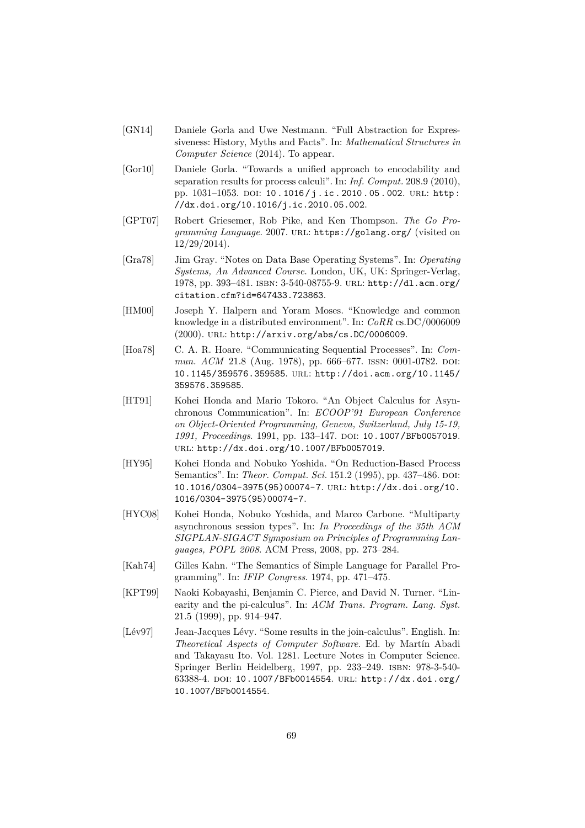- [GN14] Daniele Gorla and Uwe Nestmann. "Full Abstraction for Expressiveness: History, Myths and Facts". In: *Mathematical Structures in Computer Science* (2014). To appear.
- [Gor10] Daniele Gorla. "Towards a unified approach to encodability and separation results for process calculi". In: *Inf. Comput.* 208.9 (2010), pp. 1031-1053. DOI: 10.1016/j.ic.2010.05.002. URL: http: [//dx.doi.org/10.1016/j.ic.2010.05.002](http://dx.doi.org/10.1016/j.ic.2010.05.002).
- [GPT07] Robert Griesemer, Rob Pike, and Ken Thompson. *The Go Programming Language*. 2007. url: <https://golang.org/> (visited on 12/29/2014).
- [Gra78] Jim Gray. "Notes on Data Base Operating Systems". In: *Operating Systems, An Advanced Course*. London, UK, UK: Springer-Verlag, 1978, pp. 393–481. isbn: 3-540-08755-9. url: [http://dl.acm.org/](http://dl.acm.org/citation.cfm?id=647433.723863) [citation.cfm?id=647433.723863](http://dl.acm.org/citation.cfm?id=647433.723863).
- [HM00] Joseph Y. Halpern and Yoram Moses. "Knowledge and common knowledge in a distributed environment". In: *CoRR* cs.DC/0006009 (2000). url: <http://arxiv.org/abs/cs.DC/0006009>.
- [Hoa78] C. A. R. Hoare. "Communicating Sequential Processes". In: *Commun. ACM* 21.8 (Aug. 1978), pp. 666–677. ISSN: 0001-0782. DOI: [10.1145/359576.359585](http://dx.doi.org/10.1145/359576.359585). url: [http://doi.acm.org/10.1145/](http://doi.acm.org/10.1145/359576.359585) [359576.359585](http://doi.acm.org/10.1145/359576.359585).
- [HT91] Kohei Honda and Mario Tokoro. "An Object Calculus for Asynchronous Communication". In: *ECOOP'91 European Conference on Object-Oriented Programming, Geneva, Switzerland, July 15-19,* 1991, Proceedings. 1991, pp. 133-147. DOI: [10.1007/BFb0057019](http://dx.doi.org/10.1007/BFb0057019). url: <http://dx.doi.org/10.1007/BFb0057019>.
- [HY95] Kohei Honda and Nobuko Yoshida. "On Reduction-Based Process Semantics". In: *Theor. Comput. Sci.* 151.2 (1995), pp. 437-486. DOI: [10.1016/0304-3975\(95\)00074-7](http://dx.doi.org/10.1016/0304-3975(95)00074-7). url: [http://dx.doi.org/10.](http://dx.doi.org/10.1016/0304-3975(95)00074-7) [1016/0304-3975\(95\)00074-7](http://dx.doi.org/10.1016/0304-3975(95)00074-7).
- [HYC08] Kohei Honda, Nobuko Yoshida, and Marco Carbone. "Multiparty asynchronous session types". In: *In Proceedings of the 35th ACM SIGPLAN-SIGACT Symposium on Principles of Programming Languages, POPL 2008*. ACM Press, 2008, pp. 273–284.
- [Kah74] Gilles Kahn. "The Semantics of Simple Language for Parallel Programming". In: *IFIP Congress*. 1974, pp. 471–475.
- <span id="page-69-0"></span>[KPT99] Naoki Kobayashi, Benjamin C. Pierce, and David N. Turner. "Linearity and the pi-calculus". In: *ACM Trans. Program. Lang. Syst.* 21.5 (1999), pp. 914–947.
- [Lév97] Jean-Jacques Lévy. "Some results in the join-calculus". English. In: *Theoretical Aspects of Computer Software*. Ed. by Martín Abadi and Takayasu Ito. Vol. 1281. Lecture Notes in Computer Science. Springer Berlin Heidelberg, 1997, pp. 233–249. isbn: 978-3-540- 63388-4. doi: [10.1007/BFb0014554](http://dx.doi.org/10.1007/BFb0014554). url: [http://dx.doi.org/](http://dx.doi.org/10.1007/BFb0014554) [10.1007/BFb0014554](http://dx.doi.org/10.1007/BFb0014554).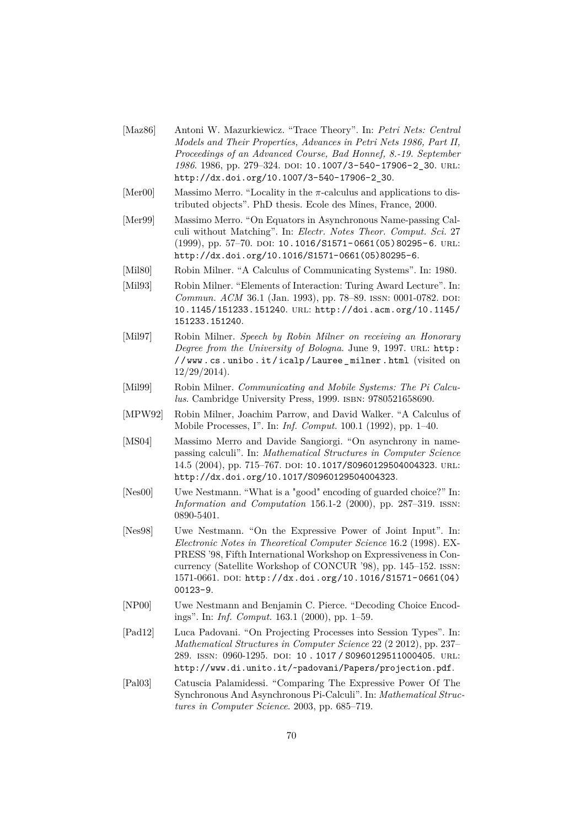- [Maz86] Antoni W. Mazurkiewicz. "Trace Theory". In: *Petri Nets: Central Models and Their Properties, Advances in Petri Nets 1986, Part II, Proceedings of an Advanced Course, Bad Honnef, 8.-19. September* 1986. 1986, pp. 279-324. DOI: [10.1007/3-540-17906-2\\_30](http://dx.doi.org/10.1007/3-540-17906-2_30). URL: [http://dx.doi.org/10.1007/3-540-17906-2\\_30](http://dx.doi.org/10.1007/3-540-17906-2_30).
- [Mer00] Massimo Merro. "Locality in the *π*-calculus and applications to distributed objects". PhD thesis. Ecole des Mines, France, 2000.
- [Mer99] Massimo Merro. "On Equators in Asynchronous Name-passing Calculi without Matching". In: *Electr. Notes Theor. Comput. Sci.* 27 (1999), pp. 57-70. DOI: 10.1016/S1571-0661(05)80295-6. URL: [http://dx.doi.org/10.1016/S1571-0661\(05\)80295-6](http://dx.doi.org/10.1016/S1571-0661(05)80295-6).
- [Mil80] Robin Milner. "A Calculus of Communicating Systems". In: 1980.
- [Mil93] Robin Milner. "Elements of Interaction: Turing Award Lecture". In: *Commun. ACM* 36.1 (Jan. 1993), pp. 78–89. ISSN: 0001-0782. DOI: [10.1145/151233.151240](http://dx.doi.org/10.1145/151233.151240). url: [http://doi.acm.org/10.1145/](http://doi.acm.org/10.1145/151233.151240) [151233.151240](http://doi.acm.org/10.1145/151233.151240).
- [Mil97] Robin Milner. *Speech by Robin Milner on receiving an Honorary Degree from the University of Bologna*. June 9, 1997. url: [http:](http://www.cs.unibo.it/icalp/Lauree_milner.html) [/ / www . cs . unibo . it / icalp / Lauree \\_ milner . html](http://www.cs.unibo.it/icalp/Lauree_milner.html) (visited on 12/29/2014).
- [Mil99] Robin Milner. *Communicating and Mobile Systems: The Pi Calculus*. Cambridge University Press, 1999. isbn: 9780521658690.
- [MPW92] Robin Milner, Joachim Parrow, and David Walker. "A Calculus of Mobile Processes, I". In: *Inf. Comput.* 100.1 (1992), pp. 1–40.
- [MS04] Massimo Merro and Davide Sangiorgi. "On asynchrony in namepassing calculi". In: *Mathematical Structures in Computer Science* 14.5 (2004), pp. 715-767. DOI: [10.1017/S0960129504004323](http://dx.doi.org/10.1017/S0960129504004323). URL: <http://dx.doi.org/10.1017/S0960129504004323>.
- [Nes00] Uwe Nestmann. "What is a "good" encoding of guarded choice?" In: *Information and Computation* 156.1-2 (2000), pp. 287–319. issn: 0890-5401.
- [Nes98] Uwe Nestmann. "On the Expressive Power of Joint Input". In: *Electronic Notes in Theoretical Computer Science* 16.2 (1998). EX-PRESS '98, Fifth International Workshop on Expressiveness in Concurrency (Satellite Workshop of CONCUR '98), pp. 145–152. issn: 1571-0661. doi: [http://dx.doi.org/10.1016/S1571- 0661\(04\)](http://dx.doi.org/http://dx.doi.org/10.1016/S1571-0661(04)00123-9) [00123-9](http://dx.doi.org/http://dx.doi.org/10.1016/S1571-0661(04)00123-9).
- <span id="page-70-0"></span>[NP00] Uwe Nestmann and Benjamin C. Pierce. "Decoding Choice Encodings". In: *Inf. Comput.* 163.1 (2000), pp. 1–59.
- <span id="page-70-2"></span>[Pad12] Luca Padovani. "On Projecting Processes into Session Types". In: *Mathematical Structures in Computer Science* 22 (2 2012), pp. 237– 289. issn: 0960-1295. doi: [10 . 1017 / S0960129511000405](http://dx.doi.org/10.1017/S0960129511000405). url: <http://www.di.unito.it/~padovani/Papers/projection.pdf>.
- <span id="page-70-1"></span>[Pal03] Catuscia Palamidessi. "Comparing The Expressive Power Of The Synchronous And Asynchronous Pi-Calculi". In: *Mathematical Structures in Computer Science*. 2003, pp. 685–719.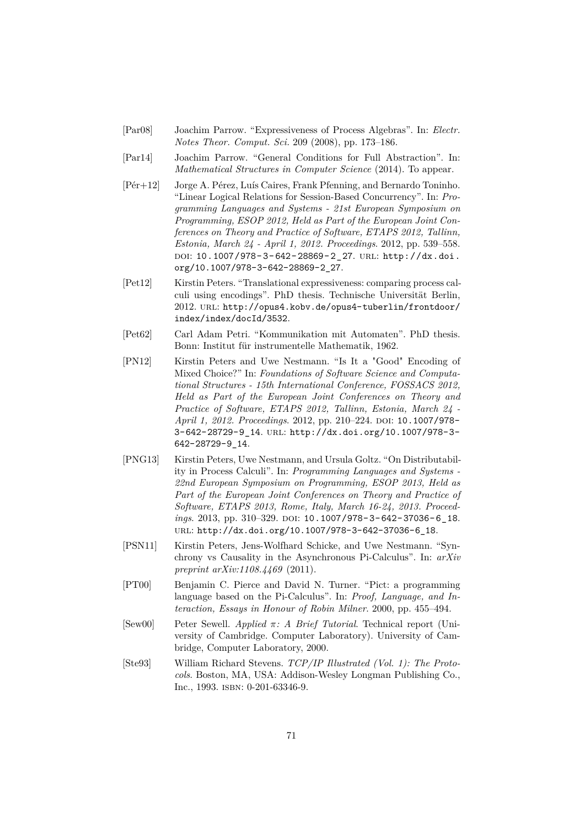- [Par08] Joachim Parrow. "Expressiveness of Process Algebras". In: *Electr. Notes Theor. Comput. Sci.* 209 (2008), pp. 173–186.
- [Par14] Joachim Parrow. "General Conditions for Full Abstraction". In: *Mathematical Structures in Computer Science* (2014). To appear.
- <span id="page-71-2"></span>[Pér+12] Jorge A. Pérez, Luís Caires, Frank Pfenning, and Bernardo Toninho. "Linear Logical Relations for Session-Based Concurrency". In: *Programming Languages and Systems - 21st European Symposium on Programming, ESOP 2012, Held as Part of the European Joint Conferences on Theory and Practice of Software, ETAPS 2012, Tallinn, Estonia, March 24 - April 1, 2012. Proceedings*. 2012, pp. 539–558. doi: [10.1007/978- 3- 642- 28869- 2\\_27](http://dx.doi.org/10.1007/978-3-642-28869-2_27). url: [http://dx.doi.](http://dx.doi.org/10.1007/978-3-642-28869-2_27) [org/10.1007/978-3-642-28869-2\\_27](http://dx.doi.org/10.1007/978-3-642-28869-2_27).
- [Pet12] Kirstin Peters. "Translational expressiveness: comparing process calculi using encodings". PhD thesis. Technische Universität Berlin, 2012. url: [http://opus4.kobv.de/opus4-tuberlin/frontdoor/](http://opus4.kobv.de/opus4-tuberlin/frontdoor/index/index/docId/3532) [index/index/docId/3532](http://opus4.kobv.de/opus4-tuberlin/frontdoor/index/index/docId/3532).
- [Pet62] Carl Adam Petri. "Kommunikation mit Automaten". PhD thesis. Bonn: Institut für instrumentelle Mathematik, 1962.
- <span id="page-71-1"></span>[PN12] Kirstin Peters and Uwe Nestmann. "Is It a "Good" Encoding of Mixed Choice?" In: *Foundations of Software Science and Computational Structures - 15th International Conference, FOSSACS 2012, Held as Part of the European Joint Conferences on Theory and Practice of Software, ETAPS 2012, Tallinn, Estonia, March 24 - April 1, 2012. Proceedings.* 2012, pp. 210-224. DOI: [10.1007/978-](http://dx.doi.org/10.1007/978-3-642-28729-9_14) [3-642-28729-9\\_14](http://dx.doi.org/10.1007/978-3-642-28729-9_14). url: [http://dx.doi.org/10.1007/978-3-](http://dx.doi.org/10.1007/978-3-642-28729-9_14) [642-28729-9\\_14](http://dx.doi.org/10.1007/978-3-642-28729-9_14).
- <span id="page-71-0"></span>[PNG13] Kirstin Peters, Uwe Nestmann, and Ursula Goltz. "On Distributability in Process Calculi". In: *Programming Languages and Systems - 22nd European Symposium on Programming, ESOP 2013, Held as Part of the European Joint Conferences on Theory and Practice of Software, ETAPS 2013, Rome, Italy, March 16-24, 2013. Proceedings.* 2013, pp. 310-329. DOI: 10.1007/978-3-642-37036-6\_18. url: [http://dx.doi.org/10.1007/978-3-642-37036-6\\_18](http://dx.doi.org/10.1007/978-3-642-37036-6_18).
- [PSN11] Kirstin Peters, Jens-Wolfhard Schicke, and Uwe Nestmann. "Synchrony vs Causality in the Asynchronous Pi-Calculus". In: *arXiv preprint arXiv:1108.4469* (2011).
- [PT00] Benjamin C. Pierce and David N. Turner. "Pict: a programming language based on the Pi-Calculus". In: *Proof, Language, and Interaction, Essays in Honour of Robin Milner*. 2000, pp. 455–494.
- [Sew00] Peter Sewell. *Applied π: A Brief Tutorial*. Technical report (University of Cambridge. Computer Laboratory). University of Cambridge, Computer Laboratory, 2000.
- [Ste93] William Richard Stevens. *TCP/IP Illustrated (Vol. 1): The Protocols*. Boston, MA, USA: Addison-Wesley Longman Publishing Co., Inc., 1993. isbn: 0-201-63346-9.